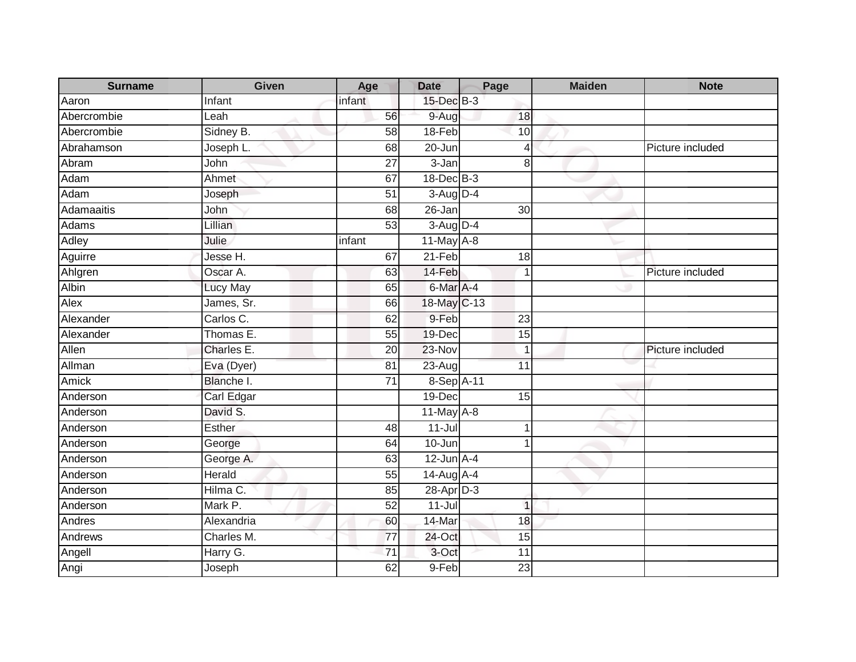| <b>Surname</b> | Given      | Age             | <b>Date</b>      | Page            | <b>Maiden</b> | <b>Note</b>      |
|----------------|------------|-----------------|------------------|-----------------|---------------|------------------|
| Aaron          | Infant     | infant          | 15-Dec B-3       |                 |               |                  |
| Abercrombie    | Leah       | 56              | 9-Aug            | 18              |               |                  |
| Abercrombie    | Sidney B.  | 58              | $18-Feb$         | 10              |               |                  |
| Abrahamson     | Joseph L.  | 68              | 20-Jun           | $\overline{4}$  |               | Picture included |
| Abram          | John       | 27              | 3-Jan            | 8               |               |                  |
| Adam           | Ahmet      | 67              | 18-Dec B-3       |                 |               |                  |
| Adam           | Joseph     | $\overline{51}$ | $3-Aug D-4$      |                 |               |                  |
| Adamaaitis     | John       | 68              | $26 - Jan$       | 30              |               |                  |
| <b>Adams</b>   | Lillian    | 53              | 3-Aug D-4        |                 |               |                  |
| Adley          | Julie      | infant          | 11-May A-8       |                 |               |                  |
| Aguirre        | Jesse H.   | 67              | 21-Feb           | 18              |               |                  |
| Ahlgren        | Oscar A.   | 63              | 14-Feb           | $\overline{1}$  |               | Picture included |
| Albin          | Lucy May   | 65              | 6-Mar A-4        |                 |               |                  |
| Alex           | James, Sr. | 66              | 18-May C-13      |                 |               |                  |
| Alexander      | Carlos C.  | 62              | 9-Feb            | 23              |               |                  |
| Alexander      | Thomas E.  | 55              | 19-Dec           | $\overline{15}$ |               |                  |
| Allen          | Charles E. | 20              | 23-Nov           |                 |               | Picture included |
| Allman         | Eva (Dyer) | 81              | $23-Aug$         | 11              |               |                  |
| Amick          | Blanche I. | $\overline{71}$ | 8-Sep A-11       |                 |               |                  |
| Anderson       | Carl Edgar |                 | 19-Dec           | 15              |               |                  |
| Anderson       | David S.   |                 | 11-May A-8       |                 |               |                  |
| Anderson       | Esther     | 48              | $11 -$ Jul       |                 |               |                  |
| Anderson       | George     | 64              | 10-Jun           |                 |               |                  |
| Anderson       | George A.  | 63              | $12$ -Jun $A-4$  |                 |               |                  |
| Anderson       | Herald     | 55              | $14$ -Aug $A$ -4 |                 |               |                  |
| Anderson       | Hilma C.   | $\overline{85}$ | $28-AprD-3$      |                 |               |                  |
| Anderson       | Mark P.    | 52              | $11 -$ Jul       | $\mathbf 1$     |               |                  |
| Andres         | Alexandria | 60              | 14-Mar           | 18              |               |                  |
| Andrews        | Charles M. | 77              | 24-Oct           | 15              |               |                  |
| Angell         | Harry G.   | 71              | 3-Oct            | 11              |               |                  |
| Angi           | Joseph     | 62              | 9-Feb            | $\overline{23}$ |               |                  |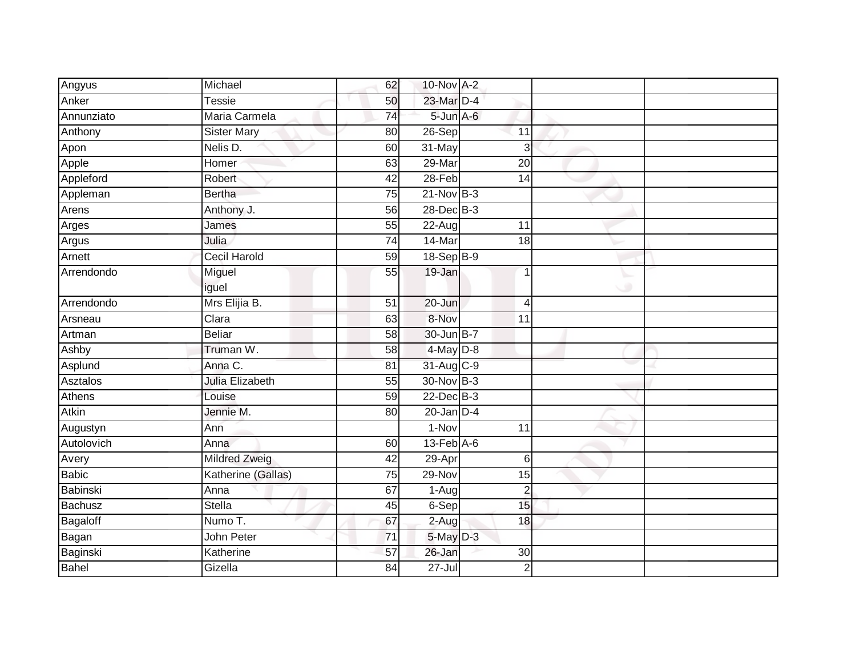| Angyus       | Michael              | 62              | 10-Nov A-2       |                 |  |
|--------------|----------------------|-----------------|------------------|-----------------|--|
| Anker        | <b>Tessie</b>        | 50              | 23-Mar D-4       |                 |  |
| Annunziato   | Maria Carmela        | $\overline{74}$ | 5-Jun A-6        |                 |  |
| Anthony      | <b>Sister Mary</b>   | 80              | 26-Sep           | 11              |  |
| Apon         | Nelis D.             | 60              | 31-May           | 3               |  |
| Apple        | Homer                | 63              | 29-Mar           | $\overline{20}$ |  |
| Appleford    | Robert               | 42              | 28-Feb           | 14              |  |
| Appleman     | <b>Bertha</b>        | 75              | $21-Nov$ B-3     |                 |  |
| Arens        | Anthony J.           | 56              | $28$ -Dec $B-3$  |                 |  |
| Arges        | James                | 55              | $22-Aug$         | 11              |  |
| Argus        | Julia                | 74              | 14-Mar           | $\overline{18}$ |  |
| Arnett       | <b>Cecil Harold</b>  | 59              | 18-Sep B-9       |                 |  |
| Arrendondo   | Miguel               | 55              | 19-Jan           | 1               |  |
|              | iguel                |                 |                  |                 |  |
| Arrendondo   | Mrs Elijia B.        | $\overline{51}$ | $20 - Jun$       | $\overline{4}$  |  |
| Arsneau      | Clara                | 63              | 8-Nov            | 11              |  |
| Artman       | <b>Beliar</b>        | 58              | 30-Jun B-7       |                 |  |
| Ashby        | Truman W.            | 58              | 4-May D-8        |                 |  |
| Asplund      | Anna C.              | 81              | 31-Aug C-9       |                 |  |
| Asztalos     | Julia Elizabeth      | 55              | 30-Nov B-3       |                 |  |
| Athens       | Louise               | 59              | $22$ -Dec $B-3$  |                 |  |
| <b>Atkin</b> | Jennie M.            | 80              | $20$ -Jan $D-4$  |                 |  |
| Augustyn     | Ann                  |                 | 1-Nov            | 11              |  |
| Autolovich   | Anna                 | 60              | $13$ -Feb $A$ -6 |                 |  |
| Avery        | <b>Mildred Zweig</b> | 42              | 29-Apr           | $6\phantom{1}6$ |  |
| <b>Babic</b> | Katherine (Gallas)   | $\overline{75}$ | 29-Nov           | 15              |  |
| Babinski     | Anna                 | 67              | 1-Aug            | $\overline{c}$  |  |
| Bachusz      | <b>Stella</b>        | 45              | 6-Sep            | 15              |  |
| Bagaloff     | Numo T.              | 67              | 2-Aug            | 18              |  |
| Bagan        | John Peter           | $\overline{71}$ | $5$ -May $D-3$   |                 |  |
| Baginski     | Katherine            | 57              | 26-Jan           | 30              |  |
| <b>Bahel</b> | Gizella              | 84              | 27-Jul           | $\overline{2}$  |  |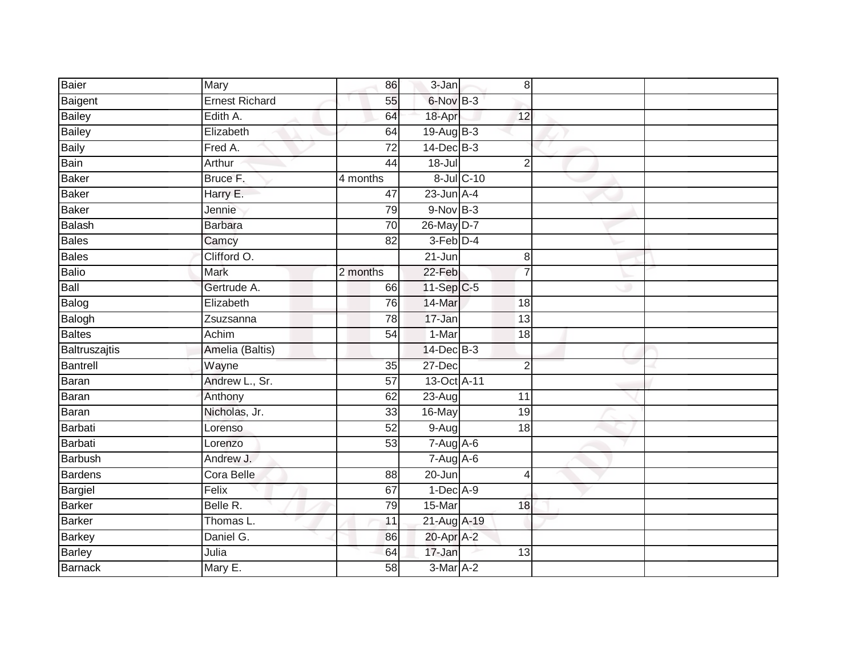| Baier          | Mary                  | 86                   | 3-Jan           |            | 8              |  |
|----------------|-----------------------|----------------------|-----------------|------------|----------------|--|
| Baigent        | <b>Ernest Richard</b> | 55                   | 6-Nov B-3       |            |                |  |
| Bailey         | Edith A.              | 64                   | 18-Apr          |            | 12             |  |
| Bailey         | Elizabeth             | 64                   | 19-Aug B-3      |            |                |  |
| <b>Baily</b>   | Fred A.               | $\overline{72}$      | $14$ -Dec $B-3$ |            |                |  |
| Bain           | Arthur                | 44                   | 18-Jul          |            | $\overline{2}$ |  |
| Baker          | Bruce <sub>F.</sub>   | $\frac{1}{4}$ months |                 | 8-Jul C-10 |                |  |
| <b>Baker</b>   | Harry E.              | 47                   | $23$ -Jun $A-4$ |            |                |  |
| <b>Baker</b>   | Jennie                | 79                   | $9-Nov$ B-3     |            |                |  |
| Balash         | <b>Barbara</b>        | $\overline{70}$      | 26-May D-7      |            |                |  |
| <b>Bales</b>   | Camcy                 | $\overline{82}$      | $3-Feb$ D-4     |            |                |  |
| <b>Bales</b>   | Clifford O.           |                      | 21-Jun          |            | $\bf 8$        |  |
| Balio          | <b>Mark</b>           | 2 months             | $22-Feb$        |            | $\overline{7}$ |  |
| Ball           | Gertrude A.           | 66                   | 11-Sep C-5      |            |                |  |
| Balog          | Elizabeth             | 76                   | 14-Mar          |            | 18             |  |
| Balogh         | Zsuzsanna             | $\overline{78}$      | 17-Jan          |            | 13             |  |
| Baltes         | Achim                 | 54                   | $1-Mar$         |            | 18             |  |
| Baltruszajtis  | Amelia (Baltis)       |                      | 14-Dec B-3      |            |                |  |
| Bantrell       | Wayne                 | 35                   | 27-Dec          |            | $\overline{2}$ |  |
| <b>Baran</b>   | Andrew L., Sr.        | $\overline{57}$      | 13-Oct A-11     |            |                |  |
| Baran          | Anthony               | 62                   | 23-Aug          |            | 11             |  |
| Baran          | Nicholas, Jr.         | 33                   | 16-May          |            | 19             |  |
| Barbati        | Lorenso               | 52                   | 9-Aug           |            | 18             |  |
| Barbati        | Lorenzo               | 53                   | $7-Aug$ $A-6$   |            |                |  |
| Barbush        | Andrew J.             |                      | $7-Aug$ A-6     |            |                |  |
| Bardens        | Cora Belle            | 88                   | 20-Jun          |            | 4              |  |
| Bargiel        | Felix                 | 67                   | $1-Dec$ A-9     |            |                |  |
| Barker         | Belle R.              | 79                   | 15-Mar          |            | 18             |  |
| <b>Barker</b>  | Thomas L.             | 11                   | 21-Aug A-19     |            |                |  |
| Barkey         | Daniel G.             | 86                   | 20-Apr A-2      |            |                |  |
| <b>Barley</b>  | Julia                 | 64                   | 17-Jan          |            | 13             |  |
| <b>Barnack</b> | Mary E.               | 58                   | 3-Mar A-2       |            |                |  |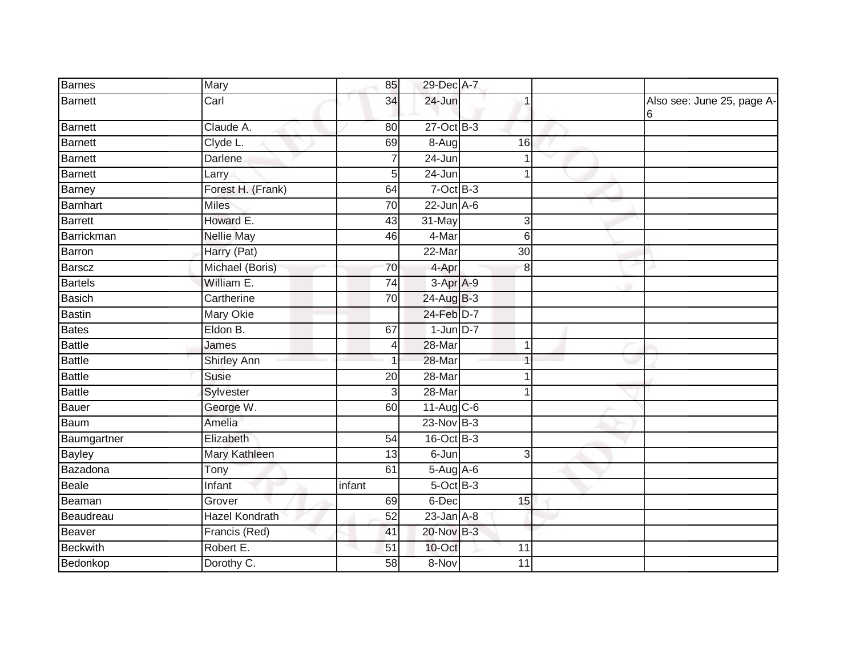| Barnes        | <b>Mary</b>           | 85              | 29-Dec A-7      |              |                                  |
|---------------|-----------------------|-----------------|-----------------|--------------|----------------------------------|
| Barnett       | Carl                  | 34              | 24-Jun          |              | Also see: June 25, page A-<br>16 |
| Barnett       | Claude A.             | 80              | 27-Oct B-3      |              |                                  |
| Barnett       | Clyde L.              | 69              | 8-Augl          | 16           |                                  |
| Barnett       | Darlene               |                 | 24-Jun          |              |                                  |
| Barnett       | Larry                 | 5               | 24-Jun          | $\mathbf 1$  |                                  |
| Barney        | Forest H. (Frank)     | 64              | $7$ -Oct B-3    |              |                                  |
| Barnhart      | <b>Miles</b>          | $\overline{70}$ | $22$ -Jun $A-6$ |              |                                  |
| Barrett       | Howard E.             | 43              | 31-May          | 3            |                                  |
| Barrickman    | <b>Nellie May</b>     | 46              | 4-Mar           | 6            |                                  |
| Barron        | Harry (Pat)           |                 | 22-Mar          | 30           |                                  |
| Barscz        | Michael (Boris)       | 70              | 4-Apr           | 8            |                                  |
| Bartels       | William E.            | 74              | $3-AprA-9$      |              |                                  |
| Basich        | Cartherine            | 70              | 24-Aug B-3      |              |                                  |
| Bastin        | <b>Mary Okie</b>      |                 | 24-Feb D-7      |              |                                  |
| Bates         | Eldon B.              | 67              | $1$ -Jun $D-7$  |              |                                  |
| Battle        | James                 | 4               | 28-Mar          | 1            |                                  |
| <b>Battle</b> | <b>Shirley Ann</b>    |                 | 28-Mar          | 1            |                                  |
| Battle        | <b>Susie</b>          | 20              | 28-Mar          |              |                                  |
| <b>Battle</b> | Sylvester             | 3               | $28 - Mar$      |              |                                  |
| Bauer         | George W.             | 60              | $11-Aug$ C-6    |              |                                  |
| Baum          | Amelia                |                 | $23-Nov$ B-3    |              |                                  |
| Baumgartner   | Elizabeth             | $\overline{54}$ | 16-Oct B-3      |              |                                  |
| <b>Bayley</b> | <b>Mary Kathleen</b>  | 13              | 6-Jun           | $\mathbf{3}$ |                                  |
| Bazadona      | Tony                  | 61              | 5-Aug A-6       |              |                                  |
| Beale         | Infant                | infant          | 5-Oct B-3       |              |                                  |
| Beaman        | Grover                | 69              | 6-Dec           | 15           |                                  |
| Beaudreau     | <b>Hazel Kondrath</b> | 52              | $23$ -Jan $A-8$ |              |                                  |
| Beaver        | Francis (Red)         | 41              | 20-Nov B-3      |              |                                  |
| Beckwith      | Robert E.             | 51              | 10-Oct          | 11           |                                  |
| Bedonkop      | Dorothy C.            | 58              | 8-Nov           | 11           |                                  |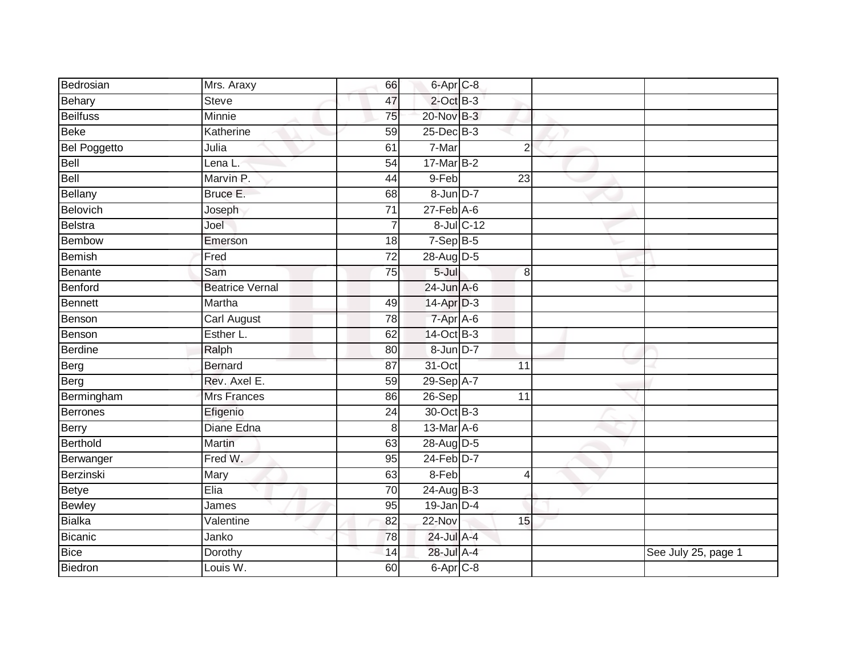| Bedrosian           | Mrs. Araxy             | 66              | 6-Apr C-8        |            |                |                     |
|---------------------|------------------------|-----------------|------------------|------------|----------------|---------------------|
| Behary              | <b>Steve</b>           | 47              | $2$ -Oct $B-3$   |            |                |                     |
| <b>Beilfuss</b>     | <b>Minnie</b>          | $\overline{75}$ | 20-Nov B-3       |            |                |                     |
| <b>Beke</b>         | Katherine              | 59              | 25-Dec B-3       |            |                |                     |
| <b>Bel Poggetto</b> | Julia                  | 61              | $7-Mar$          |            | $\overline{2}$ |                     |
| Bell                | Lena L.                | 54              | 17-Mar B-2       |            |                |                     |
| Bell                | Marvin P.              | 44              | 9-Feb            |            | 23             |                     |
| <b>Bellany</b>      | Bruce E.               | 68              | 8-Jun D-7        |            |                |                     |
| Belovich            | Joseph                 | 71              | $27$ -Feb $A$ -6 |            |                |                     |
| <b>Belstra</b>      | Joel                   |                 |                  | 8-Jul C-12 |                |                     |
| <b>Bembow</b>       | Emerson                | 18              | $7-Sep$ B-5      |            |                |                     |
| <b>Bemish</b>       | Fred                   | $\overline{72}$ | 28-Aug D-5       |            |                |                     |
| Benante             | Sam                    | 75              | 5-Jul            |            | 8              |                     |
| Benford             | <b>Beatrice Vernal</b> |                 | $24$ -Jun $A-6$  |            |                |                     |
| <b>Bennett</b>      | Martha                 | 49              | 14-Apr D-3       |            |                |                     |
| Benson              | Carl August            | 78              | 7-Apr A-6        |            |                |                     |
| Benson              | Esther L.              | 62              | 14-Oct B-3       |            |                |                     |
| <b>Berdine</b>      | Ralph                  | 80              | 8-Jun D-7        |            |                |                     |
| Berg                | Bernard                | 87              | 31-Oct           |            | 11             |                     |
| Berg                | Rev. Axel E.           | 59              | 29-Sep A-7       |            |                |                     |
| Bermingham          | <b>Mrs Frances</b>     | 86              | 26-Sep           |            | 11             |                     |
| <b>Berrones</b>     | Efigenio               | $\overline{24}$ | 30-Oct B-3       |            |                |                     |
| Berry               | Diane Edna             | 8               | 13-Mar A-6       |            |                |                     |
| Berthold            | Martin                 | 63              | 28-Aug D-5       |            |                |                     |
| Berwanger           | Fred W.                | 95              | $24$ -Feb $D-7$  |            |                |                     |
| Berzinski           | Mary                   | 63              | 8-Feb            |            | $\overline{4}$ |                     |
| <b>Betye</b>        | Elia                   | 70              | $24$ -Aug B-3    |            |                |                     |
| <b>Bewley</b>       | James                  | 95              | $19$ -Jan $D-4$  |            |                |                     |
| <b>Bialka</b>       | Valentine              | 82              | 22-Nov           |            | 15             |                     |
| Bicanic             | Janko                  | 78              | 24-Jul A-4       |            |                |                     |
| Bice                | Dorothy                | 14              | 28-Jul A-4       |            |                | See July 25, page 1 |
| <b>Biedron</b>      | Louis W.               | 60              | $6$ -Apr $C$ -8  |            |                |                     |
|                     |                        |                 |                  |            |                |                     |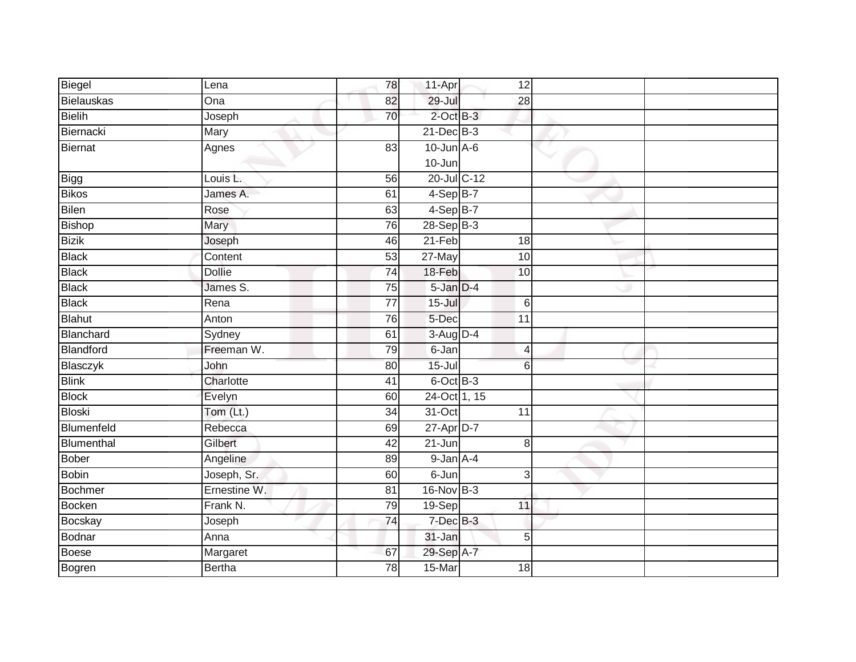| Biegel         | Lena          | 78              | 11-Apr           | 12              |  |
|----------------|---------------|-----------------|------------------|-----------------|--|
| Bielauskas     | Ona           | 82              | $29 -$ Jul       | $\overline{28}$ |  |
| <b>Bielih</b>  | Joseph        | 70              | $2$ -Oct B-3     |                 |  |
| Biernacki      | Mary          |                 | $21$ -Dec $B-3$  |                 |  |
| Biernat        | Agnes         | 83              | $10$ -Jun $A-6$  |                 |  |
|                |               |                 | $10 - Jun$       |                 |  |
| Bigg           | Louis L.      | 56              | $20$ -Jul $C-12$ |                 |  |
| <b>Bikos</b>   | James A.      | 61              | $4-Sep$ B-7      |                 |  |
| <b>Bilen</b>   | Rose          | 63              | $4-Sep$ B-7      |                 |  |
| <b>Bishop</b>  | Mary          | 76              | 28-Sep B-3       |                 |  |
| <b>Bizik</b>   | Joseph        | 46              | $21-Feb$         | 18              |  |
| <b>Black</b>   | Content       | 53              | 27-May           | 10              |  |
| <b>Black</b>   | <b>Dollie</b> | $\overline{74}$ | 18-Feb           | 10              |  |
| <b>Black</b>   | James S.      | 75              | $5$ -Jan $D-4$   |                 |  |
| <b>Black</b>   | Rena          | $\overline{77}$ | $15 -$ Jul       | $6\phantom{1}6$ |  |
| <b>Blahut</b>  | Anton         | $\overline{76}$ | 5-Dec            | $\overline{11}$ |  |
| Blanchard      | Sydney        | 61              | 3-Aug D-4        |                 |  |
| Blandford      | Freeman W.    | 79              | 6-Jan            | 4               |  |
| Blasczyk       | John          | 80              | $15 -$ Jul       | 6               |  |
| <b>Blink</b>   | Charlotte     | $\overline{41}$ | $6$ -Oct $B$ -3  |                 |  |
| <b>Block</b>   | Evelyn        | 60              | 24-Oct 1, 15     |                 |  |
| <b>Bloski</b>  | Tom (Lt.)     | $\overline{34}$ | $31-Oct$         | $\overline{11}$ |  |
| Blumenfeld     | Rebecca       | 69              | 27-Apr D-7       |                 |  |
| Blumenthal     | Gilbert       | $\overline{42}$ | $21 - Jun$       | 8               |  |
| Bober          | Angeline      | 89              | $9 - Jan A - 4$  |                 |  |
| <b>Bobin</b>   | Joseph, Sr.   | 60              | 6-Jun            | 3               |  |
| <b>Bochmer</b> | Ernestine W.  | $\overline{81}$ | 16-Nov B-3       |                 |  |
| Bocken         | Frank N.      | 79              | 19-Sep           | 11              |  |
| Bocskay        | Joseph        | $\overline{74}$ | 7-Dec B-3        |                 |  |
| Bodnar         | Anna          |                 | 31-Jan           | 5               |  |
| <b>Boese</b>   | Margaret      | 67              | 29-Sep A-7       |                 |  |
| Bogren         | <b>Bertha</b> | 78              | $15-Mar$         | 18              |  |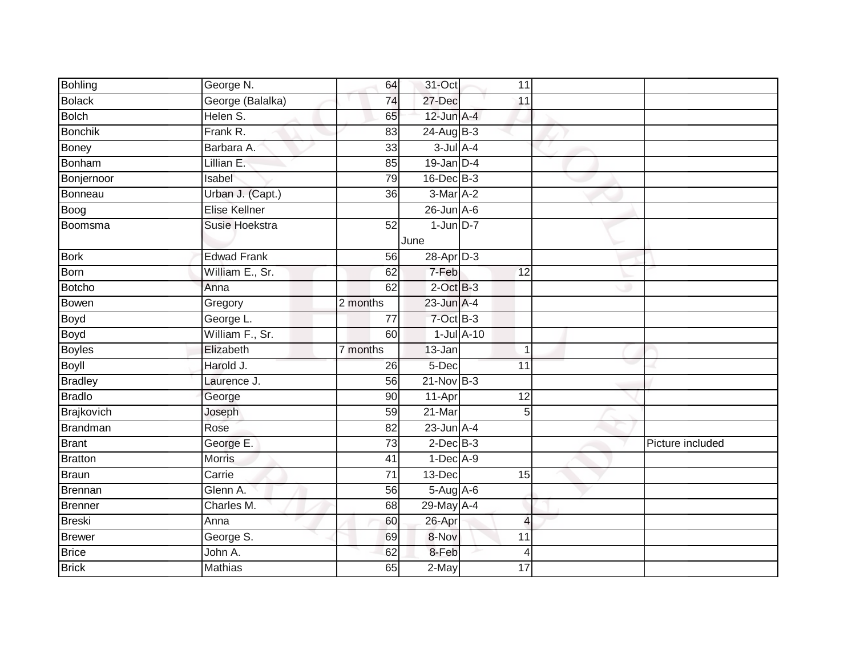| <b>Bohling</b>  | George N.          | 64              | 31-Oct           | 11              |                |                  |
|-----------------|--------------------|-----------------|------------------|-----------------|----------------|------------------|
| <b>Bolack</b>   | George (Balalka)   | 74              | 27-Dec           | 11              |                |                  |
| <b>Bolch</b>    | Helen S.           | 65              | $12$ -Jun $A-4$  |                 |                |                  |
| Bonchik         | Frank R.           | 83              | $24$ -Aug B-3    |                 |                |                  |
| Boney           | Barbara A.         | 33              | $3$ -Jul $A-4$   |                 |                |                  |
| Bonham          | Lillian E.         | 85              | $19$ -Jan $D-4$  |                 |                |                  |
| Bonjernoor      | Isabel             | 79              | 16-Dec B-3       |                 |                |                  |
| Bonneau         | Urban J. (Capt.)   | 36              | 3-Mar A-2        |                 |                |                  |
| Boog            | Elise Kellner      |                 | $26$ -Jun $A$ -6 |                 |                |                  |
| Boomsma         | Susie Hoekstra     | 52              | $1$ -Jun $D-7$   |                 |                |                  |
|                 |                    |                 | June             |                 |                |                  |
| <b>Bork</b>     | <b>Edwad Frank</b> | 56              | 28-Apr D-3       |                 |                |                  |
| Born            | William E., Sr.    | 62              | 7-Feb            | $\overline{12}$ |                |                  |
| <b>Botcho</b>   | Anna               | 62              | $2$ -Oct $B-3$   |                 |                |                  |
| Bowen           | Gregory            | 2 months        | $23$ -Jun $A-4$  |                 |                |                  |
| Boyd<br>Boyd    | George L.          | 77              | 7-Oct B-3        |                 |                |                  |
|                 | William F., Sr.    | 60              |                  | $1$ -Jul $A-10$ |                |                  |
| <b>Boyles</b>   | Elizabeth          | 7 months        | 13-Jan           |                 |                |                  |
| Boyll           | Harold J.          | 26              | 5-Dec            | 11              |                |                  |
| Bradley         | Laurence J.        | 56              | $21 - Nov$ B-3   |                 |                |                  |
| <b>Bradlo</b>   | George             | 90              | 11-Apr           | 12              |                |                  |
| Brajkovich      | Joseph             | 59              | $21$ -Mar        |                 | 5 <sup>5</sup> |                  |
| <b>Brandman</b> | Rose               | 82              | $23$ -Jun $A-4$  |                 |                |                  |
| <b>Brant</b>    | George E.          | $\overline{73}$ | $2$ -Dec $B-3$   |                 |                | Picture included |
| Bratton         | <b>Morris</b>      | 41              | $1-Dec$ A-9      |                 |                |                  |
| <b>Braun</b>    | Carrie             | $\overline{71}$ | 13-Dec           |                 | 15             |                  |
| Brennan         | Glenn A.           | 56              | 5-Aug A-6        |                 |                |                  |
| <b>Brenner</b>  | Charles M.         | 68              | 29-May A-4       |                 |                |                  |
| Breski          | Anna               | 60              | 26-Apr           |                 | $\overline{4}$ |                  |
| Brewer          | George S.          | 69              | 8-Nov            | 11              |                |                  |
| <b>Brice</b>    | John A.            | 62              | 8-Feb            |                 | 4              |                  |
| <b>Brick</b>    | <b>Mathias</b>     | 65              | 2-May            | $\overline{17}$ |                |                  |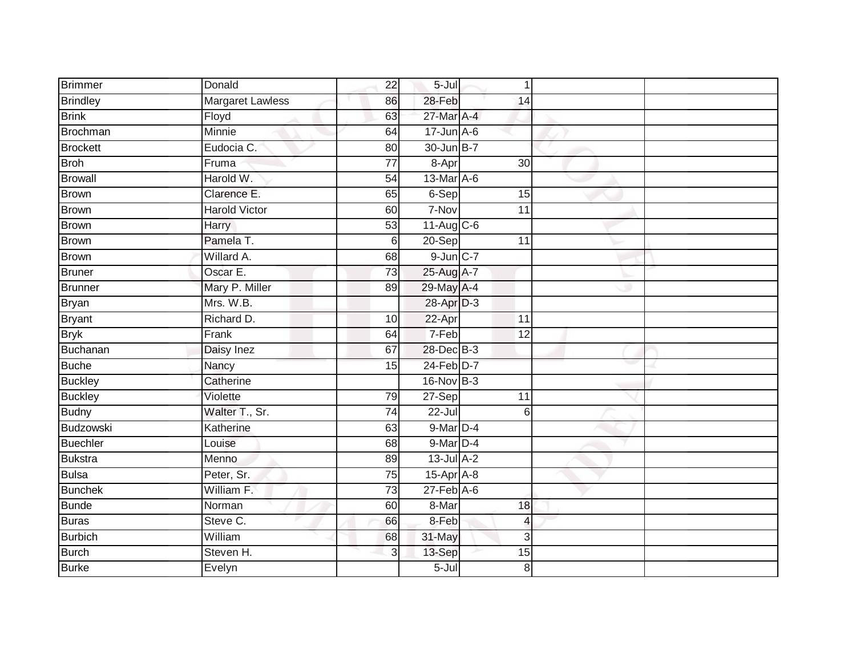| <b>Brimmer</b>  | Donald                  | 22              | $5 -$ Jul        | $\mathbf 1$              |  |
|-----------------|-------------------------|-----------------|------------------|--------------------------|--|
| <b>Brindley</b> | <b>Margaret Lawless</b> | 86              | 28-Feb           | 14                       |  |
| <b>Brink</b>    | Floyd                   | 63              | 27-Mar A-4       |                          |  |
| <b>Brochman</b> | Minnie                  | 64              | $17$ -Jun $A$ -6 |                          |  |
| <b>Brockett</b> | Eudocia C.              | $\overline{80}$ | 30-Jun B-7       |                          |  |
| <b>Broh</b>     | Fruma                   | $\overline{77}$ | 8-Apr            | 30                       |  |
| <b>Browall</b>  | Harold W.               | 54              | 13-Mar A-6       |                          |  |
| <b>Brown</b>    | Clarence E.             | 65              | 6-Sep            | 15                       |  |
| <b>Brown</b>    | <b>Harold Victor</b>    | 60              | 7-Nov            | $\overline{11}$          |  |
| <b>Brown</b>    | <b>Harry</b>            | 53              | $11$ -Aug C-6    |                          |  |
| Brown           | Pamela T.               | $6\phantom{1}$  | 20-Sep           | 11                       |  |
| <b>Brown</b>    | Willard A.              | 68              | $9$ -Jun $C-7$   |                          |  |
| <b>Bruner</b>   | Oscar E.                | 73              | 25-Aug A-7       |                          |  |
| <b>Brunner</b>  | Mary P. Miller          | 89              | 29-May A-4       |                          |  |
| Bryan           | Mrs. W.B.               |                 | 28-Apr D-3       |                          |  |
| <b>Bryant</b>   | Richard D.              | 10              | 22-Apr           | 11                       |  |
| <b>Bryk</b>     | Frank                   | 64              | 7-Feb            | $\overline{12}$          |  |
| Buchanan        | Daisy Inez              | 67              | 28-Dec B-3       |                          |  |
| <b>Buche</b>    | Nancy                   | 15              | 24-Feb D-7       |                          |  |
| <b>Buckley</b>  | Catherine               |                 | 16-Nov B-3       |                          |  |
| <b>Buckley</b>  | Violette                | 79              | $27-Sep$         | 11                       |  |
| <b>Budny</b>    | Walter T., Sr.          | $\overline{74}$ | $22 -$ Jul       | 6                        |  |
| Budzowski       | Katherine               | 63              | 9-Mar D-4        |                          |  |
| <b>Buechler</b> | Louise                  | 68              | 9-Mar D-4        |                          |  |
| <b>Bukstra</b>  | Menno                   | 89              | $13$ -Jul $A-2$  |                          |  |
| <b>Bulsa</b>    | Peter, Sr.              | 75              | $15-Apr$ A-8     |                          |  |
| <b>Bunchek</b>  | William F.              | $\overline{73}$ | $27$ -Feb $A$ -6 |                          |  |
| <b>Bunde</b>    | Norman                  | 60              | 8-Mar            | 18                       |  |
| <b>Buras</b>    | Steve C.                | 66              | 8-Feb            | $\overline{\mathcal{L}}$ |  |
| <b>Burbich</b>  | William                 | 68              | 31-May           | 3                        |  |
| <b>Burch</b>    | Steven H.               | 3               | 13-Sep           | 15                       |  |
| <b>Burke</b>    | Evelyn                  |                 | $5 -$ Jul        | 8                        |  |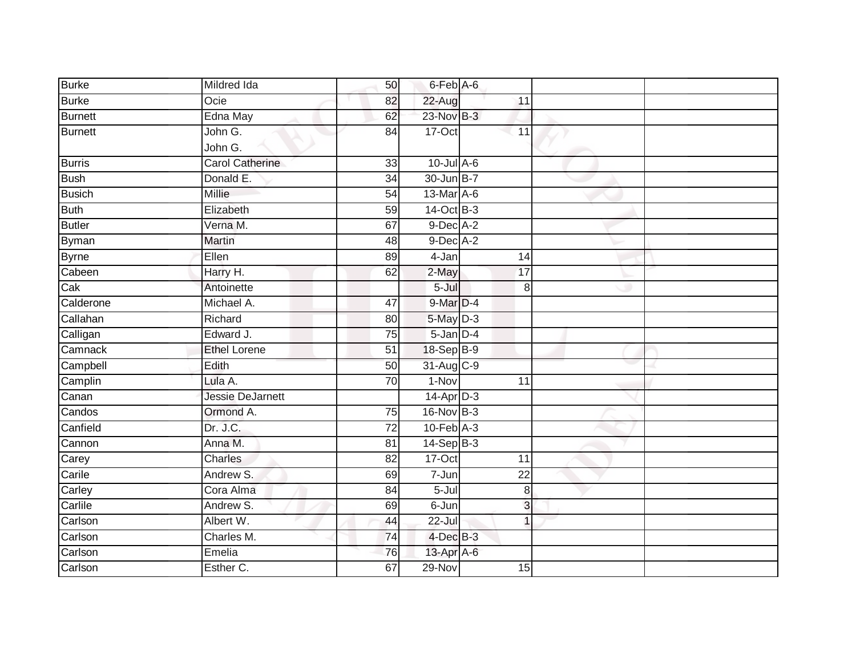| Mildred Ida             | 50              |           |                                                                                                                                                                                                                                                                                                                                                |  |
|-------------------------|-----------------|-----------|------------------------------------------------------------------------------------------------------------------------------------------------------------------------------------------------------------------------------------------------------------------------------------------------------------------------------------------------|--|
| Ocie                    | 82              |           | 11                                                                                                                                                                                                                                                                                                                                             |  |
|                         | 62              |           |                                                                                                                                                                                                                                                                                                                                                |  |
| John G.                 | 84              |           | 11                                                                                                                                                                                                                                                                                                                                             |  |
| John G.                 |                 |           |                                                                                                                                                                                                                                                                                                                                                |  |
| <b>Carol Catherine</b>  | 33              |           |                                                                                                                                                                                                                                                                                                                                                |  |
| Donald E.               | 34              |           |                                                                                                                                                                                                                                                                                                                                                |  |
| <b>Millie</b>           | 54              |           |                                                                                                                                                                                                                                                                                                                                                |  |
| Elizabeth               | 59              |           |                                                                                                                                                                                                                                                                                                                                                |  |
| Verna M.                | 67              |           |                                                                                                                                                                                                                                                                                                                                                |  |
| Martin                  | 48              |           |                                                                                                                                                                                                                                                                                                                                                |  |
| Ellen                   | 89              | 4-Jan     | 14                                                                                                                                                                                                                                                                                                                                             |  |
| Harry H.                | 62              |           | 17                                                                                                                                                                                                                                                                                                                                             |  |
| Antoinette              |                 | $5 -$ Jul | 8                                                                                                                                                                                                                                                                                                                                              |  |
| Michael A.              | 47              |           |                                                                                                                                                                                                                                                                                                                                                |  |
| Richard                 | 80              |           |                                                                                                                                                                                                                                                                                                                                                |  |
| Edward J.               | $\overline{75}$ |           |                                                                                                                                                                                                                                                                                                                                                |  |
| <b>Ethel Lorene</b>     | 51              |           |                                                                                                                                                                                                                                                                                                                                                |  |
| Edith                   | 50              |           |                                                                                                                                                                                                                                                                                                                                                |  |
| Lula A.                 | 70              | $1-Nov$   | $\overline{11}$                                                                                                                                                                                                                                                                                                                                |  |
| <b>Jessie DeJarnett</b> |                 |           |                                                                                                                                                                                                                                                                                                                                                |  |
| Ormond A.               | 75              |           |                                                                                                                                                                                                                                                                                                                                                |  |
| Dr. J.C.                | 72              |           |                                                                                                                                                                                                                                                                                                                                                |  |
| Anna M.                 | 81              |           |                                                                                                                                                                                                                                                                                                                                                |  |
| <b>Charles</b>          | 82              | 17-Oct    | 11                                                                                                                                                                                                                                                                                                                                             |  |
| Andrew S.               | 69              | 7-Jun     | 22                                                                                                                                                                                                                                                                                                                                             |  |
| Cora Alma               | 84              | $5 -$ Jul | 8 <sup>1</sup>                                                                                                                                                                                                                                                                                                                                 |  |
| Andrew S.               | 69              |           | 3                                                                                                                                                                                                                                                                                                                                              |  |
| Albert W.               | 44              | 22-Jul    | 1                                                                                                                                                                                                                                                                                                                                              |  |
| Charles M.              | 74              |           |                                                                                                                                                                                                                                                                                                                                                |  |
| Emelia                  | 76              |           |                                                                                                                                                                                                                                                                                                                                                |  |
| Esther C.               | 67              | $29-Nov$  | 15                                                                                                                                                                                                                                                                                                                                             |  |
|                         | Edna May        |           | 6-Feb A-6<br>22-Aug<br>23-Nov B-3<br>17-Oct<br>$10$ -Jul $A-6$<br>$30$ -Jun $B-7$<br>13-Mar A-6<br>14-Oct B-3<br>$9$ -Dec $A$ -2<br>$9$ -Dec $A-2$<br>2-May<br>9-Mar D-4<br>$5$ -May $D-3$<br>$5$ -Jan $D-4$<br>18-Sep B-9<br>31-Aug C-9<br>14-Apr D-3<br>16-Nov B-3<br>$10$ -Feb $A-3$<br>$14-Sep$ B-3<br>$6$ -Jun<br>4-Dec B-3<br>13-Apr A-6 |  |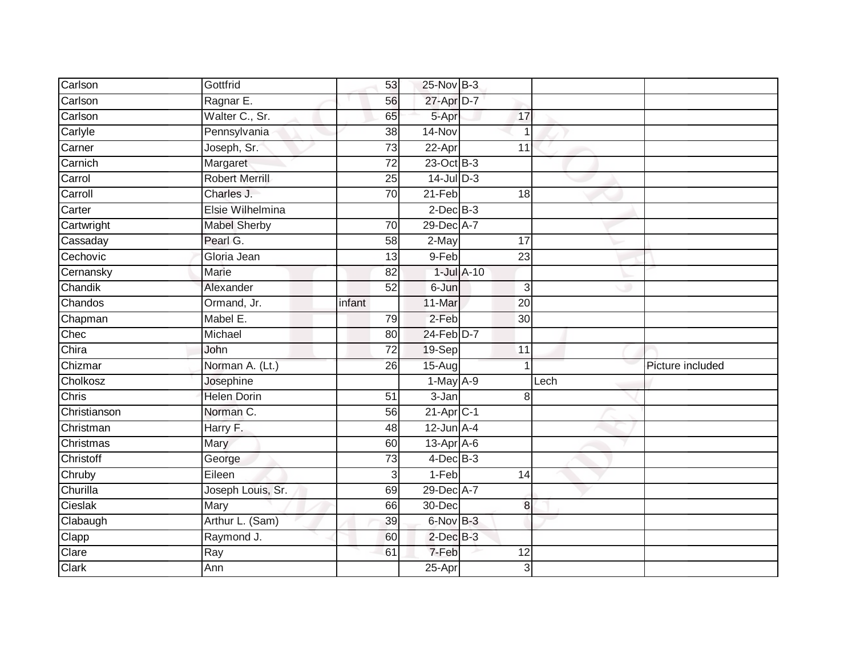| Carlson        | Gottfrid              | 53              | 25-Nov B-3              |                 |      |                  |
|----------------|-----------------------|-----------------|-------------------------|-----------------|------|------------------|
| Carlson        | Ragnar E.             | 56              | 27-Apr D-7              |                 |      |                  |
| Carlson        | Walter C., Sr.        | 65              | 5-Apr                   | 17              |      |                  |
| Carlyle        | Pennsylvania          | 38              | 14-Nov                  |                 |      |                  |
| Carner         | Joseph, Sr.           | $\overline{73}$ | 22-Apr                  | 11              |      |                  |
| Carnich        | Margaret              | $\overline{72}$ | $23$ -Oct B-3           |                 |      |                  |
| Carrol         | <b>Robert Merrill</b> | 25              | $14$ -Jul D-3           |                 |      |                  |
| Carroll        | Charles J.            | 70              | $21-Feb$                | 18              |      |                  |
| Carter         | Elsie Wilhelmina      |                 | $2$ -Dec $B-3$          |                 |      |                  |
| Cartwright     | <b>Mabel Sherby</b>   | 70              | 29-Dec A-7              |                 |      |                  |
| Cassaday       | Pearl G.              | 58              | 2-May                   | 17              |      |                  |
| Cechovic       | Gloria Jean           | 13              | 9-Feb                   | 23              |      |                  |
| Cernansky      | Marie                 | 82              |                         | $1$ -Jul $A-10$ |      |                  |
| Chandik        | Alexander             | 52              | 6-Jun                   | 3               |      |                  |
| Chandos        | Ormand, Jr.           | infant          | 11-Mar                  | $\overline{20}$ |      |                  |
| Chapman        | Mabel E.              | 79              | 2-Feb                   | 30              |      |                  |
| Chec           | Michael               | 80              | $24$ -Feb $D-7$         |                 |      |                  |
| Chira          | John                  | 72              | 19-Sep                  | 11              |      |                  |
| Chizmar        | Norman A. (Lt.)       | 26              | $15-Aug$                |                 |      | Picture included |
| Cholkosz       | Josephine             |                 | $1-May$ A-9             |                 | Lech |                  |
| Chris          | <b>Helen Dorin</b>    | 51              | 3-Jan                   | 8               |      |                  |
| Christianson   | Norman C.             | $\overline{56}$ | $21-Apr$ <sub>C-1</sub> |                 |      |                  |
| Christman      | Harry F.              | 48              | $12$ -Jun $A-4$         |                 |      |                  |
| Christmas      | Mary                  | 60              | $13$ -Apr $A$ -6        |                 |      |                  |
| Christoff      |                       |                 |                         |                 |      |                  |
|                | George                | 73              | $4$ -Dec $B$ -3         |                 |      |                  |
| Chruby         | Eileen                | 3               | $1-Feb$                 | 14              |      |                  |
| Churilla       | Joseph Louis, Sr.     | 69              | 29-Dec A-7              |                 |      |                  |
| Cieslak        | Mary                  | 66              | 30-Dec                  | $\bf{8}$        |      |                  |
| Clabaugh       | Arthur L. (Sam)       | 39              | 6-Nov B-3               |                 |      |                  |
| Clapp          | Raymond J.            | 60              | $2$ -Dec $B-3$          |                 |      |                  |
| Clare<br>Clark | Ray<br>Ann            | 61              | 7-Feb<br>25-Apr         | 12              |      |                  |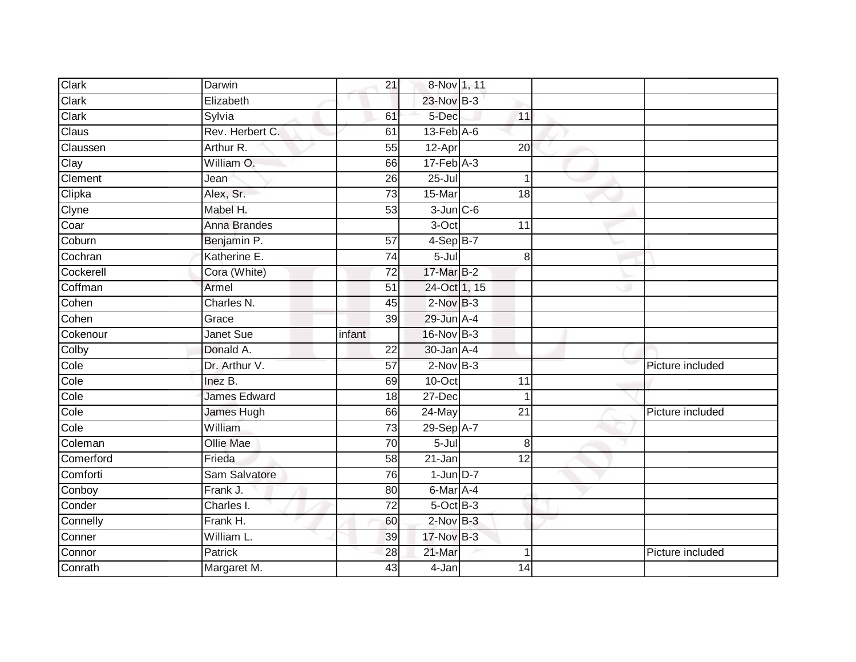| Clark     | Darwin              | 21              | 8-Nov 1, 11         |                 |                  |
|-----------|---------------------|-----------------|---------------------|-----------------|------------------|
| Clark     | Elizabeth           |                 | 23-Nov B-3          |                 |                  |
| Clark     | Sylvia              | 61              | 5-Dec               | 11              |                  |
| Claus     | Rev. Herbert C.     | 61              | $13$ -Feb $A$ -6    |                 |                  |
| Claussen  | Arthur R.           | 55              | $12-Apr$            | 20              |                  |
| Clay      | William O.          | 66              | $17$ -Feb $A-3$     |                 |                  |
| Clement   | Jean                | 26              | $25 -$ Jul          |                 |                  |
| Clipka    | Alex, Sr.           | $\overline{73}$ | 15-Mar              | 18              |                  |
| Clyne     | Mabel H.            | 53              | $3$ -Jun $C$ -6     |                 |                  |
| Coar      | Anna Brandes        |                 | 3-Oct               | 11              |                  |
| Coburn    | Benjamin P.         | 57              | $4-SepB-7$          |                 |                  |
| Cochran   | Katherine E.        | 74              | $5 -$ Jul           | 8               |                  |
| Cockerell | Cora (White)        | 72              | 17-Mar B-2          |                 |                  |
| Coffman   | Armel               | $\overline{51}$ | 24-Oct 1, 15        |                 |                  |
| Cohen     | Charles N.          | 45              | $2$ -Nov $B-3$      |                 |                  |
| Cohen     | Grace               | 39              | 29-Jun A-4          |                 |                  |
| Cokenour  | Janet Sue           | infant          | 16-Nov B-3          |                 |                  |
| Colby     | Donald A.           | 22              | 30-Jan A-4          |                 |                  |
| Cole      | Dr. Arthur V.       | 57              | $2$ -Nov $B-3$      |                 | Picture included |
| Cole      | Inez B.             | 69              | $10$ -Oct           | $\overline{11}$ |                  |
| Cole      | <b>James Edward</b> | 18              | 27-Dec              |                 |                  |
| Cole      | James Hugh          | 66              | $24$ -May           | $\overline{21}$ | Picture included |
| Cole      | William             | 73              | 29-Sep A-7          |                 |                  |
| Coleman   | Ollie Mae           | $\overline{70}$ | $5 -$ Jul           | 8               |                  |
| Comerford | Frieda              | 58              | $21 - Jan$          | 12              |                  |
| Comforti  | Sam Salvatore       | 76              | $1$ -Jun $D-7$      |                 |                  |
| Conboy    | Frank J.            | 80              | 6-Mar A-4           |                 |                  |
| Conder    | Charles I.          | 72              | $5$ -Oct $B$ -3     |                 |                  |
| Connelly  | Frank H.            | 60              | $2$ -Nov $B-3$      |                 |                  |
| Conner    | William L.          | 39              | 17-Nov B-3          |                 |                  |
| Connor    | Patrick             | 28              | 21-Mar              |                 | Picture included |
| Conrath   | Margaret M.         | 43              | $\overline{4}$ -Jan | 14              |                  |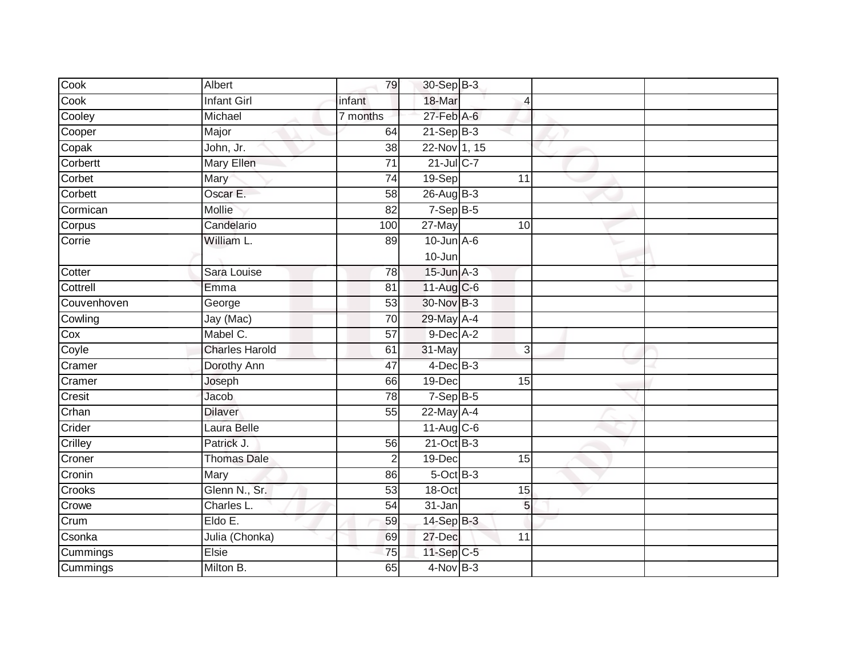| Cook        | Albert                | 79              | 30-Sep B-3       |                 |  |
|-------------|-----------------------|-----------------|------------------|-----------------|--|
| Cook        | <b>Infant Girl</b>    | infant          | 18-Mar           | 4               |  |
| Cooley      | Michael               | 7 months        | $27$ -Feb $A$ -6 |                 |  |
| Cooper      | Major                 | 64              | $21-Sep$ B-3     |                 |  |
| Copak       | John, Jr.             | $\overline{38}$ | 22-Nov 1, 15     |                 |  |
| Corbertt    | <b>Mary Ellen</b>     | $\overline{71}$ | 21-Jul C-7       |                 |  |
| Corbet      | Mary                  | $\overline{74}$ | $19-Sep$         | 11              |  |
| Corbett     | Oscar E.              | 58              | 26-Aug B-3       |                 |  |
| Cormican    | Mollie                | 82              | $7-Sep$ B-5      |                 |  |
| Corpus      | Candelario            | 100             | 27-May           | 10              |  |
| Corrie      | William L.            | 89              | $10$ -Jun $A-6$  |                 |  |
|             |                       |                 | $10 - Jun$       |                 |  |
| Cotter      | Sara Louise           | 78              | $15$ -Jun $A-3$  |                 |  |
| Cottrell    | Emma                  | 81              | 11-Aug C-6       |                 |  |
| Couvenhoven | George                | 53              | 30-Nov B-3       |                 |  |
| Cowling     | Jay (Mac)             | 70              | 29-May A-4       |                 |  |
| Cox         | Mabel C.              | $\overline{57}$ | $9$ -Dec $A-2$   |                 |  |
| Coyle       | <b>Charles Harold</b> | 61              | 31-May           | 3               |  |
| Cramer      | Dorothy Ann           | 47              | $4$ -Dec $B$ -3  |                 |  |
| Cramer      | Joseph                | 66              | $19$ -Dec        | $\overline{15}$ |  |
| Cresit      | Jacob                 | $\overline{78}$ | $7-Sep B-5$      |                 |  |
| Crhan       | <b>Dilaver</b>        | 55              | 22-May A-4       |                 |  |
| Crider      | Laura Belle           |                 | 11-Aug C-6       |                 |  |
| Crilley     | Patrick J.            | 56              | $21-Oct$ B-3     |                 |  |
| Croner      | <b>Thomas Dale</b>    | $\overline{2}$  | 19-Dec           | 15              |  |
| Cronin      | Mary                  | 86              | $5$ -Oct $B$ -3  |                 |  |
| Crooks      | Glenn N., Sr.         | 53              | $18-Oct$         | 15              |  |
| Crowe       | Charles L.            | 54              | 31-Jan           | 5               |  |
| Crum        | Eldo E.               | 59              | $14-Sep$ B-3     |                 |  |
| Csonka      | Julia (Chonka)        | 69              | 27-Dec           | 11              |  |
| Cummings    | Elsie                 | 75              | 11-Sep C-5       |                 |  |
| Cummings    | Milton B.             | 65              | $4$ -Nov $B-3$   |                 |  |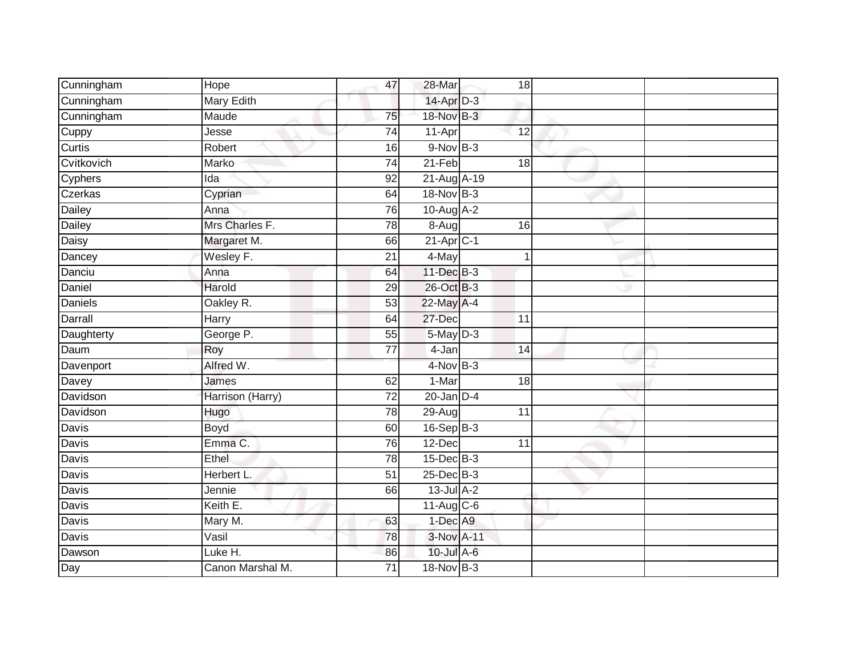| Cunningham | Hope              | 47              | 28-Mar                  | 18              |  |
|------------|-------------------|-----------------|-------------------------|-----------------|--|
| Cunningham | <b>Mary Edith</b> |                 | 14-Apr D-3              |                 |  |
| Cunningham | Maude             | 75              | 18-Nov B-3              |                 |  |
| Cuppy      | Jesse             | $\overline{74}$ | 11-Apr                  | $\overline{12}$ |  |
| Curtis     | Robert            | 16              | 9-Nov B-3               |                 |  |
| Cvitkovich | Marko             | 74              | $21-Feb$                | 18              |  |
| Cyphers    | Ida               | 92              | 21-Aug A-19             |                 |  |
| Czerkas    | Cyprian           | 64              | 18-Nov B-3              |                 |  |
| Dailey     | Anna              | $\overline{76}$ | $10$ -Aug $A$ -2        |                 |  |
| Dailey     | Mrs Charles F.    | $\overline{78}$ | 8-Aug                   | 16              |  |
| Daisy      | Margaret M.       | 66              | $21-Apr$ <sub>C-1</sub> |                 |  |
| Dancey     | Wesley F.         | $\overline{21}$ | 4-May                   |                 |  |
| Danciu     | Anna              | 64              | $11$ -Dec $B-3$         |                 |  |
| Daniel     | Harold            | 29              | 26-Oct B-3              |                 |  |
| Daniels    | Oakley R.         | 53              | 22-May A-4              |                 |  |
| Darrall    | Harry             | 64              | 27-Dec                  | 11              |  |
| Daughterty | George P.         | $\overline{55}$ | $5$ -May $D-3$          |                 |  |
| Daum       | Roy               | 77              | 4-Jan                   | 14              |  |
| Davenport  | Alfred W.         |                 | 4-Nov B-3               |                 |  |
| Davey      | James             | 62              | $1-Mar$                 | $\overline{18}$ |  |
| Davidson   | Harrison (Harry)  | $\overline{72}$ | $20$ -Jan $D-4$         |                 |  |
| Davidson   | Hugo              | 78              | $29-Aug$                | $\overline{11}$ |  |
| Davis      | Boyd              | 60              | $16-Sep$ B-3            |                 |  |
| Davis      | Emma C.           | $\overline{76}$ | $12$ -Dec               | $\overline{11}$ |  |
| Davis      | Ethel             | 78              | $15$ -Dec $B-3$         |                 |  |
| Davis      | Herbert L.        | 51              | $25$ -Dec $B-3$         |                 |  |
| Davis      | Jennie            | 66              | $13$ -Jul $A-2$         |                 |  |
| Davis      | Keith E.          |                 | 11-Aug C-6              |                 |  |
| Davis      | Mary M.           | 63              | 1-Dec A9                |                 |  |
| Davis      | Vasil             | 78              | 3-Nov A-11              |                 |  |
| Dawson     | Luke H.           | 86              | 10-Jul A-6              |                 |  |
| Day        | Canon Marshal M.  | $\overline{71}$ | 18-Nov B-3              |                 |  |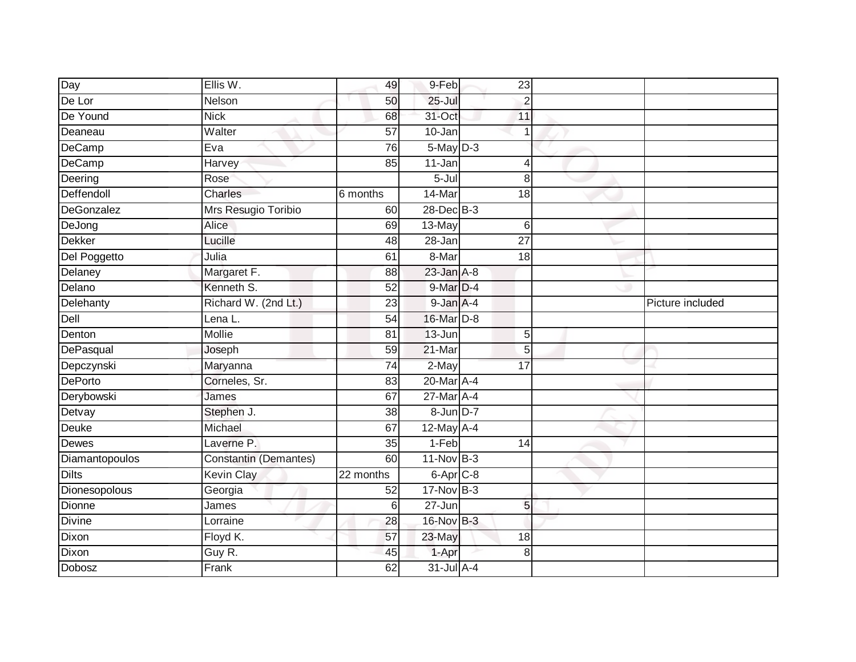| Day            | Ellis W.                     | 49              | 9-Feb           | 23              |                  |
|----------------|------------------------------|-----------------|-----------------|-----------------|------------------|
| De Lor         | Nelson                       | 50              | $25 -$ Jul      | $\overline{2}$  |                  |
| De Yound       | <b>Nick</b>                  | 68              | 31-Oct          | 11              |                  |
| Deaneau        | Walter                       | $\overline{57}$ | $10 - Jan$      |                 |                  |
| DeCamp         | Eva                          | 76              | $5$ -May $D-3$  |                 |                  |
| DeCamp         | Harvey                       | 85              | 11-Jan          | 4               |                  |
| Deering        | Rose                         |                 | 5-Jul           | 8               |                  |
| Deffendoll     | Charles                      | 6 months        | 14-Mar          | 18              |                  |
| DeGonzalez     | Mrs Resugio Toribio          | 60              | 28-Dec B-3      |                 |                  |
| DeJong         | Alice                        | 69              | 13-May          | $\,$ 6          |                  |
| <b>Dekker</b>  | Lucille                      | 48              | 28-Jan          | $\overline{27}$ |                  |
| Del Poggetto   | Julia                        | 61              | 8-Mar           | 18              |                  |
| Delaney        | Margaret F.                  | 88              | $23$ -Jan $A-8$ |                 |                  |
| Delano         | Kenneth S.                   | 52              | 9-Mar D-4       |                 |                  |
| Delehanty      | Richard W. (2nd Lt.)         | $\overline{23}$ | 9-Jan A-4       |                 | Picture included |
| Dell           | Lena L.                      | 54              | 16-Mar D-8      |                 |                  |
| Denton         | <b>Mollie</b>                | $\overline{81}$ | $13 - Jun$      | $\overline{5}$  |                  |
| DePasqual      | Joseph                       | 59              | 21-Mar          | 5               |                  |
| Depczynski     | Maryanna                     | 74              | $2$ -May        | 17              |                  |
| DePorto        | Corneles, Sr.                | 83              | 20-Mar A-4      |                 |                  |
| Derybowski     | James                        | 67              | 27-Mar A-4      |                 |                  |
| Detvay         | Stephen J.                   | $\overline{38}$ | 8-Jun D-7       |                 |                  |
| Deuke          | Michael                      | 67              | 12-May A-4      |                 |                  |
| Dewes          | Laverne P.                   | 35              | 1-Feb           | 14              |                  |
| Diamantopoulos | <b>Constantin (Demantes)</b> | 60              | $11-Nov$ B-3    |                 |                  |
| <b>Dilts</b>   | <b>Kevin Clay</b>            | 22 months       | $6-Apr$ $C-8$   |                 |                  |
| Dionesopolous  | Georgia                      | 52              | $17$ -Nov $B-3$ |                 |                  |
| Dionne         | James                        | $6\phantom{1}$  | $27 - Jun$      | 5               |                  |
| Divine         | Lorraine                     | 28              | 16-Nov B-3      |                 |                  |
| Dixon          | Floyd K.                     | 57              | 23-May          | 18              |                  |
| Dixon          | Guy R.                       | 45              | 1-Apr           | 8               |                  |
| Dobosz         | Frank                        | 62              | $31$ -Jul A-4   |                 |                  |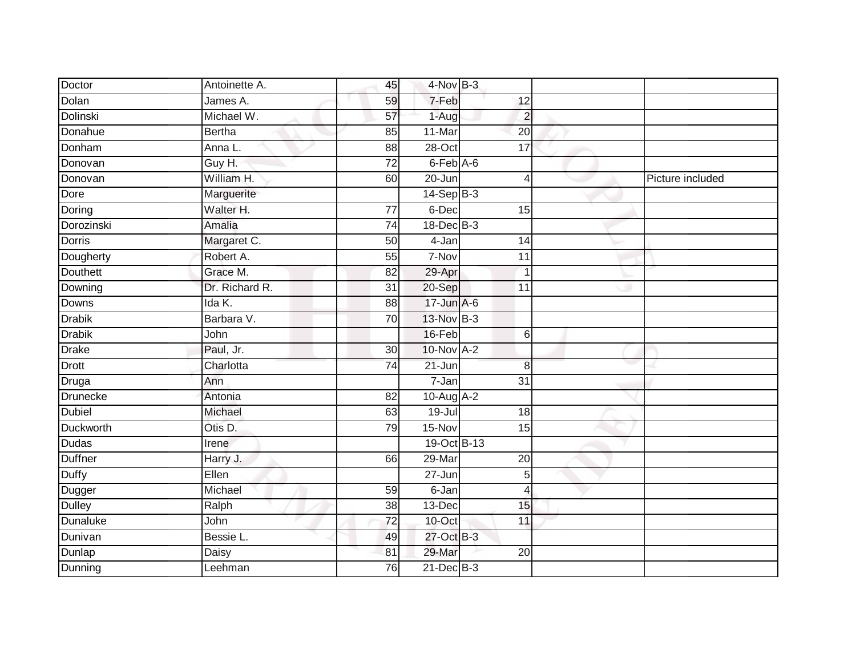| Doctor           | Antoinette A.  | 45              | 4-Nov B-3       |                 |                  |
|------------------|----------------|-----------------|-----------------|-----------------|------------------|
| Dolan            | James A.       | 59              | 7-Feb           | 12              |                  |
| Dolinski         | Michael W.     | $\overline{57}$ | $1-Aug$         | $\overline{2}$  |                  |
| Donahue          | Bertha         | 85              | 11-Mar          | 20              |                  |
| Donham           | Anna L.        | $\overline{88}$ | $28 - Oct$      | 17              |                  |
| Donovan          | Guy H.         | 72              | 6-Feb A-6       |                 |                  |
| Donovan          | William H.     | 60              | 20-Jun          | $\overline{4}$  | Picture included |
| Dore             | Marguerite     |                 | $14-Sep$ B-3    |                 |                  |
| Doring           | Walter H.      | 77              | 6-Dec           | 15              |                  |
| Dorozinski       | Amalia         | $\overline{74}$ | $18$ -Dec $B-3$ |                 |                  |
| Dorris           | Margaret C.    | 50              | 4-Jan           | 14              |                  |
| Dougherty        | Robert A.      | 55              | 7-Nov           | $\overline{11}$ |                  |
| <b>Douthett</b>  | Grace M.       | 82              | 29-Apr          | 1               |                  |
| Downing          | Dr. Richard R. | 31              | 20-Sep          | 11              |                  |
| Downs            | Ida K.         | 88              | 17-Jun A-6      |                 |                  |
| <b>Drabik</b>    | Barbara V.     | 70              | 13-Nov B-3      |                 |                  |
| <b>Drabik</b>    | John           |                 | 16-Feb          | 6               |                  |
| <b>Drake</b>     | Paul, Jr.      | 30              | $10$ -Nov $A-2$ |                 |                  |
| Drott            | Charlotta      | $\overline{74}$ | 21-Jun          | 8               |                  |
| <b>Druga</b>     | Ann            |                 | $7 - Jan$       | $\overline{31}$ |                  |
| Drunecke         | Antonia        | 82              | 10-Aug A-2      |                 |                  |
| <b>Dubiel</b>    | Michael        | 63              | $19 -$ Jul      | 18              |                  |
| <b>Duckworth</b> | Otis D.        | 79              | 15-Nov          | 15              |                  |
| Dudas            | Irene          |                 | 19-Oct B-13     |                 |                  |
| Duffner          | Harry J.       | 66              | 29-Mar          | 20              |                  |
| <b>Duffy</b>     | Ellen          |                 | 27-Jun          | 5               |                  |
| Dugger           | Michael        | 59              | $6 - Jan$       | $\overline{4}$  |                  |
| <b>Dulley</b>    | Ralph          | 38              | 13-Dec          | 15              |                  |
| <b>Dunaluke</b>  | John           | 72              | 10-Oct          | 11              |                  |
| Dunivan          | Bessie L.      | 49              | 27-Oct B-3      |                 |                  |
| Dunlap           | Daisy          | 81              | 29-Mar          | 20              |                  |
| Dunning          | Leehman        | 76              | $21$ -Dec $B-3$ |                 |                  |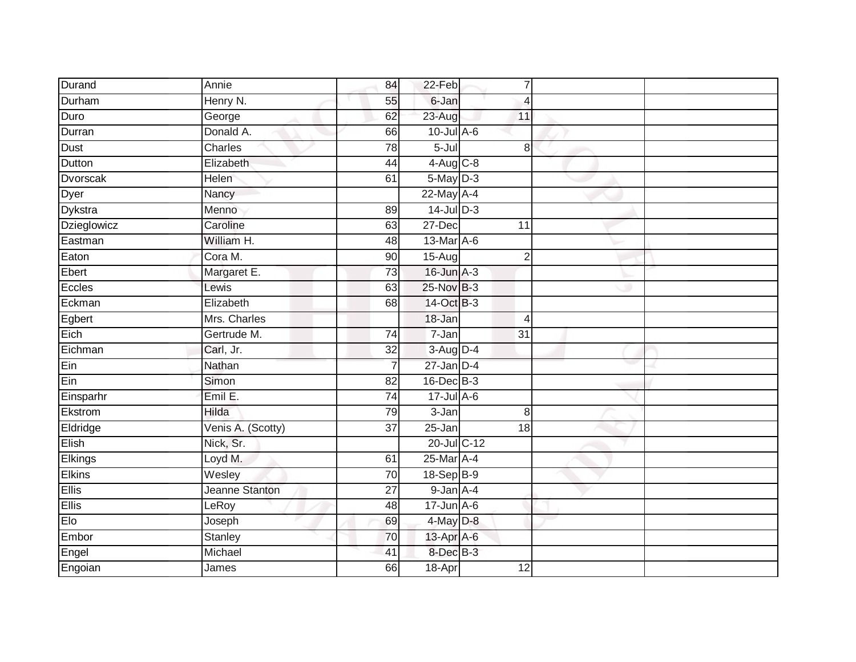| Durand        | Annie             | 84              | 22-Feb                 | $\overline{7}$  |  |
|---------------|-------------------|-----------------|------------------------|-----------------|--|
| Durham        | Henry N.          | 55              | 6-Jan                  | $\overline{4}$  |  |
| Duro          | George            | 62              | 23-Aug                 | 11              |  |
| Durran        | Donald A.         | 66              | $10$ -Jul $A$ -6       |                 |  |
| Dust          | Charles           | 78              | $5 -$ Jul              | $\overline{8}$  |  |
| Dutton        | Elizabeth         | 44              | $4-Aug$ <sub>C-8</sub> |                 |  |
| Dvorscak      | Helen             | 61              | $5$ -May $D-3$         |                 |  |
| Dyer          | Nancy             |                 | 22-May A-4             |                 |  |
| Dykstra       | Menno             | 89              | $14$ -Jul D-3          |                 |  |
| Dzieglowicz   | Caroline          | 63              | $27 - Dec$             | 11              |  |
| Eastman       | William H.        | 48              | 13-Mar A-6             |                 |  |
| Eaton         | Cora M.           | 90              | $15-Aug$               | $\overline{2}$  |  |
| Ebert         | Margaret E.       | 73              | $16$ -Jun $A-3$        |                 |  |
| Eccles        | Lewis             | 63              | 25-Nov B-3             |                 |  |
| Eckman        | Elizabeth         | 68              | 14-Oct B-3             |                 |  |
| Egbert        | Mrs. Charles      |                 | 18-Jan                 | 4               |  |
| Eich          | Gertrude M.       | 74              | $7 - Jan$              | $\overline{31}$ |  |
| Eichman       | Carl, Jr.         | 32              | $3-Aug$ D-4            |                 |  |
| Ein           | Nathan            |                 | $27$ -Jan D-4          |                 |  |
| Ein           | Simon             | 82              | 16-Dec B-3             |                 |  |
| Einsparhr     | Emil E.           | 74              | $17$ -Jul $A-6$        |                 |  |
| Ekstrom       | Hilda             | 79              | $3 - Jan$              | $\,8\,$         |  |
| Eldridge      | Venis A. (Scotty) | 37              | 25-Jan                 | $\overline{18}$ |  |
| Elish         | Nick, Sr.         |                 | 20-Jul C-12            |                 |  |
| Elkings       | Loyd M.           | 61              | 25-Mar A-4             |                 |  |
| <b>Elkins</b> | Wesley            | 70              | 18-Sep B-9             |                 |  |
| <b>Ellis</b>  | Jeanne Stanton    | $\overline{27}$ | $9$ -Jan $A-4$         |                 |  |
| Ellis         | LeRoy             | 48              | $17$ -Jun $A$ -6       |                 |  |
| Elo           | Joseph            | 69              | $4$ -May $D-8$         |                 |  |
| Embor         | Stanley           | 70              | 13-Apr A-6             |                 |  |
| Engel         | Michael           | 41              | 8-Dec B-3              |                 |  |
| Engoian       | James             | 66              | 18-Apr                 | $\overline{12}$ |  |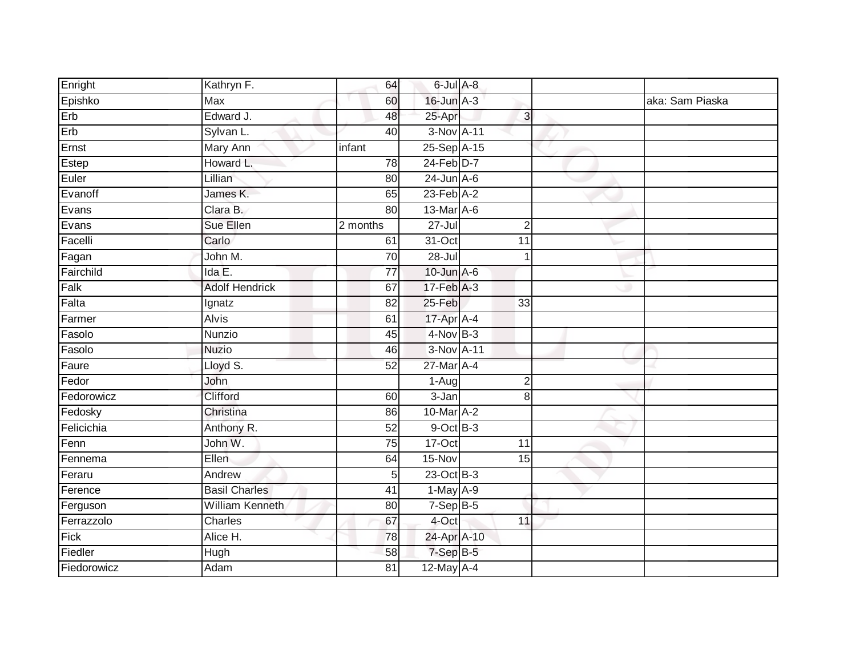| Enright     | Kathryn F.             | 64              | 6-Jul A-8                 |                 |                 |
|-------------|------------------------|-----------------|---------------------------|-----------------|-----------------|
| Epishko     | <b>Max</b>             | 60              | 16-Jun A-3                |                 | aka: Sam Piaska |
| Erb         | Edward J.              | 48              | 25-Apr                    | $\overline{3}$  |                 |
| Erb         | Sylvan L.              | 40              | 3-Nov A-11                |                 |                 |
| Ernst       | <b>Mary Ann</b>        | infant          | 25-Sep A-15               |                 |                 |
| Estep       | Howard L.              | 78              | 24-Feb D-7                |                 |                 |
| Euler       | Lillian                | 80              | $24$ -Jun $A-6$           |                 |                 |
| Evanoff     | James K.               | 65              | $23$ -Feb $A-2$           |                 |                 |
| Evans       | Clara B.               | 80              | 13-Mar A-6                |                 |                 |
| Evans       | Sue Ellen              | 2 months        | $27 -$ Jul                | $\overline{2}$  |                 |
| Facelli     | Carlo                  | 61              | 31-Oct                    | $\overline{11}$ |                 |
| Fagan       | John M.                | 70              | $28 -$ Jul                | 1               |                 |
| Fairchild   | Ida E.                 | 77              | $10$ -Jun $A-6$           |                 |                 |
| Falk        | <b>Adolf Hendrick</b>  | 67              | $17 - Feb \overline{A-3}$ |                 |                 |
| Falta       | Ignatz                 | 82              | 25-Feb                    | 33              |                 |
| Farmer      | <b>Alvis</b>           | 61              | 17-Apr A-4                |                 |                 |
| Fasolo      | Nunzio                 | 45              | $4-Nov$ B-3               |                 |                 |
| Fasolo      | <b>Nuzio</b>           | 46              | 3-Nov A-11                |                 |                 |
| Faure       | Lloyd S.               | 52              | 27-Mar A-4                |                 |                 |
| Fedor       | John                   |                 | $1-Aug$                   | $\overline{2}$  |                 |
| Fedorowicz  | Clifford               | 60              | $3 - Jan$                 | 8               |                 |
| Fedosky     | Christina              | 86              | 10-Mar A-2                |                 |                 |
| Felicichia  | Anthony R.             | 52              | $9$ -Oct $B$ -3           |                 |                 |
| Fenn        | John W.                | 75              | 17-Oct                    | 11              |                 |
| Fennema     | Ellen                  | 64              | 15-Nov                    | 15              |                 |
| Feraru      | Andrew                 | 5               | $23$ -Oct B-3             |                 |                 |
| Ference     | <b>Basil Charles</b>   | 41              | $1-May$ A-9               |                 |                 |
| Ferguson    | <b>William Kenneth</b> | 80              | $7-Sep$ B-5               |                 |                 |
| Ferrazzolo  | <b>Charles</b>         | 67              | 4-Oct                     | 11              |                 |
| Fick        | Alice H.               | 78              | 24-Apr A-10               |                 |                 |
| Fiedler     | Hugh                   | 58              | 7-Sep B-5                 |                 |                 |
| Fiedorowicz | Adam                   | $\overline{81}$ | 12-May A-4                |                 |                 |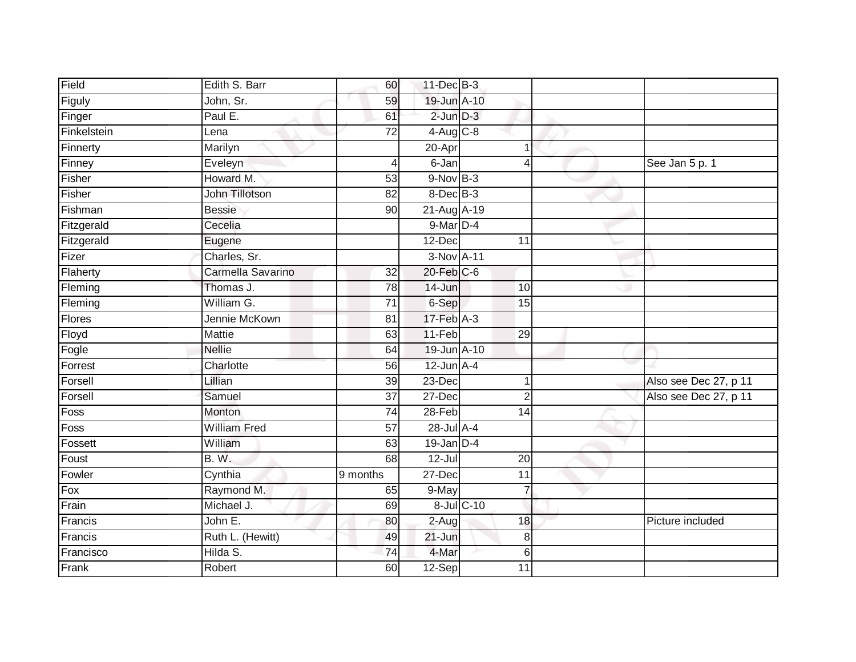| Field       | Edith S. Barr       | 60                    | 11-Dec B-3       |            |                 |                       |
|-------------|---------------------|-----------------------|------------------|------------|-----------------|-----------------------|
| Figuly      | John, Sr.           | 59                    | 19-Jun A-10      |            |                 |                       |
| Finger      | Paul E.             | 61                    | $2$ -Jun $D-3$   |            |                 |                       |
| Finkelstein | Lena                | $\overline{72}$       | $4$ -Aug $C-8$   |            |                 |                       |
| Finnerty    | Marilyn             |                       | 20-Apr           |            |                 |                       |
| Finney      | Eveleyn             | 4                     | $6 - Jan$        |            | Δ               | See Jan 5 p. 1        |
| Fisher      | Howard M.           | 53                    | $9-NovB-3$       |            |                 |                       |
| Fisher      | John Tillotson      | 82                    | 8-Dec B-3        |            |                 |                       |
| Fishman     | <b>Bessie</b>       | 90                    | 21-Aug A-19      |            |                 |                       |
| Fitzgerald  | Cecelia             |                       | $9$ -Mar $D-4$   |            |                 |                       |
| Fitzgerald  | Eugene              |                       | 12-Dec           |            | 11              |                       |
| Fizer       | Charles, Sr.        |                       | 3-Nov A-11       |            |                 |                       |
| Flaherty    | Carmella Savarino   | 32                    | $20$ -Feb $C$ -6 |            |                 |                       |
| Fleming     | Thomas J.           | 78                    | 14-Jun           |            | 10              |                       |
| Fleming     | William G.          | $\overline{71}$       | 6-Sep            |            | 15              |                       |
| Flores      | Jennie McKown       | 81                    | $17$ -Feb $A-3$  |            |                 |                       |
| Floyd       | <b>Mattie</b>       | 63                    | 11-Feb           |            | 29              |                       |
| Fogle       | <b>Nellie</b>       | 64                    | 19-Jun A-10      |            |                 |                       |
| Forrest     | Charlotte           | 56                    | $12$ -Jun $A-4$  |            |                 |                       |
| Forsell     | Lillian             | 39                    | $23$ -Dec        |            | 1               | Also see Dec 27, p 11 |
| Forsell     | Samuel              | 37                    | 27-Dec           |            | $\overline{2}$  | Also see Dec 27, p 11 |
| Foss        | Monton              | 74                    | $28 - Feb$       |            | $\overline{14}$ |                       |
| Foss        | <b>William Fred</b> | 57                    | 28-Jul A-4       |            |                 |                       |
| Fossett     | William             | 63                    | $19$ -Jan D-4    |            |                 |                       |
| Foust       | <b>B.W.</b>         | 68                    | $12 -$ Jul       |            | 20              |                       |
| Fowler      | Cynthia             | $\overline{9}$ months | 27-Dec           |            | $\overline{11}$ |                       |
| Fox         | Raymond M.          | 65                    | 9-May            |            |                 |                       |
| Frain       | Michael J.          | 69                    |                  | 8-Jul C-10 |                 |                       |
| Francis     | John E.             | 80                    | 2-Aug            |            | 18              | Picture included      |
| Francis     | Ruth L. (Hewitt)    | 49                    | $21 - Jun$       |            | 8               |                       |
| Francisco   | Hilda S.            | 74                    | 4-Mar            |            | 6               |                       |
| Frank       | Robert              | 60                    | $12-Sep$         |            | 11              |                       |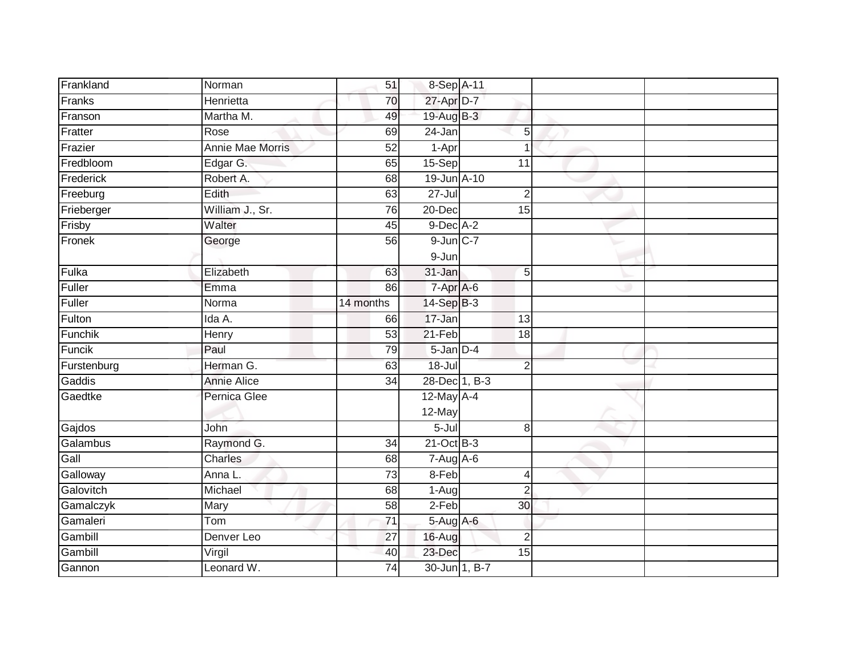| Frankland     | Norman                  | 51              | 8-Sep A-11     |                 |  |
|---------------|-------------------------|-----------------|----------------|-----------------|--|
| Franks        | Henrietta               | 70              | 27-Apr D-7     |                 |  |
| Franson       | Martha M.               | 49              | 19-Aug B-3     |                 |  |
| Fratter       | Rose                    | 69              | 24-Jan         | 5               |  |
| Frazier       | <b>Annie Mae Morris</b> | 52              | 1-Apr          | $\overline{1}$  |  |
| Fredbloom     | Edgar G.                | 65              | 15-Sep         | $\overline{11}$ |  |
| Frederick     | Robert A.               | 68              | 19-Jun A-10    |                 |  |
| Freeburg      | Edith                   | 63              | $27 -$ Jul     | $\overline{2}$  |  |
| Frieberger    | William J., Sr.         | 76              | 20-Dec         | 15              |  |
| Frisby        | Walter                  | 45              | $9$ -Dec $A-2$ |                 |  |
| Fronek        | George                  | 56              | $9$ -Jun $C-7$ |                 |  |
|               |                         |                 | $9 - Jun$      |                 |  |
| Fulka         | Elizabeth               | 63              | 31-Jan         | 5               |  |
| Fuller        | Emma                    | 86              | 7-Apr A-6      |                 |  |
| <b>Fuller</b> | Norma                   | 14 months       | $14-Sep$ B-3   |                 |  |
| Fulton        | Ida A.                  | 66              | 17-Jan         | 13              |  |
| Funchik       | Henry                   | $\overline{53}$ | $21-Feb$       | $\overline{18}$ |  |
| Funcik        | Paul                    | 79              | $5$ -Jan $D-4$ |                 |  |
| Furstenburg   | Herman G.               | 63              | $18 -$ Jul     | $\overline{2}$  |  |
| Gaddis        | <b>Annie Alice</b>      | $\overline{34}$ | 28-Dec 1, B-3  |                 |  |
| Gaedtke       | Pernica Glee            |                 | 12-May A-4     |                 |  |
|               |                         |                 | 12-May         |                 |  |
| Gajdos        | John                    |                 | $5 -$ Jul      | 8               |  |
| Galambus      | Raymond G.              | $\overline{34}$ | $21$ -Oct B-3  |                 |  |
| Gall          | <b>Charles</b>          | 68              | $7 - Aug$ A-6  |                 |  |
| Galloway      | Anna L.                 | 73              | 8-Feb          | 4               |  |
| Galovitch     | Michael                 | 68              | $1-Aug$        | $\overline{2}$  |  |
| Gamalczyk     | Mary                    | 58              | 2-Feb          | 30              |  |
| Gamaleri      | Tom                     | 71              | $5-Aug$ A-6    |                 |  |
| Gambill       | Denver Leo              | 27              | 16-Aug         | $\overline{2}$  |  |
| Gambill       | Virgil                  | 40              | 23-Dec         | 15              |  |
| Gannon        | Leonard W.              | $\overline{74}$ | 30-Jun 1, B-7  |                 |  |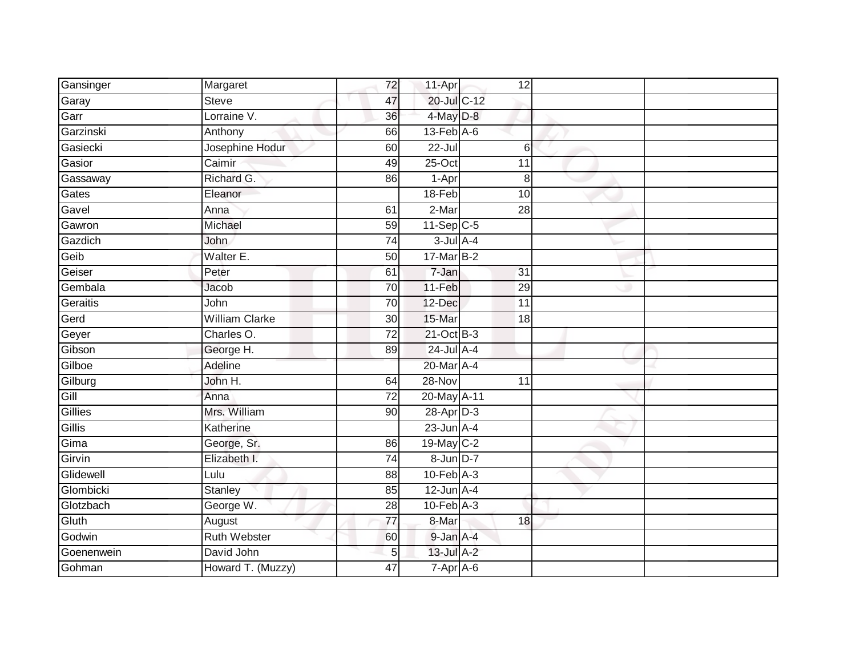| Gansinger  | Margaret              | 72              | 11-Apr                      | 12              |  |
|------------|-----------------------|-----------------|-----------------------------|-----------------|--|
| Garay      | <b>Steve</b>          | 47              | 20-Jul C-12                 |                 |  |
| Garr       | Lorraine V.           | $\overline{36}$ | 4-May D-8                   |                 |  |
| Garzinski  | Anthony               | 66              | $13$ -Feb $A$ -6            |                 |  |
| Gasiecki   | Josephine Hodur       | 60              | $22 -$ Jul                  | 6               |  |
| Gasior     | Caimir                | 49              | $25$ -Oct                   | 11              |  |
| Gassaway   | Richard G.            | 86              | 1-Apr                       | 8               |  |
| Gates      | Eleanor               |                 | 18-Feb                      | 10              |  |
| Gavel      | Anna                  | 61              | 2-Mar                       | 28              |  |
| Gawron     | Michael               | 59              | $11-Sep C-5$                |                 |  |
| Gazdich    | John                  | 74              | $3$ -Jul $A-4$              |                 |  |
| Geib       | Walter E.             | 50              | 17-Mar B-2                  |                 |  |
| Geiser     | Peter                 | 61              | $\overline{7}$ -Jan         | 31              |  |
| Gembala    | Jacob                 | 70              | $11-Feb$                    | 29              |  |
| Geraitis   | John                  | $\overline{70}$ | 12-Dec                      | $\overline{11}$ |  |
| Gerd       | <b>William Clarke</b> | 30              | 15-Mar                      | 18              |  |
| Geyer      | Charles O.            | $\overline{72}$ | 21-Oct B-3                  |                 |  |
| Gibson     | George H.             | 89              | $24$ -Jul A-4               |                 |  |
| Gilboe     | Adeline               |                 | 20-Mar A-4                  |                 |  |
| Gilburg    | John H.               | 64              | $28-Nov$                    | $\overline{11}$ |  |
| Gill       | Anna                  | $\overline{72}$ | 20-May A-11                 |                 |  |
| Gillies    | Mrs. William          | 90              | $28$ -Apr $D-3$             |                 |  |
| Gillis     | Katherine             |                 | $23$ -Jun $A-4$             |                 |  |
| Gima       | George, Sr.           | 86              | 19-May C-2                  |                 |  |
| Girvin     | Elizabeth I.          | 74              | 8-Jun D-7                   |                 |  |
| Glidewell  | Lulu                  | 88              | $10-Feb$ $A-3$              |                 |  |
| Glombicki  | <b>Stanley</b>        | 85              | $12$ -Jun $A-4$             |                 |  |
| Glotzbach  | George W.             | 28              | $10$ -Feb $\overline{A}$ -3 |                 |  |
| Gluth      | August                | 77              | 8-Mar                       | 18              |  |
| Godwin     | <b>Ruth Webster</b>   | 60              | 9-Jan A-4                   |                 |  |
| Goenenwein | David John            | 5               | 13-Jul A-2                  |                 |  |
| Gohman     | Howard T. (Muzzy)     | 47              | $7-Apr$ A-6                 |                 |  |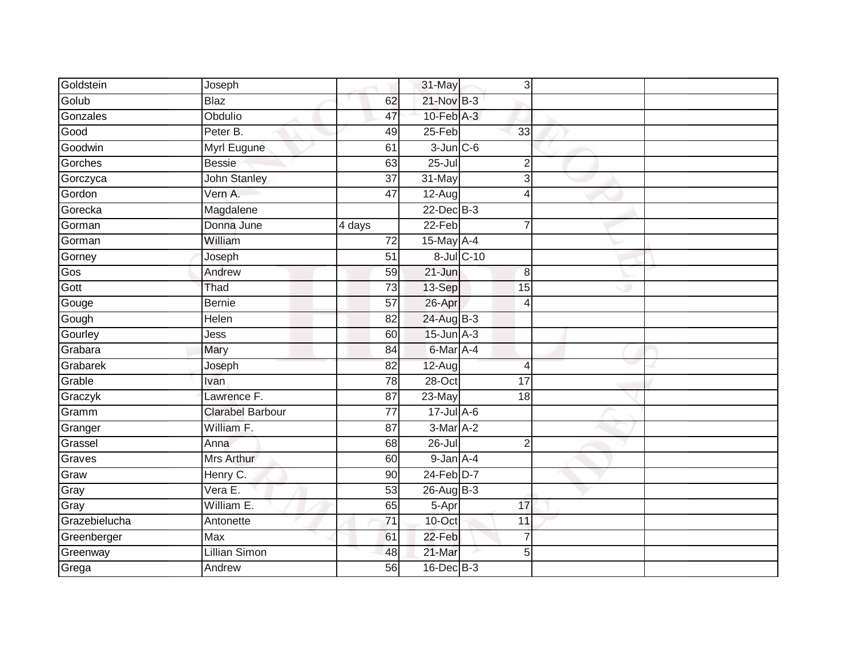| Goldstein     | Joseph                  |                 | 31-May          |                 | 3 |  |
|---------------|-------------------------|-----------------|-----------------|-----------------|---|--|
| Golub         | <b>Blaz</b>             | 62              | 21-Nov B-3      |                 |   |  |
| Gonzales      | Obdulio                 | 47              | $10$ -Feb $A-3$ |                 |   |  |
| Good          | Peter B.                | 49              | 25-Feb          | 33              |   |  |
| Goodwin       | Myrl Eugune             | 61              | $3$ -Jun $C$ -6 |                 |   |  |
| Gorches       | <b>Bessie</b>           | 63              | $25 -$ Jul      | $\overline{2}$  |   |  |
| Gorczyca      | John Stanley            | $\overline{37}$ | 31-May          | 3               |   |  |
| Gordon        | Vern A.                 | 47              | 12-Aug          | $\overline{4}$  |   |  |
| Gorecka       | Magdalene               |                 | 22-Dec B-3      |                 |   |  |
| Gorman        | Donna June              | 4 days          | $22-Feb$        | 7               |   |  |
| Gorman        | William                 | 72              | $15$ -May $A-4$ |                 |   |  |
| Gorney        | Joseph                  | 51              |                 | 8-Jul C-10      |   |  |
| Gos           | Andrew                  | 59              | 21-Jun          | 8               |   |  |
| Gott          | Thad                    | 73              | 13-Sep          | 15              |   |  |
| Gouge         | <b>Bernie</b>           | $\overline{57}$ | 26-Apr          | $\overline{4}$  |   |  |
| Gough         | Helen                   | 82              | 24-Aug B-3      |                 |   |  |
| Gourley       | Jess                    | 60              | $15$ -Jun $A-3$ |                 |   |  |
| Grabara       | Mary                    | 84              | 6-Mar A-4       |                 |   |  |
| Grabarek      | Joseph                  | 82              | $12-Aug$        | $\overline{4}$  |   |  |
| Grable        | Ivan                    | 78              | $28 - Oct$      | $\overline{17}$ |   |  |
| Graczyk       | Lawrence F.             | 87              | $23$ -May       | 18              |   |  |
| Gramm         | <b>Clarabel Barbour</b> | $\overline{77}$ | $17 -$ Jul A-6  |                 |   |  |
| Granger       | William F.              | 87              | 3-Mar A-2       |                 |   |  |
| Grassel       | Anna                    | 68              | $26 -$ Jul      | $\overline{2}$  |   |  |
| Graves        | Mrs Arthur              | 60              | $9$ -Jan $A-4$  |                 |   |  |
| Graw          | Henry C.                | 90              | $24$ -Feb $D-7$ |                 |   |  |
| Gray          | Vera E.                 | $\overline{53}$ | $26$ -Aug B-3   |                 |   |  |
| Gray          | William E.              | 65              | 5-Apr           | 17              |   |  |
| Grazebielucha | Antonette               | 71              | 10-Oct          | 11              |   |  |
| Greenberger   | <b>Max</b>              | 61              | 22-Feb          | $\overline{7}$  |   |  |
| Greenway      | Lillian Simon           | 48              | 21-Mar          | 5 <sup>1</sup>  |   |  |
| Grega         | Andrew                  | 56              | 16-Dec B-3      |                 |   |  |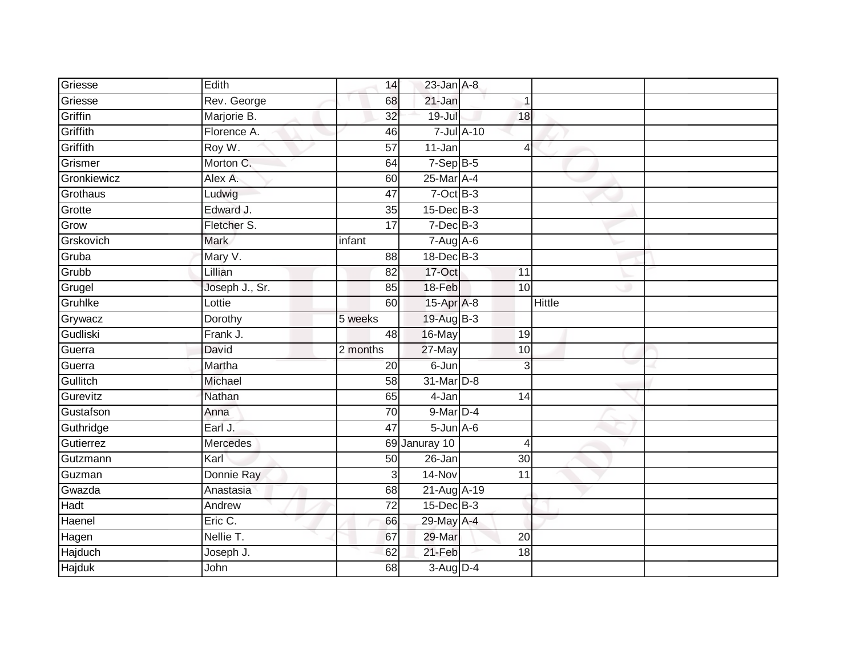| Griesse       | Edith           | 14              | $23$ -Jan $A-8$   |            |                 |               |  |
|---------------|-----------------|-----------------|-------------------|------------|-----------------|---------------|--|
| Griesse       | Rev. George     | 68              | 21-Jan            |            | 1               |               |  |
| Griffin       | Marjorie B.     | 32              | $19 -$ Jul        |            | 18              |               |  |
| Griffith      | Florence A.     | 46              |                   | 7-Jul A-10 |                 |               |  |
| Griffith      | Roy W.          | $\overline{57}$ | $11 - Jan$        |            | $\overline{4}$  |               |  |
| Grismer       | Morton C.       | 64              | $7-SepB-5$        |            |                 |               |  |
| Gronkiewicz   | Alex A.         | 60              | 25-Mar A-4        |            |                 |               |  |
| Grothaus      | Ludwig          | 47              | $7$ -Oct B-3      |            |                 |               |  |
| Grotte        | Edward J.       | 35              | 15-Dec B-3        |            |                 |               |  |
| Grow          | Fletcher S.     | $\overline{17}$ | $7$ -Dec $B-3$    |            |                 |               |  |
| Grskovich     | <b>Mark</b>     | infant          | 7-Aug A-6         |            |                 |               |  |
| Gruba         | Mary V.         | 88              | 18-Dec B-3        |            |                 |               |  |
| Grubb         | Lillian         | 82              | 17-Oct            |            | 11              |               |  |
| Grugel        | Joseph J., Sr.  | 85              | 18-Feb            |            | 10 <sup>1</sup> |               |  |
| Gruhlke       | Lottie          | 60              | 15-Apr A-8        |            |                 | <b>Hittle</b> |  |
| Grywacz       | Dorothy         | 5 weeks         | 19-Aug B-3        |            |                 |               |  |
| Gudliski      | Frank J.        | 48              | 16-May            |            | 19              |               |  |
| Guerra        | David           | 2 months        | 27-May            |            | 10              |               |  |
| Guerra        | Martha          | 20              | 6-Jun             |            | 3               |               |  |
| Gullitch      | Michael         | 58              | 31-Mar D-8        |            |                 |               |  |
| Gurevitz      | Nathan          | 65              | 4-Jan             |            | 14              |               |  |
| Gustafson     | Anna            | 70              | 9-Mar D-4         |            |                 |               |  |
| Guthridge     | Earl J.         | 47              | $5 - Jun$ $A - 6$ |            |                 |               |  |
| Gutierrez     | <b>Mercedes</b> |                 | 69 Januray 10     |            | $\overline{4}$  |               |  |
| Gutzmann      | Karl            | 50              | 26-Jan            |            | 30 <sup>°</sup> |               |  |
| Guzman        | Donnie Ray      | 3               | 14-Nov            |            | 11              |               |  |
| Gwazda        | Anastasia       | 68              | 21-Aug A-19       |            |                 |               |  |
| <b>Hadt</b>   | Andrew          | 72              | 15-Dec B-3        |            |                 |               |  |
| Haenel        | Eric C.         | 66              | 29-May A-4        |            |                 |               |  |
| Hagen         | Nellie T.       | 67              | 29-Mar            |            | 20              |               |  |
| Hajduch       | Joseph J.       | 62              | 21-Feb            |            | 18              |               |  |
| <b>Hajduk</b> | John            | 68              | $3-Aug$ D-4       |            |                 |               |  |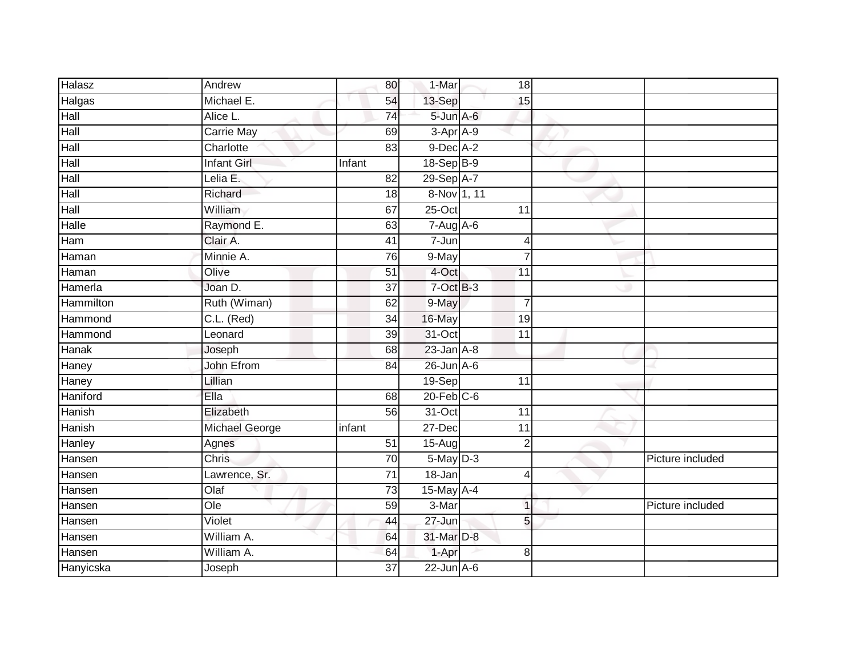| Halasz        | Andrew                   | 80              | 1-Mar                       | 18              |                  |
|---------------|--------------------------|-----------------|-----------------------------|-----------------|------------------|
| Halgas        | Michael E.               | 54              | 13-Sep                      | 15              |                  |
| Hall          | Alice L.                 | $\overline{74}$ | 5-Jun A-6                   |                 |                  |
| Hall          | Carrie May               | 69              | 3-Apr A-9                   |                 |                  |
| Hall          | Charlotte                | 83              | 9-Dec A-2                   |                 |                  |
| Hall          | <b>Infant Girl</b>       | Infant          | 18-Sep B-9                  |                 |                  |
| Hall          | Lelia E.                 | 82              | 29-Sep A-7                  |                 |                  |
| Hall          | Richard                  | 18              | 8-Nov 1, 11                 |                 |                  |
| Hall          | William                  | 67              | $25$ -Oct                   | 11              |                  |
| <b>Halle</b>  | Raymond E.               | 63              | $7 - Aug$ A-6               |                 |                  |
| Ham           | Clair A.                 | 41              | 7-Jun                       | $\overline{4}$  |                  |
| Haman         | Minnie A.                | 76              | 9-May                       | $\overline{7}$  |                  |
| Haman         | Olive                    | 51              | 4-Oct                       | 11              |                  |
| Hamerla       | Joan D.                  | 37              | $7$ -Oct $B-3$              |                 |                  |
| Hammilton     | Ruth (Wiman)             | 62              | 9-May                       | 7               |                  |
| Hammond       | C.L. (Red)               | 34              | 16-May                      | 19              |                  |
| Hammond       | Leonard                  | $\overline{39}$ | 31-Oct                      | $\overline{11}$ |                  |
| Hanak         | Joseph                   | 68              | $23$ -Jan $A-8$             |                 |                  |
| Haney         | John Efrom               | 84              | $26$ -Jun $A$ -6            |                 |                  |
| Haney         | Lillian                  |                 | 19-Sep                      | 11              |                  |
| Haniford      | Ella                     | 68              | $20$ -Feb $C$ -6            |                 |                  |
| <b>Hanish</b> | Elizabeth                | 56              | $31-Oct$                    | 11              |                  |
| Hanish        | Michael George           | infant          | 27-Dec                      | 11              |                  |
| Hanley        | Agnes                    | $\overline{51}$ | 15-Aug                      | $\overline{2}$  |                  |
| Hansen        | Chris                    | 70              | $5$ -May $D-3$              |                 | Picture included |
| Hansen        | Lawrence, Sr.            | $\overline{71}$ | 18-Jan                      | $\overline{4}$  |                  |
| Hansen        | $\overline{O\text{Iaf}}$ | $\overline{73}$ | 15-May A-4                  |                 |                  |
| Hansen        | Ole                      | 59              | 3-Mar                       | $\overline{1}$  | Picture included |
| Hansen        | Violet                   | 44              | 27-Jun                      | 5               |                  |
| Hansen        | William A.               | 64              | 31-Mar D-8                  |                 |                  |
| Hansen        | William A.               | 64              | 1-Apr                       | 8               |                  |
| Hanyicska     | Joseph                   | $\overline{37}$ | $22$ -Jun $\overline{A}$ -6 |                 |                  |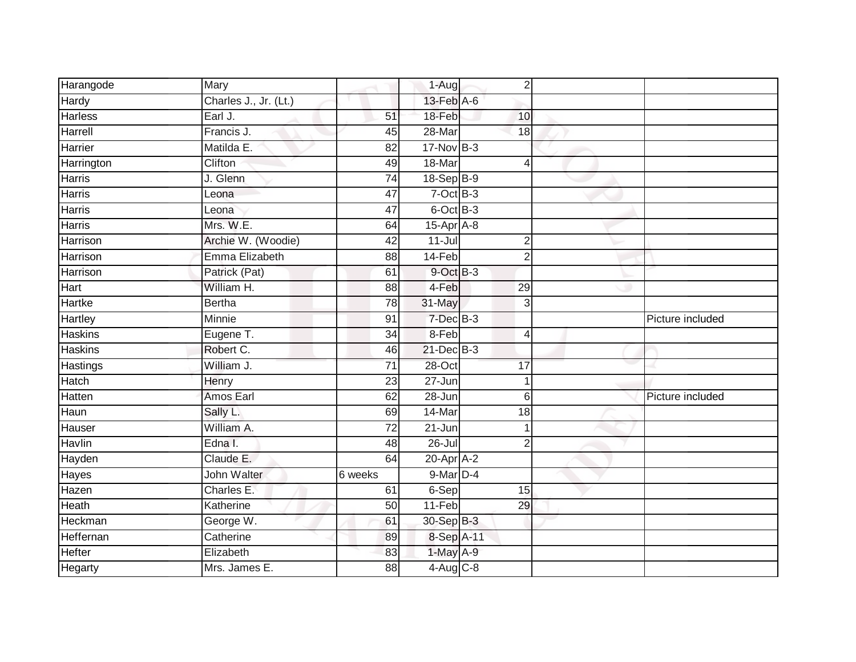| Harangode       | Mary                  |                 | $1-Aug$          | $\overline{2}$  |                  |
|-----------------|-----------------------|-----------------|------------------|-----------------|------------------|
| Hardy           | Charles J., Jr. (Lt.) |                 | 13-Feb A-6       |                 |                  |
| <b>Harless</b>  | Earl J.               | 51              | 18-Feb           | 10              |                  |
| Harrell         | Francis J.            | 45              | 28-Mar           | 18              |                  |
| Harrier         | Matilda E.            | $\overline{82}$ | $17-Nov$ B-3     |                 |                  |
| Harrington      | Clifton               | 49              | 18-Mar           | 4               |                  |
| <b>Harris</b>   | J. Glenn              | $\overline{74}$ | $18-SepB-9$      |                 |                  |
| Harris          | Leona                 | 47              | $7$ -Oct B-3     |                 |                  |
| <b>Harris</b>   | Leona                 | $\overline{47}$ | 6-Oct B-3        |                 |                  |
| <b>Harris</b>   | Mrs. W.E.             | 64              | 15-Apr A-8       |                 |                  |
| Harrison        | Archie W. (Woodie)    | $\overline{42}$ | $11-Jul$         | $\overline{2}$  |                  |
| Harrison        | Emma Elizabeth        | 88              | 14-Feb           | $\overline{2}$  |                  |
| Harrison        | Patrick (Pat)         | 61              | 9-Oct B-3        |                 |                  |
| Hart            | William H.            | 88              | 4-Feb            | 29              |                  |
| <b>Hartke</b>   | <b>Bertha</b>         | 78              | 31-May           | $\overline{3}$  |                  |
| Hartley         | <b>Minnie</b>         | 91              | 7-Dec B-3        |                 | Picture included |
| <b>Haskins</b>  | Eugene T.             | $\overline{34}$ | 8-Feb            | 4               |                  |
| <b>Haskins</b>  | Robert C.             | 46              | 21-Dec B-3       |                 |                  |
| <b>Hastings</b> | William J.            | 71              | 28-Oct           | 17              |                  |
| Hatch           | Henry                 | 23              | $27 - Jun$       |                 |                  |
| Hatten          | Amos Earl             | 62              | 28-Jun           | 6               | Picture included |
| Haun            | Sally L.              | 69              | 14-Mar           | $\overline{18}$ |                  |
| Hauser          | William A.            | 72              | $21 - Jun$       |                 |                  |
| Havlin          | Edna I.               | 48              | $26 -$ Jul       | $\overline{2}$  |                  |
| Hayden          | Claude E.             | 64              | $20$ -Apr $A$ -2 |                 |                  |
| <b>Hayes</b>    | John Walter           | 6 weeks         | 9-Mar D-4        |                 |                  |
| Hazen           | Charles E.            | 61              | 6-Sep            | 15              |                  |
| Heath           | Katherine             | 50              | $11-Feb$         | 29              |                  |
| Heckman         | George W.             | 61              | 30-Sep B-3       |                 |                  |
| Heffernan       | Catherine             | 89              | 8-Sep A-11       |                 |                  |
| Hefter          | Elizabeth             | 83              | 1-May A-9        |                 |                  |
| Hegarty         | Mrs. James E.         | 88              | $4-Aug$ $C-8$    |                 |                  |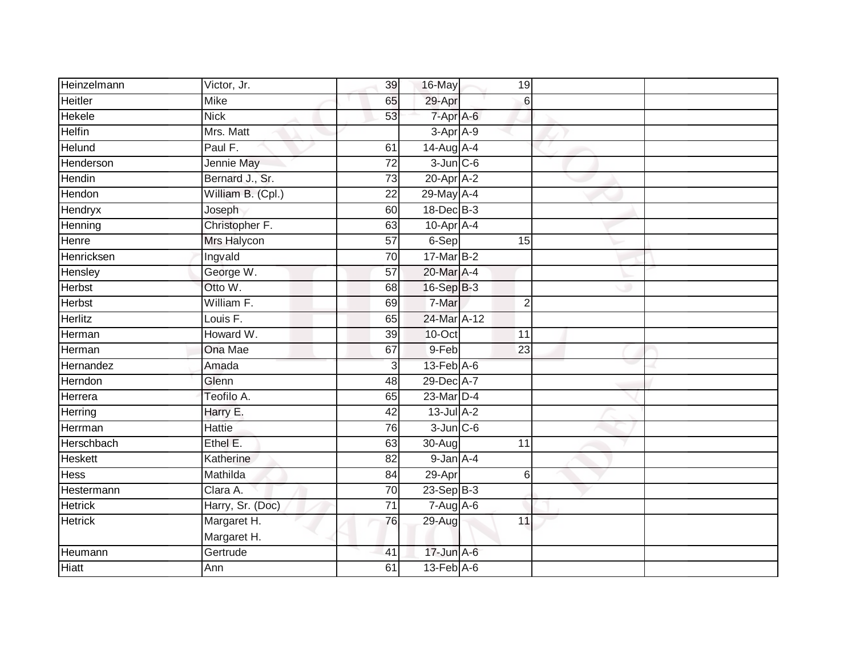| Heinzelmann    | Victor, Jr.                | 39              | 16-May            |                 | 19               |  |
|----------------|----------------------------|-----------------|-------------------|-----------------|------------------|--|
| <b>Heitler</b> | Mike                       | 65              | 29-Apr            |                 | 6                |  |
| <b>Hekele</b>  | <b>Nick</b>                | 53              | $7 - Apr$ $A - 6$ |                 |                  |  |
| <b>Helfin</b>  | Mrs. Matt                  |                 | $3-AprA-9$        |                 |                  |  |
| Helund         | Paul F.                    | 61              | 14-Aug A-4        |                 |                  |  |
| Henderson      | Jennie May                 | $\overline{72}$ | $3$ -Jun $C$ -6   |                 |                  |  |
| Hendin         | Bernard J., Sr.            | 73              | 20-Apr A-2        |                 |                  |  |
| Hendon         | William B. (Cpl.)          | $\overline{22}$ | 29-May A-4        |                 |                  |  |
| Hendryx        | Joseph                     | 60              | $18$ -Dec $B-3$   |                 |                  |  |
| Henning        | Christopher F.             | 63              | $10-Apr$ A-4      |                 |                  |  |
| Henre          | Mrs Halycon                | $\overline{57}$ | 6-Sep             |                 | 15               |  |
| Henricksen     | Ingvald                    | 70              | 17-Mar B-2        |                 |                  |  |
| Hensley        | George W.                  | 57              | 20-Mar A-4        |                 |                  |  |
| Herbst         | Otto W.                    | 68              | 16-Sep B-3        |                 |                  |  |
| <b>Herbst</b>  | William F.                 | 69              | 7-Mar             |                 | $\overline{2}$   |  |
| <b>Herlitz</b> | Louis F.                   | 65              | 24-Mar A-12       |                 |                  |  |
| Herman         | Howard W.                  | 39              | 10-Oct            | $\overline{11}$ |                  |  |
| Herman         | Ona Mae                    | 67              | 9-Feb             | 23              |                  |  |
| Hernandez      | Amada                      | $\overline{3}$  | $13$ -Feb $A$ -6  |                 |                  |  |
| Herndon        | Glenn                      | 48              | 29-Dec A-7        |                 |                  |  |
| Herrera        | Teofilo A.                 | 65              | 23-Mar D-4        |                 |                  |  |
| Herring        | Harry E.                   | 42              | $13$ -Jul $A-2$   |                 |                  |  |
| Herrman        | Hattie                     | 76              | $3$ -Jun $C$ -6   |                 |                  |  |
| Herschbach     | Ethel E.                   | 63              | $30-Auq$          | 11              |                  |  |
| <b>Heskett</b> | Katherine                  | 82              | 9-Jan A-4         |                 |                  |  |
| <b>Hess</b>    | Mathilda                   | 84              | 29-Apr            |                 | $6 \overline{6}$ |  |
| Hestermann     | Clara A.                   | 70              | $23-SepB-3$       |                 |                  |  |
| <b>Hetrick</b> | Harry, Sr. (Doc)           | 71              | $7-Aug$ A-6       |                 |                  |  |
| <b>Hetrick</b> | Margaret H.<br>Margaret H. | 76              | $29-Aug$          | 11              |                  |  |
| Heumann        | Gertrude                   | 41              | 17-Jun A-6        |                 |                  |  |
| <b>Hiatt</b>   | Ann                        | 61              | $13-Feb$ $A-6$    |                 |                  |  |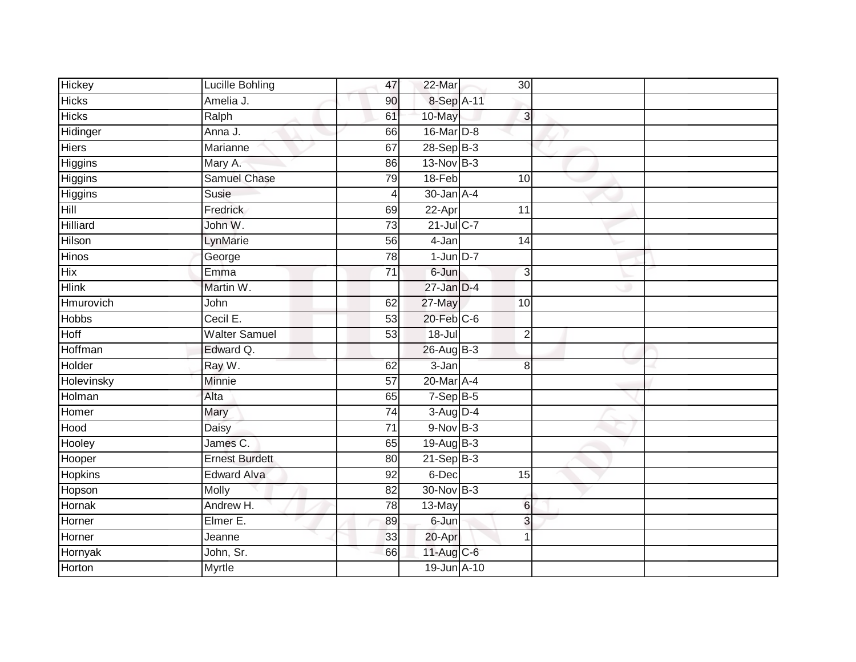| Hickey            | Lucille Bohling       | 47              | 22-Mar               | 30 <sup>1</sup> |  |
|-------------------|-----------------------|-----------------|----------------------|-----------------|--|
| <b>Hicks</b>      | Amelia J.             | 90              | 8-Sep A-11           |                 |  |
| <b>Hicks</b>      | Ralph                 | 61              | 10-May               | $\overline{3}$  |  |
| Hidinger          | Anna J.               | 66              | 16-Mar D-8           |                 |  |
| <b>Hiers</b>      | Marianne              | 67              | 28-Sep B-3           |                 |  |
| Higgins           | Mary A.               | 86              | $13-Nov$ B-3         |                 |  |
| Higgins           | <b>Samuel Chase</b>   | 79              | 18-Feb               | 10              |  |
| Higgins           | Susie                 | 4               | $30 - Jan$ A-4       |                 |  |
| Hill              | Fredrick              | 69              | 22-Apr               | 11              |  |
| Hilliard          | John W.               | $\overline{73}$ | 21-Jul C-7           |                 |  |
| Hilson            | LynMarie              | 56              | 4-Jan                | 14              |  |
| Hinos             | George                | 78              | $1$ -Jun $D-7$       |                 |  |
| Hix               | Emma                  | $\overline{71}$ | 6-Jun                | 3               |  |
| <b>Hlink</b>      | Martin W.             |                 | $27 - Jan$ $D-4$     |                 |  |
| Hmurovich         | John                  | 62              | 27-May               | 10              |  |
| <b>Hobbs</b>      | Cecil E.              | 53              | $20$ -Feb $C$ -6     |                 |  |
| Hoff              | <b>Walter Samuel</b>  | 53              | $18 -$ Jul           | $\overline{2}$  |  |
| Hoffman           | Edward Q.             |                 | 26-Aug B-3           |                 |  |
| Holder            | Ray W.                | 62              | $3-Jan$              | 8               |  |
| <b>Holevinsky</b> | <b>Minnie</b>         | 57              | 20-Mar A-4           |                 |  |
| Holman            | Alta                  | 65              | $7-Sep$ B-5          |                 |  |
| Homer             | Mary                  | $\overline{74}$ | 3-Aug D-4            |                 |  |
| Hood              | Daisy                 | 71              | $9-Nov$ B-3          |                 |  |
| Hooley            | James C.              | 65              | $19-AugB-3$          |                 |  |
| Hooper            | <b>Ernest Burdett</b> | 80              | $21-Sep$ B-3         |                 |  |
| Hopkins           | <b>Edward Alva</b>    | 92              | 6-Dec                | 15              |  |
| Hopson            | <b>Molly</b>          | 82              | 30-Nov B-3           |                 |  |
| Hornak            | Andrew H.             | 78              | $\overline{13}$ -May | $6\phantom{1}$  |  |
| Horner            | Elmer E.              | 89              | 6-Jun                | 3               |  |
| Horner            | Jeanne                | 33              | 20-Apr               | 1               |  |
| Hornyak           | John, Sr.             | 66              | $11-Aug$ C-6         |                 |  |
| Horton            | <b>Myrtle</b>         |                 | 19-Jun A-10          |                 |  |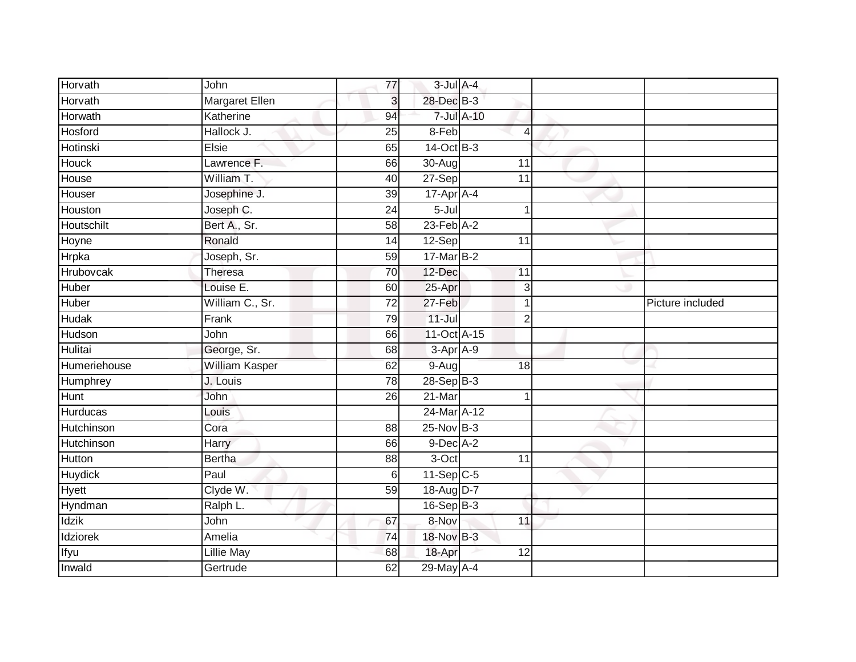| Horvath      | John                  | 77              | $3$ -Jul $A-4$  |            |                |                  |
|--------------|-----------------------|-----------------|-----------------|------------|----------------|------------------|
| Horvath      | <b>Margaret Ellen</b> | 3               | 28-Dec B-3      |            |                |                  |
| Horwath      | Katherine             | 94              |                 | 7-Jul A-10 |                |                  |
| Hosford      | Hallock J.            | 25              | 8-Feb           |            | $\overline{4}$ |                  |
| Hotinski     | Elsie                 | 65              | 14-Oct B-3      |            |                |                  |
| <b>Houck</b> | Lawrence F.           | 66              | $30 - Aug$      |            | 11             |                  |
| House        | William T.            | 40              | 27-Sep          |            | 11             |                  |
| Houser       | Josephine J.          | 39              | 17-Apr A-4      |            |                |                  |
| Houston      | Joseph C.             | 24              | $5 -$ Jul       |            | 1              |                  |
| Houtschilt   | Bert A., Sr.          | 58              | $23$ -Feb $A-2$ |            |                |                  |
| Hoyne        | Ronald                | 14              | 12-Sep          |            | 11             |                  |
| Hrpka        | Joseph, Sr.           | 59              | 17-Mar B-2      |            |                |                  |
| Hrubovcak    | Theresa               | 70              | 12-Dec          |            | 11             |                  |
| Huber        | Louise E.             | 60              | 25-Apr          |            | 3              |                  |
| <b>Huber</b> | William C., Sr.       | $\overline{72}$ | 27-Feb          |            | $\mathbf 1$    | Picture included |
| Hudak        | Frank                 | 79              | $11 -$ Jul      |            | $\overline{2}$ |                  |
| Hudson       | John                  | 66              | 11-Oct A-15     |            |                |                  |
| Hulitai      | George, Sr.           | 68              | $3-Apr$ $A-9$   |            |                |                  |
| Humeriehouse | William Kasper        | 62              | $9-Aug$         |            | 18             |                  |
| Humphrey     | J. Louis              | $\overline{78}$ | $28-Sep$ B-3    |            |                |                  |
| Hunt         | John                  | 26              | $21$ -Mar       |            | 1              |                  |
| Hurducas     | Louis                 |                 | 24-Mar A-12     |            |                |                  |
| Hutchinson   | Cora                  | 88              | 25-Nov B-3      |            |                |                  |
| Hutchinson   | Harry                 | 66              | $9$ -Dec $A-2$  |            |                |                  |
| Hutton       | <b>Bertha</b>         | 88              | 3-Oct           |            | 11             |                  |
| Huydick      | Paul                  | $6\phantom{1}$  | $11-Sep$ C-5    |            |                |                  |
| <b>Hyett</b> | Clyde W.              | 59              | 18-Aug D-7      |            |                |                  |
| Hyndman      | Ralph L.              |                 | $16-SepB-3$     |            |                |                  |
| Idzik        | John                  | 67              | 8-Nov           |            | 11             |                  |
| Idziorek     | Amelia                | 74              | 18-Nov B-3      |            |                |                  |
| Ifyu         | <b>Lillie May</b>     | 68              | 18-Apr          |            | 12             |                  |
| Inwald       | Gertrude              | 62              | 29-May A-4      |            |                |                  |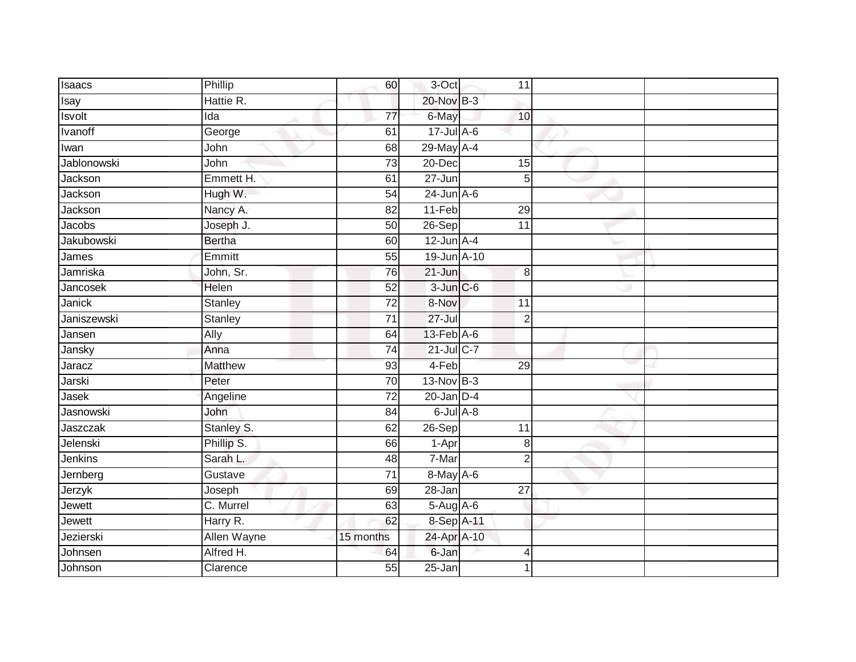| Isaacs            | Phillip        | 60              | 3-Oct            | 11              |  |
|-------------------|----------------|-----------------|------------------|-----------------|--|
| Isay              | Hattie R.      |                 | 20-Nov B-3       |                 |  |
| <b>Isvolt</b>     | Ida            | 77              | 6-May            | 10              |  |
| Ivanoff           | George         | 61              | $17$ -Jul A-6    |                 |  |
| <b>Twan</b>       | John           | 68              | 29-May A-4       |                 |  |
| Jablonowski       | John           | $\overline{73}$ | 20-Dec           | 15              |  |
| Jackson           | Emmett H.      | 61              | $27 - Jun$       | 5 <sup>1</sup>  |  |
| Jackson           | Hugh W.        | 54              | $24$ -Jun $A-6$  |                 |  |
| Jackson           | Nancy A.       | 82              | $11-Feb$         | 29              |  |
| Jacobs            | Joseph J.      | 50              | $26-Sep$         | 11              |  |
| <b>Jakubowski</b> | <b>Bertha</b>  | 60              | $12$ -Jun $A-4$  |                 |  |
| James             | Emmitt         | 55              | 19-Jun A-10      |                 |  |
| Jamriska          | John, Sr.      | 76              | 21-Jun           | 8               |  |
| Jancosek          | Helen          | 52              | $3$ -Jun $C$ -6  |                 |  |
| Janick            | <b>Stanley</b> | $\overline{72}$ | 8-Nov            | 11              |  |
| Janiszewski       | Stanley        | 71              | $27 -$ Jul       | $\overline{2}$  |  |
| Jansen            | Ally           | 64              | $13$ -Feb $A$ -6 |                 |  |
| Jansky            | Anna           | 74              | 21-Jul C-7       |                 |  |
| Jaracz            | Matthew        | 93              | 4-Feb            | 29              |  |
| Jarski            | Peter          | $\overline{70}$ | $13-Nov$ B-3     |                 |  |
| Jasek             | Angeline       | $\overline{72}$ | $20$ -Jan $D-4$  |                 |  |
| Jasnowski         | John           | 84              | $6$ -Jul $A$ -8  |                 |  |
| Jaszczak          | Stanley S.     | 62              | 26-Sep           | 11              |  |
| Jelenski          | Phillip S.     | 66              | 1-Apr            | 8               |  |
| Jenkins           | Sarah L.       | 48              | 7-Mar            | $\overline{2}$  |  |
| Jernberg          | Gustave        | 71              | 8-May A-6        |                 |  |
| Jerzyk            | Joseph         | 69              | $28 - Jan$       | $\overline{27}$ |  |
| Jewett            | C. Murrel      | 63              | $5-Aug$ A-6      |                 |  |
| <b>Jewett</b>     | Harry R.       | 62              | 8-Sep A-11       |                 |  |
| Jezierski         | Allen Wayne    | 15 months       | 24-Apr A-10      |                 |  |
| Johnsen           | Alfred H.      | 64              | 6-Jan            | $\overline{4}$  |  |
| Johnson           | Clarence       | 55              | $25 - Jan$       |                 |  |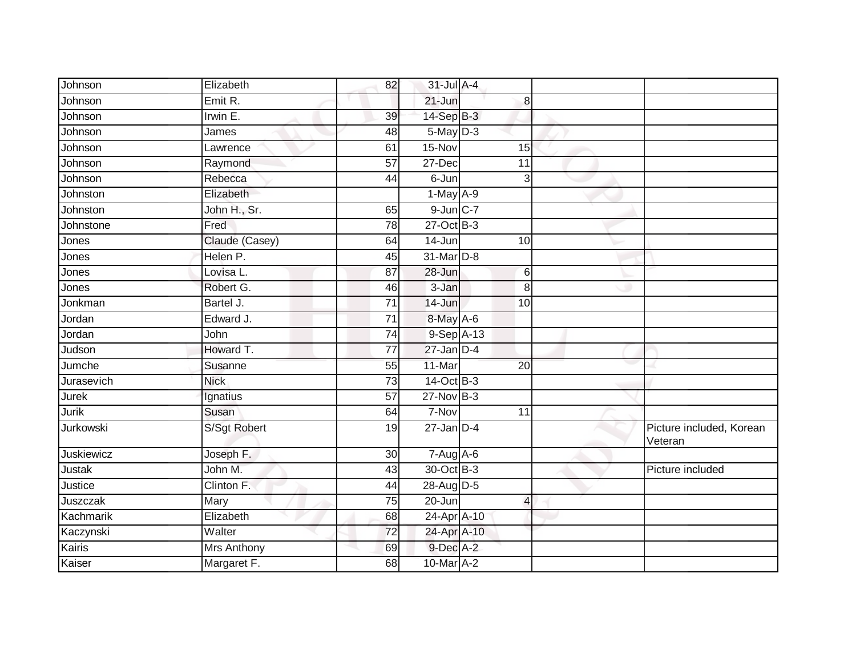| Johnson      | Elizabeth      | 82              | 31-Jul A-4                 |                 |                                     |
|--------------|----------------|-----------------|----------------------------|-----------------|-------------------------------------|
| Johnson      | Emit R.        |                 | $21 - Jun$                 | 8               |                                     |
| Johnson      | Irwin E.       | 39              | $14-SepB-3$                |                 |                                     |
| Johnson      | James          | 48              | $5$ -May $D-3$             |                 |                                     |
| Johnson      | Lawrence       | 61              | 15-Nov                     | 15              |                                     |
| Johnson      | Raymond        | 57              | 27-Dec                     | 11              |                                     |
| Johnson      | Rebecca        | 44              | 6-Jun                      | 3               |                                     |
| Johnston     | Elizabeth      |                 | $1-May$ A-9                |                 |                                     |
| Johnston     | John H., Sr.   | 65              | $9$ -Jun $C-7$             |                 |                                     |
| Johnstone    | Fred           | $\overline{78}$ | $27$ -Oct B-3              |                 |                                     |
| Jones        | Claude (Casey) | 64              | 14-Jun                     | 10              |                                     |
| Jones        | Helen P.       | 45              | 31-Mar D-8                 |                 |                                     |
| Jones        | Lovisa L.      | 87              | 28-Jun                     | 6               |                                     |
| Jones        | Robert G.      | 46              | 3-Jan                      | 8               |                                     |
| Jonkman      | Bartel J.      | $\overline{71}$ | 14-Jun                     | 10              |                                     |
| Jordan       | Edward J.      | 71              | 8-May A-6                  |                 |                                     |
| Jordan       | John           | 74              | $9-$ Sep $\overline{A-13}$ |                 |                                     |
| Judson       | Howard T.      | 77              | $27$ -Jan $D-4$            |                 |                                     |
| Jumche       | Susanne        | 55              | 11-Mar                     | $\overline{20}$ |                                     |
| Jurasevich   | <b>Nick</b>    | $\overline{73}$ | 14-Oct B-3                 |                 |                                     |
| Jurek        | Ignatius       | 57              | $27$ -Nov B-3              |                 |                                     |
| <b>Jurik</b> | Susan          | 64              | 7-Nov                      | 11              |                                     |
| Jurkowski    | S/Sgt Robert   | 19              | $27$ -Jan $D-4$            |                 | Picture included, Korean<br>Veteran |
| Juskiewicz   | Joseph F.      | 30              | $7-Aug$ A-6                |                 |                                     |
| Justak       | John M.        | 43              | 30-Oct B-3                 |                 | Picture included                    |
| Justice      | Clinton F.     | 44              | 28-Aug D-5                 |                 |                                     |
| Juszczak     | Mary           | 75              | 20-Jun                     | $\overline{4}$  |                                     |
| Kachmarik    | Elizabeth      | 68              | 24-Apr A-10                |                 |                                     |
| Kaczynski    | Walter         | 72              | 24-Apr A-10                |                 |                                     |
| Kairis       | Mrs Anthony    | 69              | 9-Dec A-2                  |                 |                                     |
| Kaiser       | Margaret F.    | 68              | 10-Mar A-2                 |                 |                                     |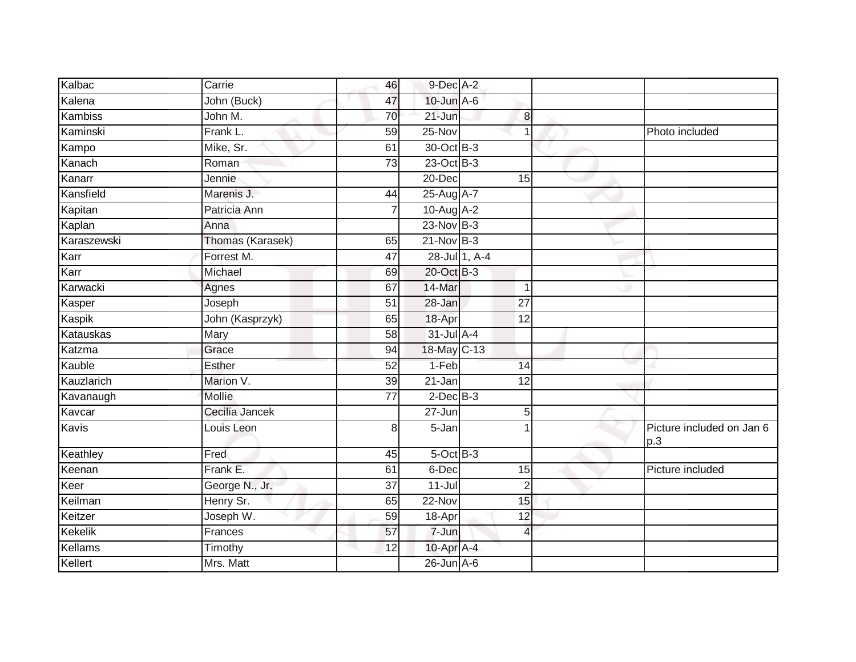| Kalbac      | Carrie           | 46              | $9$ -Dec $A-2$   |                 |                                  |
|-------------|------------------|-----------------|------------------|-----------------|----------------------------------|
| Kalena      | John (Buck)      | 47              | 10-Jun A-6       |                 |                                  |
| Kambiss     | John M.          | 70              | 21-Jun           | 8               |                                  |
| Kaminski    | Frank L.         | 59              | 25-Nov           | $\overline{1}$  | Photo included                   |
| Kampo       | Mike, Sr.        | 61              | 30-Oct B-3       |                 |                                  |
| Kanach      | Roman            | $\overline{73}$ | $23$ -Oct B-3    |                 |                                  |
| Kanarr      | Jennie           |                 | 20-Dec           | 15              |                                  |
| Kansfield   | Marenis J.       | 44              | 25-Aug A-7       |                 |                                  |
| Kapitan     | Patricia Ann     | 7               | 10-Aug A-2       |                 |                                  |
| Kaplan      | Anna             |                 | 23-Nov B-3       |                 |                                  |
| Karaszewski | Thomas (Karasek) | 65              | $21-Nov$ B-3     |                 |                                  |
| Karr        | Forrest M.       | 47              | 28-Jul 1, A-4    |                 |                                  |
| Karr        | Michael          | 69              | 20-Oct B-3       |                 |                                  |
| Karwacki    | Agnes            | 67              | 14-Mar           | $\mathbf 1$     |                                  |
| Kasper      | Joseph           | $\overline{51}$ | 28-Jan           | 27              |                                  |
| Kaspik      | John (Kasprzyk)  | 65              | 18-Apr           | 12              |                                  |
| Katauskas   | Mary             | 58              | $31$ -Jul $A-4$  |                 |                                  |
| Katzma      | Grace            | 94              | 18-May C-13      |                 |                                  |
| Kauble      | Esther           | 52              | $1-Feb$          | 14              |                                  |
| Kauzlarich  | Marion V.        | 39              | $21 - Jan$       | $\overline{12}$ |                                  |
| Kavanaugh   | Mollie           | 77              | $2$ -Dec $B-3$   |                 |                                  |
| Kavcar      | Cecilia Jancek   |                 | $27 - Jun$       | 5               |                                  |
| Kavis       | Louis Leon       | 8               | 5-Jan            |                 | Picture included on Jan 6<br>p.3 |
| Keathley    | Fred             | 45              | $5$ -Oct $B$ -3  |                 |                                  |
| Keenan      | Frank E.         | 61              | 6-Dec            | 15              | Picture included                 |
| Keer        | George N., Jr.   | 37              | $11 -$ Jul       | $\overline{2}$  |                                  |
| Keilman     | Henry Sr.        | 65              | 22-Nov           | 15              |                                  |
| Keitzer     | Joseph W.        | 59              | 18-Apr           | 12              |                                  |
| Kekelik     | Frances          | 57              | 7-Jun            | 4               |                                  |
| Kellams     | Timothy          | 12              | 10-Apr A-4       |                 |                                  |
| Kellert     | Mrs. Matt        |                 | $26$ -Jun $A$ -6 |                 |                                  |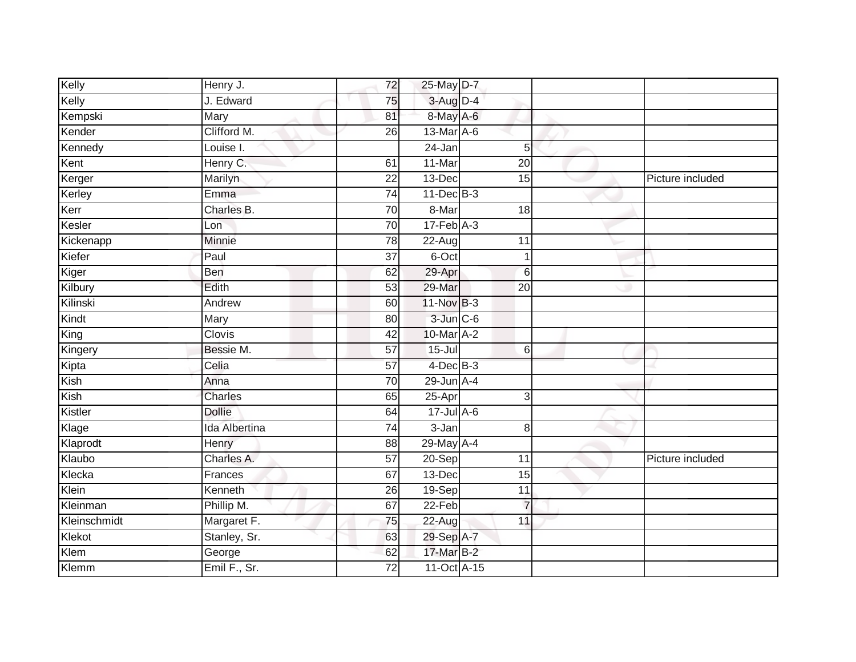| Kelly        | Henry J.      | 72              | 25-May D-7      |                 |                  |
|--------------|---------------|-----------------|-----------------|-----------------|------------------|
| Kelly        | J. Edward     | 75              | $3-Aug$ D-4     |                 |                  |
| Kempski      | Mary          | 81              | 8-May A-6       |                 |                  |
| Kender       | Clifford M.   | 26              | 13-Mar A-6      |                 |                  |
| Kennedy      | Louise I.     |                 | $24 - Jan$      | 5               |                  |
| Kent         | Henry C.      | 61              | 11-Mar          | $\overline{20}$ |                  |
| Kerger       | Marilyn       | $\overline{22}$ | 13-Dec          | $\overline{15}$ | Picture included |
| Kerley       | Emma          | 74              | $11$ -Dec $B-3$ |                 |                  |
| Kerr         | Charles B.    | 70              | 8-Mar           | 18              |                  |
| Kesler       | Lon           | 70              | $17$ -Feb $A-3$ |                 |                  |
| Kickenapp    | Minnie        | 78              | 22-Aug          | 11              |                  |
| Kiefer       | Paul          | $\overline{37}$ | 6-Oct           | 1               |                  |
| Kiger        | Ben           | 62              | 29-Apr          | $6\phantom{1}6$ |                  |
| Kilbury      | Edith         | 53              | 29-Mar          | 20              |                  |
| Kilinski     | Andrew        | 60              | 11-Nov B-3      |                 |                  |
| Kindt        | Mary          | 80              | $3$ -Jun $C$ -6 |                 |                  |
| King         | Clovis        | $\overline{42}$ | 10-Mar A-2      |                 |                  |
| Kingery      | Bessie M.     | 57              | $15 -$ Jul      | 6               |                  |
| Kipta        | Celia         | 57              | $4$ -Dec $B$ -3 |                 |                  |
| Kish         | Anna          | 70              | $29$ -Jun $A-4$ |                 |                  |
| Kish         | Charles       | 65              | 25-Apr          | 3               |                  |
| Kistler      | <b>Dollie</b> | 64              | $17 -$ Jul A-6  |                 |                  |
| Klage        | Ida Albertina | 74              | 3-Jan           | 8               |                  |
| Klaprodt     | Henry         | 88              | 29-May A-4      |                 |                  |
| Klaubo       | Charles A.    | 57              | 20-Sep          | 11              | Picture included |
| Klecka       | Frances       | 67              | 13-Dec          | $\overline{15}$ |                  |
| Klein        | Kenneth       | 26              | $19-Sep$        | $\overline{11}$ |                  |
| Kleinman     | Phillip M.    | 67              | $22-Feb$        | $\overline{7}$  |                  |
| Kleinschmidt | Margaret F.   | 75              | $22 - Aug$      | 11              |                  |
| Klekot       | Stanley, Sr.  | 63              | 29-Sep A-7      |                 |                  |
| Klem         | George        | 62              | 17-Mar B-2      |                 |                  |
| Klemm        | Emil F., Sr.  | $\overline{72}$ | 11-Oct A-15     |                 |                  |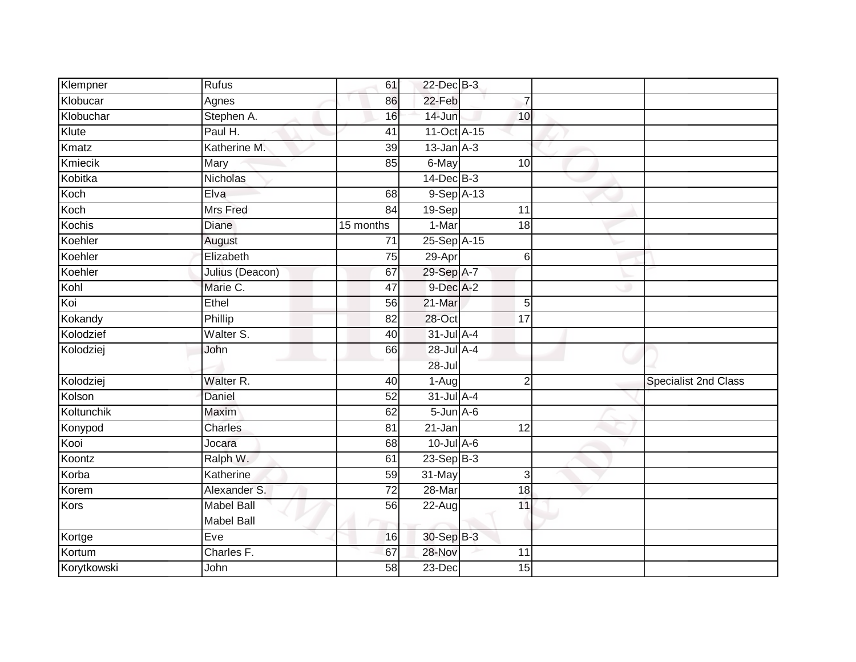| Klempner      | <b>Rufus</b>         | 61              | 22-Dec B-3        |                 |                             |
|---------------|----------------------|-----------------|-------------------|-----------------|-----------------------------|
| Klobucar      | Agnes                | 86              | 22-Feb            | $\overline{7}$  |                             |
| Klobuchar     | Stephen A.           | 16              | $14 - Jun$        | 10              |                             |
| Klute         | Paul H.              | 41              | 11-Oct A-15       |                 |                             |
| Kmatz         | Katherine M.         | $\overline{39}$ | $13$ -Jan $A-3$   |                 |                             |
| Kmiecik       | Mary                 | 85              | 6-May             | 10 <sup>1</sup> |                             |
| Kobitka       | Nicholas             |                 | $14$ -Dec $B-3$   |                 |                             |
| Koch          | Elva                 | 68              | $9-SepA-13$       |                 |                             |
| Koch          | <b>Mrs Fred</b>      | 84              | 19-Sep            | 11              |                             |
| <b>Kochis</b> | Diane                | 15 months       | 1-Mar             | $\overline{18}$ |                             |
| Koehler       | August               | 71              | 25-Sep A-15       |                 |                             |
| Koehler       | Elizabeth            | $\overline{75}$ | 29-Apr            | 6               |                             |
| Koehler       | Julius (Deacon)      | 67              | 29-Sep A-7        |                 |                             |
| Kohl          | Marie C.             | 47              | $9$ -Dec $A$ -2   |                 |                             |
| Koi           | Ethel                | 56              | 21-Mar            | 5               |                             |
| Kokandy       | Phillip              | 82              | 28-Oct            | 17              |                             |
| Kolodzief     | Walter S.            | 40              | $31$ -Jul $A-4$   |                 |                             |
| Kolodziej     | John                 | 66              | 28-Jul A-4        |                 |                             |
|               |                      |                 | $28 -$ Jul        |                 |                             |
| Kolodziej     | Walter <sub>R.</sub> | 40              | 1-Aug             | $\overline{2}$  | <b>Specialist 2nd Class</b> |
| Kolson        | Daniel               | 52              | $31$ -Jul $A-4$   |                 |                             |
| Koltunchik    | Maxim                | 62              | $5 - Jun$ $A - 6$ |                 |                             |
| Konypod       | Charles              | 81              | 21-Jan            | 12              |                             |
| Kooi          | Jocara               | 68              | $10$ -Jul $A-6$   |                 |                             |
| Koontz        | Ralph W.             | 61              | $23 - SepB-3$     |                 |                             |
| Korba         | Katherine            | 59              | 31-May            | 3               |                             |
| Korem         | Alexander S.         | $\overline{72}$ | 28-Mar            | $\overline{18}$ |                             |
| Kors          | <b>Mabel Ball</b>    | 56              | 22-Aug            | 11              |                             |
|               | Mabel Ball           |                 |                   |                 |                             |
| Kortge        | Eve                  | 16              | 30-Sep B-3        |                 |                             |
| Kortum        | Charles F.           | 67              | 28-Nov            | 11              |                             |
| Korytkowski   | John                 | $\overline{58}$ | $23-Dec$          | 15              |                             |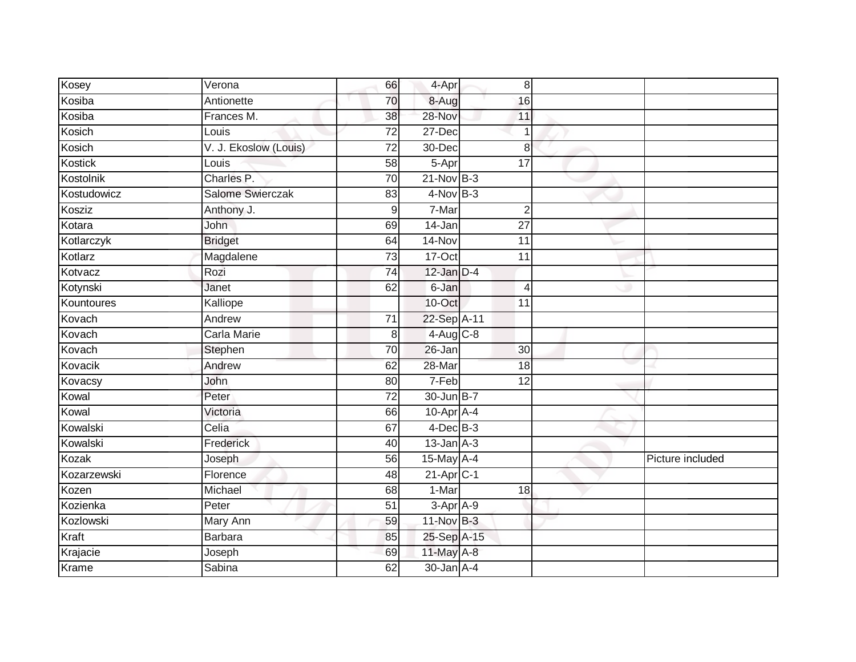| Kosey       | Verona                | 66              | 4-Apr           | 8               |                  |
|-------------|-----------------------|-----------------|-----------------|-----------------|------------------|
| Kosiba      | Antionette            | 70              | 8-Aug           | 16              |                  |
| Kosiba      | Frances M.            | 38              | 28-Nov          | 11              |                  |
| Kosich      | Louis                 | $\overline{72}$ | 27-Dec          | $\overline{1}$  |                  |
| Kosich      | V. J. Ekoslow (Louis) | $\overline{72}$ | $30 - Dec$      | 8               |                  |
| Kostick     | Louis                 | 58              | 5-Apr           | 17              |                  |
| Kostolnik   | Charles P.            | 70              | $21-Nov$ B-3    |                 |                  |
| Kostudowicz | Salome Swierczak      | 83              | $4-Nov$ B-3     |                 |                  |
| Kosziz      | Anthony J.            | 9               | 7-Mar           | $\overline{2}$  |                  |
| Kotara      | John                  | 69              | 14-Jan          | $\overline{27}$ |                  |
| Kotlarczyk  | <b>Bridget</b>        | 64              | $14-Nov$        | $\overline{11}$ |                  |
| Kotlarz     | Magdalene             | $\overline{73}$ | $17-Oct$        | 11              |                  |
| Kotvacz     | Rozi                  | 74              | $12$ -Jan $D-4$ |                 |                  |
| Kotynski    | Janet                 | 62              | 6-Jan           | $\overline{4}$  |                  |
| Kountoures  | Kalliope              |                 | 10-Oct          | $\overline{11}$ |                  |
| Kovach      | Andrew                | 71              | 22-Sep A-11     |                 |                  |
| Kovach      | Carla Marie           | 8               | $4-Aug$ C-8     |                 |                  |
| Kovach      | Stephen               | 70              | $26 - Jan$      | $\overline{30}$ |                  |
| Kovacik     | Andrew                | 62              | $28 - Mar$      | 18              |                  |
| Kovacsy     | John                  | 80              | 7-Feb           | $\overline{12}$ |                  |
| Kowal       | Peter                 | 72              | 30-Jun B-7      |                 |                  |
| Kowal       | Victoria              | 66              | 10-Apr A-4      |                 |                  |
| Kowalski    | Celia                 | 67              | $4$ -Dec $B-3$  |                 |                  |
| Kowalski    | Frederick             | 40              | $13$ -Jan $A-3$ |                 |                  |
| Kozak       | Joseph                | 56              | 15-May A-4      |                 | Picture included |
| Kozarzewski | Florence              | 48              | $21$ -Apr $C-1$ |                 |                  |
| Kozen       | Michael               | 68              | $1-Mar$         | 18              |                  |
| Kozienka    | Peter                 | 51              | $3-AprA-9$      |                 |                  |
| Kozlowski   | Mary Ann              | 59              | 11-Nov B-3      |                 |                  |
| Kraft       | <b>Barbara</b>        | 85              | 25-Sep A-15     |                 |                  |
| Krajacie    | Joseph                | 69              | 11-May A-8      |                 |                  |
| Krame       | Sabina                | 62              | 30-Jan A-4      |                 |                  |
|             |                       |                 |                 |                 |                  |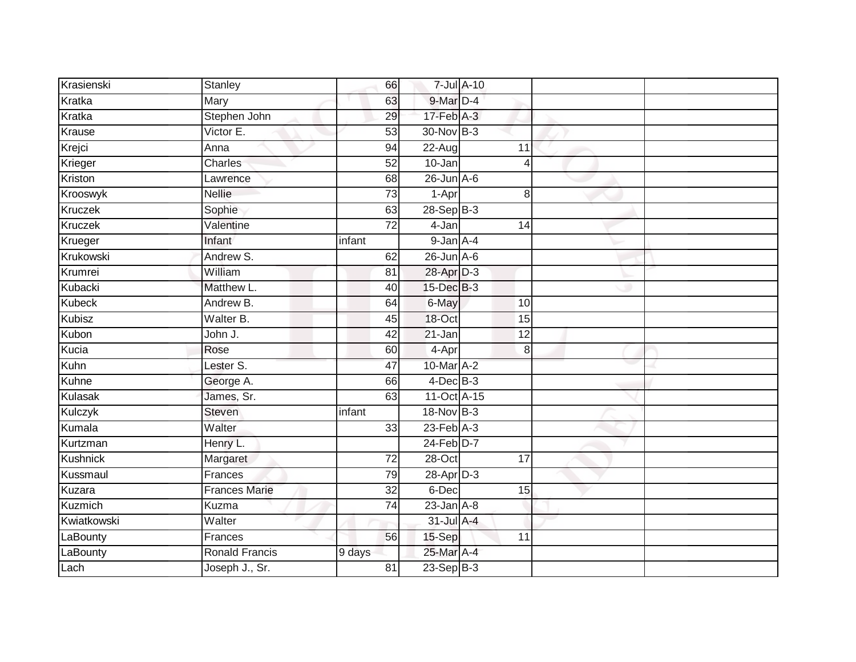| Krasienski     | Stanley               | 66              |                       | 7-Jul A-10 |                |  |
|----------------|-----------------------|-----------------|-----------------------|------------|----------------|--|
| Kratka         | Mary                  | 63              | 9-Mar D-4             |            |                |  |
| Kratka         | Stephen John          | 29              | $17$ -Feb $A-3$       |            |                |  |
| Krause         | Victor E.             | 53              | 30-Nov B-3            |            |                |  |
| Krejci         | Anna                  | 94              | $22-Aug$              |            | 11             |  |
| Krieger        | <b>Charles</b>        | 52              | 10-Jan                |            | $\overline{4}$ |  |
| Kriston        | Lawrence              | 68              | $26$ -Jun $A$ -6      |            |                |  |
| Krooswyk       | <b>Nellie</b>         | 73              | 1-Apr                 |            | 8              |  |
| Kruczek        | Sophie                | 63              | $28-SepB-3$           |            |                |  |
| <b>Kruczek</b> | Valentine             | $\overline{72}$ | 4-Jan                 |            | 14             |  |
| Krueger        | Infant                | infant          | $9$ -Jan $A-4$        |            |                |  |
| Krukowski      | Andrew S.             | 62              | $26$ -Jun $A-6$       |            |                |  |
| Krumrei        | William               | 81              | 28-Apr D-3            |            |                |  |
| Kubacki        | Matthew L.            | 40              | 15-Dec B-3            |            |                |  |
| <b>Kubeck</b>  | Andrew B.             | 64              | 6-May                 |            | 10             |  |
| <b>Kubisz</b>  | Walter B.             | 45              | 18-Oct                |            | 15             |  |
| Kubon          | John J.               | $\overline{42}$ | $21 - Jan$            |            | 12             |  |
| Kucia          | Rose                  | 60              | 4-Apr                 |            | 8              |  |
| Kuhn           | Lester S.             | 47              | 10-Mar A-2            |            |                |  |
| Kuhne          | George A.             | 66              | $4$ -Dec $B-3$        |            |                |  |
| Kulasak        | James, Sr.            | 63              | 11-Oct A-15           |            |                |  |
| Kulczyk        | Steven                | infant          | 18-Nov B-3            |            |                |  |
| Kumala         | Walter                | 33              | $23$ -Feb $A-3$       |            |                |  |
| Kurtzman       | Henry L.              |                 | 24-Feb <sup>D-7</sup> |            |                |  |
| Kushnick       | Margaret              | 72              | 28-Oct                |            | 17             |  |
| Kussmaul       | Frances               | 79              | 28-Apr D-3            |            |                |  |
| Kuzara         | <b>Frances Marie</b>  | $\overline{32}$ | 6-Dec                 |            | 15             |  |
| Kuzmich        | Kuzma                 | 74              | $23$ -Jan $A-8$       |            |                |  |
| Kwiatkowski    | Walter                |                 | 31-Jul A-4            |            |                |  |
| LaBounty       | Frances               | 56              | 15-Sep                |            | 11             |  |
| LaBounty       | <b>Ronald Francis</b> | 9 days          | 25-Mar A-4            |            |                |  |
| Lach           | Joseph J., Sr.        | $\overline{81}$ | 23-Sep B-3            |            |                |  |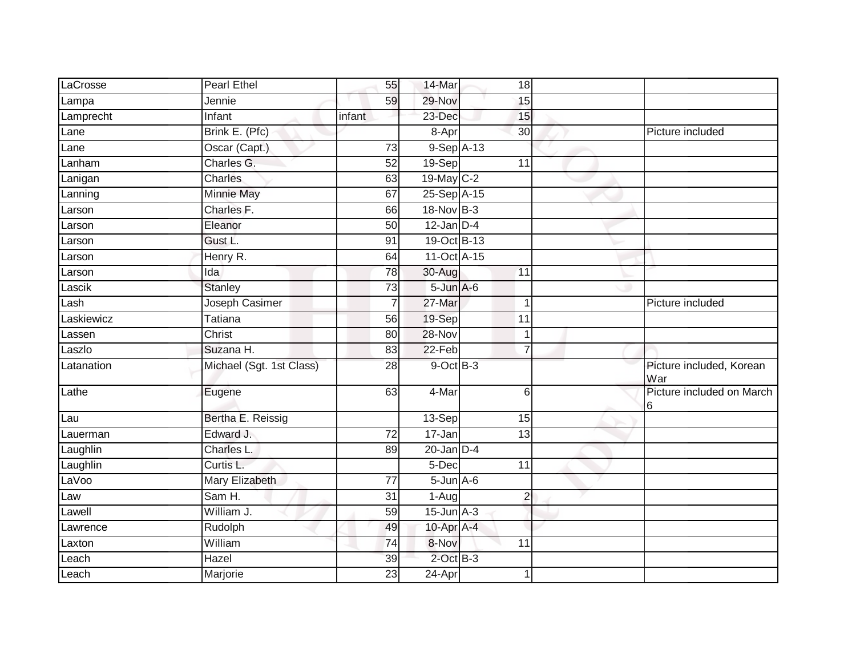| LaCrosse                      | <b>Pearl Ethel</b>       | 55              | 14-Mar                     | 18             |                                 |
|-------------------------------|--------------------------|-----------------|----------------------------|----------------|---------------------------------|
| Lampa                         | Jennie                   | 59              | 29-Nov                     | 15             |                                 |
| Lamprecht                     | Infant                   | infant          | 23-Dec                     | 15             |                                 |
| Lane                          | Brink E. (Pfc)           |                 | 8-Apr                      | 30             | Picture included                |
| Lane                          | Oscar (Capt.)            | $\overline{73}$ | $9-$ Sep $\overline{A-13}$ |                |                                 |
| Lanham                        | Charles G.               | $\overline{52}$ | 19-Sep                     | 11             |                                 |
| Lanigan                       | Charles                  | 63              | 19-May C-2                 |                |                                 |
| Lanning                       | <b>Minnie May</b>        | 67              | 25-Sep A-15                |                |                                 |
| Larson                        | Charles F.               | 66              | 18-Nov B-3                 |                |                                 |
| Larson                        | Eleanor                  | 50              | $12$ -Jan $D-4$            |                |                                 |
| Larson                        | Gust L.                  | 91              | 19-Oct B-13                |                |                                 |
| Larson                        | Henry R.                 | 64              | 11-Oct A-15                |                |                                 |
| Larson                        | Ida                      | $\overline{78}$ | 30-Aug                     | 11             |                                 |
| Lasci $\overline{\mathsf{k}}$ | <b>Stanley</b>           | 73              | $5 - Jun$ $A - 6$          |                |                                 |
| Lash                          | <b>Joseph Casimer</b>    | $\overline{7}$  | 27-Mar                     | 1              | Picture included                |
| Laskiewicz                    | <b>Tatiana</b>           | 56              | 19-Sep                     | 11             |                                 |
| Lassen                        | Christ                   | 80              | $28 - Nov$                 | $\mathbf 1$    |                                 |
| Laszlo                        | Suzana H.                | 83              | $22-Feb$                   | $\overline{7}$ |                                 |
| Latanation                    | Michael (Sgt. 1st Class) | 28              | 9-Oct B-3                  |                | Picture included, Korean<br>War |
| Lathe                         | Eugene                   | 63              | 4-Mar                      | 6              | Picture included on March<br>16 |
| Lau                           | Bertha E. Reissig        |                 | 13-Sep                     | 15             |                                 |
| Lauerman                      | Edward J.                | $\overline{72}$ | 17-Jan                     | 13             |                                 |
| Laughlin                      | Charles L.               | 89              | $20$ -Jan $D-4$            |                |                                 |
| Laughlin                      | Curtis L.                |                 | 5-Dec                      | 11             |                                 |
| LaVoo                         | Mary Elizabeth           | 77              | $5 - Jun$ $A - 6$          |                |                                 |
| Law                           | Sam H.                   | 31              | 1-Aug                      | $\overline{c}$ |                                 |
| Lawell                        | William J.               | 59              | $15$ -Jun $A-3$            |                |                                 |
| Lawrence                      | Rudolph                  | 49              | 10-Apr A-4                 |                |                                 |
| Laxton                        | William                  | 74              | 8-Nov                      | 11             |                                 |
| Leach                         | Hazel                    | 39              | $2$ -Oct $B-3$             |                |                                 |
| Leach                         | Marjorie                 | 23              | $24$ -Apr                  | $\mathbf 1$    |                                 |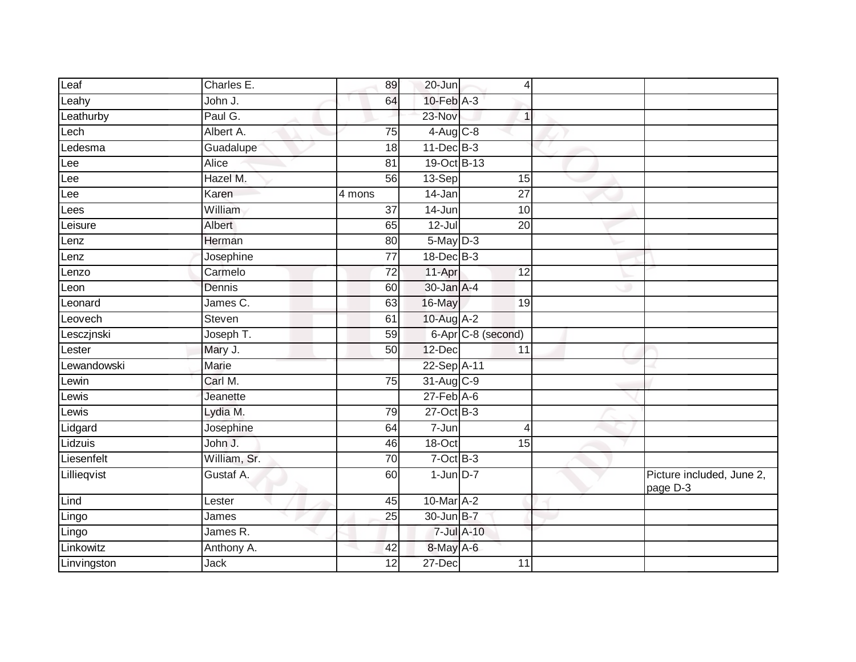| Leaf        | Charles E.   | 89              | 20-Jun           | 4                  |                                       |
|-------------|--------------|-----------------|------------------|--------------------|---------------------------------------|
| Leahy       | John J.      | 64              | $10$ -Feb $A-3$  |                    |                                       |
| Leathurby   | Paul G.      |                 | 23-Nov           | 1                  |                                       |
| Lech        | Albert A.    | 75              | $4$ -Aug C-8     |                    |                                       |
| Ledesma     | Guadalupe    | 18              | $11$ -Dec $B-3$  |                    |                                       |
| Lee         | Alice        | 81              | 19-Oct B-13      |                    |                                       |
| Lee         | Hazel M.     | 56              | 13-Sep           | 15                 |                                       |
| Lee         | Karen        | 4 mons          | 14-Jan           | 27                 |                                       |
| Lees        | William      | $\overline{37}$ | 14-Jun           | 10                 |                                       |
| Leisure     | Albert       | 65              | 12-Jul           | $\overline{20}$    |                                       |
| Lenz        | Herman       | 80              | $5$ -May $D-3$   |                    |                                       |
| Lenz        | Josephine    | 77              | 18-Dec B-3       |                    |                                       |
| Lenzo       | Carmelo      | 72              | 11-Apr           | 12                 |                                       |
| Leon        | Dennis       | 60              | 30-Jan A-4       |                    |                                       |
| Leonard     | James C.     | 63              | 16-May           | 19                 |                                       |
| Leovech     | Steven       | 61              | 10-Aug A-2       |                    |                                       |
| Lesczjnski  | Joseph T.    | 59              |                  | 6-Apr C-8 (second) |                                       |
| Lester      | Mary J.      | 50              | 12-Dec           | 11                 |                                       |
| Lewandowski | <b>Marie</b> |                 | 22-Sep A-11      |                    |                                       |
| Lewin       | Carl M.      | 75              | 31-Aug C-9       |                    |                                       |
| Lewis       | Jeanette     |                 | $27$ -Feb $A$ -6 |                    |                                       |
| Lewis       | Lydia M.     | 79              | $27$ -Oct B-3    |                    |                                       |
| Lidgard     | Josephine    | 64              | 7-Jun            | 4                  |                                       |
| Lidzuis     | John J.      | 46              | 18-Oct           | 15                 |                                       |
| Liesenfelt  | William, Sr. | $\overline{70}$ | $7-Oct$ B-3      |                    |                                       |
| Lillieqvist | Gustaf A.    | 60              | $1$ -Jun $D-7$   |                    | Picture included, June 2,<br>page D-3 |
| Lind        | Lester       | 45              | 10-Mar A-2       |                    |                                       |
| Lingo       | James        | $\overline{25}$ | 30-Jun B-7       |                    |                                       |
| Lingo       | James R.     |                 | 7-Jul A-10       |                    |                                       |
| Linkowitz   | Anthony A.   | 42              | 8-May A-6        |                    |                                       |
| Linvingston | Jack         | 12              | 27-Dec           | 11                 |                                       |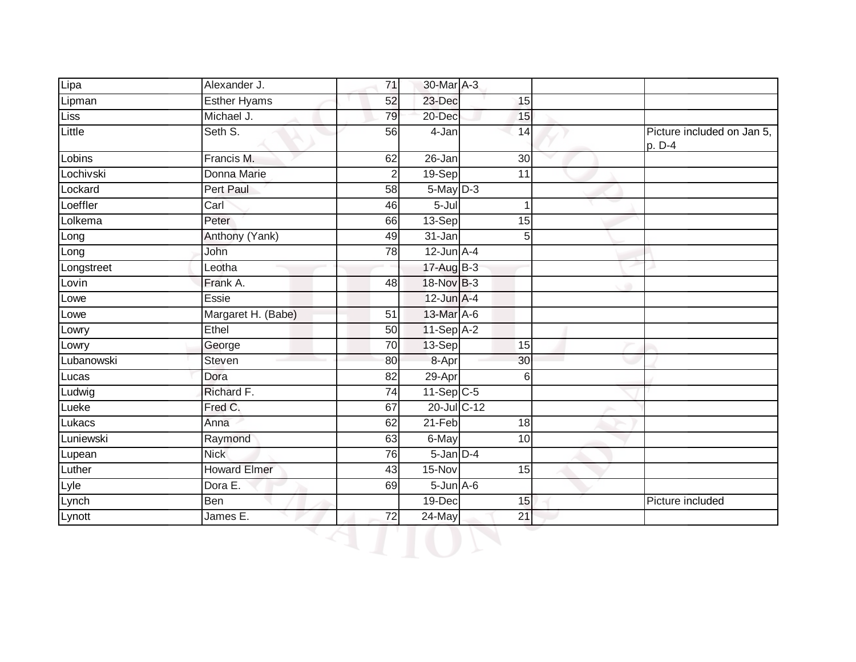| Lipa       | Alexander J.        | 71              | 30-Mar A-3          |                 |                                      |
|------------|---------------------|-----------------|---------------------|-----------------|--------------------------------------|
| Lipman     | Esther Hyams        | 52              | 23-Dec              | 15              |                                      |
| Liss       | Michael J.          | 79              | 20-Dec              | 15              |                                      |
| Little     | Seth S.             | 56              | $\overline{4}$ -Jan | $\overline{14}$ | Picture included on Jan 5,<br>p. D-4 |
| Lobins     | Francis M.          | 62              | 26-Jan              | 30              |                                      |
| Lochivski  | Donna Marie         | $\overline{2}$  | 19-Sep              | $\overline{11}$ |                                      |
| Lockard    | <b>Pert Paul</b>    | 58              | $5$ -May $D-3$      |                 |                                      |
| Loeffler   | Carl                | 46              | $5 -$ Jul           | $\mathbf{1}$    |                                      |
| Lolkema    | Peter               | 66              | 13-Sep              | 15              |                                      |
| Long       | Anthony (Yank)      | 49              | 31-Jan              | 5 <sup>1</sup>  |                                      |
| Long       | John                | 78              | $12$ -Jun $A-4$     |                 |                                      |
| Longstreet | Leotha              |                 | 17-Aug B-3          |                 |                                      |
| Lovin      | Frank A.            | 48              | 18-Nov B-3          |                 |                                      |
| Lowe       | Essie               |                 | $12$ -Jun $A-4$     |                 |                                      |
| Lowe       | Margaret H. (Babe)  | $\overline{51}$ | 13-Mar A-6          |                 |                                      |
| Lowry      | Ethel               | 50              | 11-Sep A-2          |                 |                                      |
| Lowry      | George              | 70              | 13-Sep              | 15              |                                      |
| Lubanowski | Steven              | 80              | 8-Apr               | 30              |                                      |
| Lucas      | Dora                | 82              | 29-Apr              | $6\phantom{1}6$ |                                      |
| Ludwig     | Richard F.          | 74              | 11-Sep C-5          |                 |                                      |
| Lueke      | Fred C.             | 67              | 20-Jul C-12         |                 |                                      |
| Lukacs     | Anna                | 62              | $21-Feb$            | 18              |                                      |
| Luniewski  | Raymond             | 63              | 6-May               | 10              |                                      |
| Lupean     | <b>Nick</b>         | 76              | 5-Jan D-4           |                 |                                      |
| Luther     | <b>Howard Elmer</b> | 43              | 15-Nov              | 15              |                                      |
| Lyle       | Dora E.             | 69              | $5$ -Jun $A$ -6     |                 |                                      |
| Lynch      | <b>Ben</b>          |                 | $19$ -Dec           | 15              | Picture included                     |
| Lynott     | James E.            | 72              | $24$ -May           | 21              |                                      |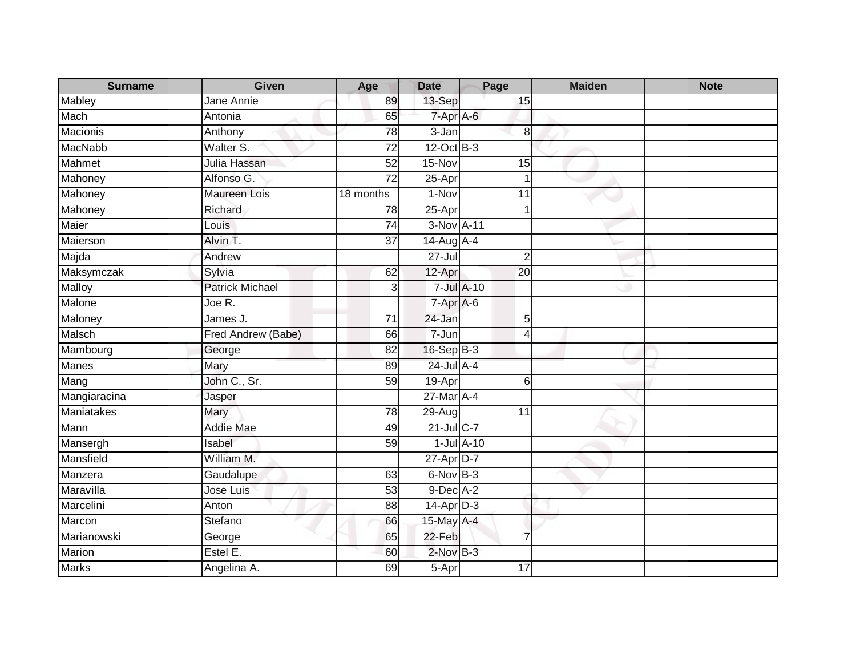| <b>Surname</b> | Given                         | Age             | <b>Date</b>         | Page            | <b>Maiden</b> | <b>Note</b> |
|----------------|-------------------------------|-----------------|---------------------|-----------------|---------------|-------------|
| Mabley         | Jane Annie                    | 89              | 13-Sep              | 15              |               |             |
| Mach           | Antonia                       | 65              | 7-Apr A-6           |                 |               |             |
| Macionis       | Anthony                       | 78              | $\overline{3}$ -Jan | 8               |               |             |
| <b>MacNabb</b> | Walter S.                     | $\overline{72}$ | 12-Oct B-3          |                 |               |             |
| Mahmet         | Julia Hassan                  | 52              | 15-Nov              | 15              |               |             |
| Mahoney        | Alfonso G.                    | 72              | 25-Apr              | $\mathbf 1$     |               |             |
| Mahoney        | Maureen Lois                  | 18 months       | $1-Nov$             | 11              |               |             |
| Mahoney        | Richard                       | 78              | 25-Apr              | 1               |               |             |
| Maier          | Louis                         | $\overline{74}$ | 3-Nov A-11          |                 |               |             |
| Maierson       | Alvin T.                      | 37              | $14$ -Aug $A$ -4    |                 |               |             |
| Majda          | Andrew                        |                 | $27 -$ Jul          | $\overline{2}$  |               |             |
| Maksymczak     | Sylvia                        | 62              | 12-Apr              | 20              |               |             |
| Malloy         | <b>Patrick Michael</b>        | 3               |                     | 7-Jul A-10      |               |             |
| Malone         | Joe $\overline{\mathsf{R}}$ . |                 | 7-Apr A-6           |                 |               |             |
| Maloney        | James J.                      | 71              | 24-Jan              | 5               |               |             |
| <b>Malsch</b>  | Fred Andrew (Babe)            | 66              | 7-Jun               | $\overline{4}$  |               |             |
| Mambourg       | George                        | 82              | 16-Sep B-3          |                 |               |             |
| <b>Manes</b>   | Mary                          | 89              | 24-Jul A-4          |                 |               |             |
| Mang           | John C., Sr.                  | 59              | 19-Apr              | 6               |               |             |
| Mangiaracina   | Jasper                        |                 | 27-Mar A-4          |                 |               |             |
| Maniatakes     | Mary                          | $\overline{78}$ | $29 - Aug$          | $\overline{11}$ |               |             |
| Mann           | <b>Addie Mae</b>              | 49              | 21-Jul C-7          |                 |               |             |
| Mansergh       | Isabel                        | 59              |                     | $1$ -Jul $A-10$ |               |             |
| Mansfield      | William M.                    |                 | 27-Apr D-7          |                 |               |             |
| Manzera        | Gaudalupe                     | 63              | 6-Nov B-3           |                 |               |             |
| Maravilla      | Jose Luis                     | 53              | 9-Dec A-2           |                 |               |             |
| Marcelini      | Anton                         | 88              | $14$ -Apr $D-3$     |                 |               |             |
| Marcon         | Stefano                       | 66              | 15-May A-4          |                 |               |             |
| Marianowski    | George                        | 65              | 22-Feb              | $\overline{7}$  |               |             |
| Marion         | Estel E.                      | 60              | 2-Nov B-3           |                 |               |             |
| <b>Marks</b>   | Angelina A.                   | 69              | 5-Apr               | 17              |               |             |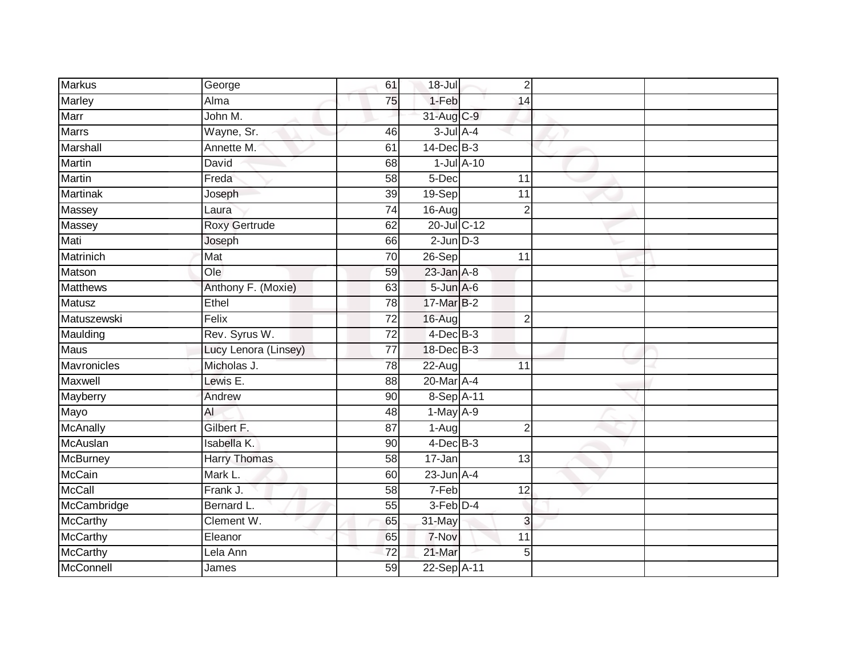| <b>Markus</b>   | George               | 61              | 18-Jul            | $\overline{2}$  |  |
|-----------------|----------------------|-----------------|-------------------|-----------------|--|
| <b>Marley</b>   | Alma                 | 75              | 1-Feb             | $\overline{14}$ |  |
| Marr            | John M.              |                 | 31-Aug C-9        |                 |  |
| <b>Marrs</b>    | Wayne, Sr.           | 46              | $3$ -Jul $A$ -4   |                 |  |
| Marshall        | Annette M.           | 61              | $14$ -Dec $B-3$   |                 |  |
| Martin          | David                | 68              |                   | $1$ -Jul $A-10$ |  |
| Martin          | Freda                | 58              | 5-Dec             | 11              |  |
| <b>Martinak</b> | Joseph               | 39              | 19-Sep            | 11              |  |
| Massey          | Laura                | $\overline{74}$ | $16 - Aug$        | $\overline{2}$  |  |
| Massey          | <b>Roxy Gertrude</b> | 62              | 20-Jul C-12       |                 |  |
| Mati            | Joseph               | 66              | $2$ -Jun $D-3$    |                 |  |
| Matrinich       | Mat                  | 70              | 26-Sep            | 11              |  |
| Matson          | O <sub>0</sub>       | 59              | $23$ -Jan $A-8$   |                 |  |
| <b>Matthews</b> | Anthony F. (Moxie)   | 63              | $5 - Jun$ $A - 6$ |                 |  |
| <b>Matusz</b>   | Ethel                | 78              | 17-Mar B-2        |                 |  |
| Matuszewski     | Felix                | $\overline{72}$ | 16-Aug            | $\overline{2}$  |  |
| Maulding        | Rev. Syrus W.        | $\overline{72}$ | $4$ -Dec $B-3$    |                 |  |
| <b>Maus</b>     | Lucy Lenora (Linsey) | 77              | 18-Dec B-3        |                 |  |
| Mavronicles     | Micholas J.          | 78              | 22-Aug            | 11              |  |
| Maxwell         | Lewis E.             | $\overline{88}$ | 20-Mar A-4        |                 |  |
| Mayberry        | Andrew               | 90              | 8-Sep A-11        |                 |  |
| Mayo            | <b>AI</b>            | 48              | $1-May$ A-9       |                 |  |
| McAnally        | Gilbert F.           | 87              | 1-Aug             | $\overline{2}$  |  |
| McAuslan        | Isabella K.          | 90              | $4$ -Dec $B-3$    |                 |  |
| McBurney        | <b>Harry Thomas</b>  | 58              | 17-Jan            | 13              |  |
| <b>McCain</b>   | Mark L.              | 60              | $23$ -Jun $A-4$   |                 |  |
| McCall          | Frank J.             | 58              | 7-Feb             | $\overline{12}$ |  |
| McCambridge     | Bernard L.           | 55              | $3-Feb$ D-4       |                 |  |
| McCarthy        | Clement W.           | 65              | 31-May            | 3               |  |
| McCarthy        | Eleanor              | 65              | 7-Nov             | $\overline{11}$ |  |
| McCarthy        | Lela Ann             | 72              | 21-Mar            | 5               |  |
| McConnell       | James                | 59              | 22-Sep A-11       |                 |  |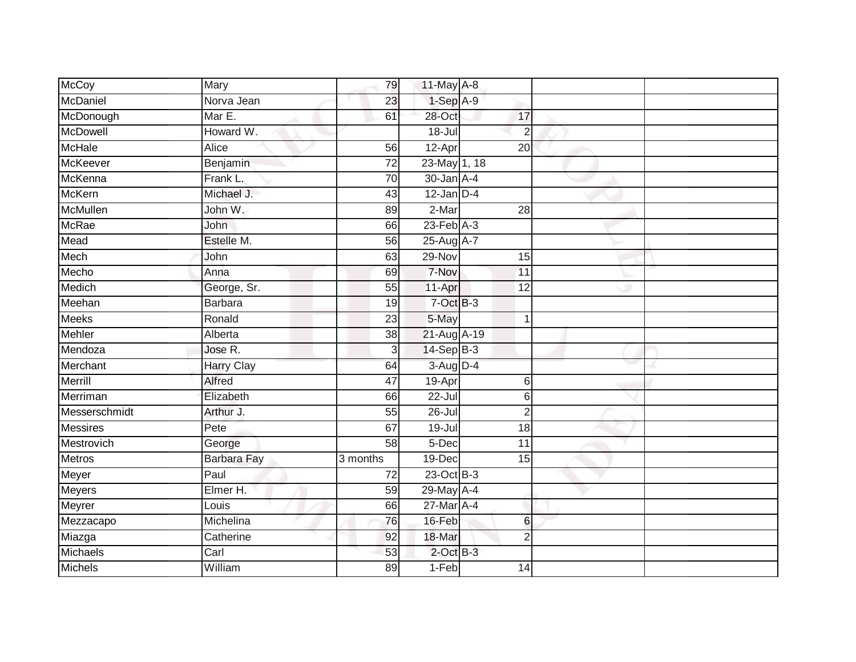| McCoy           | Mary               | 79              | 11-May A-8       |                 |  |
|-----------------|--------------------|-----------------|------------------|-----------------|--|
| McDaniel        | Norva Jean         | 23              | $1-SepA-9$       |                 |  |
| McDonough       | Mar E.             | 61              | 28-Oct           | 17              |  |
| McDowell        | Howard W.          |                 | 18-Jul           | $\overline{2}$  |  |
| <b>McHale</b>   | Alice              | 56              | 12-Apr           | 20              |  |
| McKeever        | Benjamin           | $\overline{72}$ | 23-May 1, 18     |                 |  |
| McKenna         | Frank L.           | 70              | $30 - Jan A - 4$ |                 |  |
| <b>McKern</b>   | Michael J.         | 43              | $12$ -Jan D-4    |                 |  |
| McMullen        | John W.            | 89              | 2-Mar            | $\overline{28}$ |  |
| <b>McRae</b>    | John               | 66              | $23$ -Feb $A-3$  |                 |  |
| Mead            | Estelle M.         | $\overline{56}$ | 25-Aug A-7       |                 |  |
| Mech            | John               | 63              | 29-Nov           | 15              |  |
| Mecho           | Anna               | 69              | 7-Nov            | $\overline{11}$ |  |
| Medich          | George, Sr.        | 55              | 11-Apr           | 12              |  |
| Meehan          | <b>Barbara</b>     | $\overline{19}$ | $7-Oct$ B-3      |                 |  |
| <b>Meeks</b>    | Ronald             | 23              | 5-May            | 1               |  |
| Mehler          | Alberta            | 38              | 21-Aug A-19      |                 |  |
| Mendoza         | Jose R.            | 3               | 14-Sep B-3       |                 |  |
| Merchant        | Harry Clay         | 64              | $3-Aug$ $D-4$    |                 |  |
| Merrill         | <b>Alfred</b>      | $\overline{47}$ | 19-Apr           | 6               |  |
| Merriman        | Elizabeth          | 66              | 22-Jul           | 6               |  |
| Messerschmidt   | Arthur J.          | $\overline{55}$ | $26 -$ Jul       | $\overline{2}$  |  |
| <b>Messires</b> | Pete               | 67              | 19-Jul           | 18              |  |
| Mestrovich      | George             | 58              | 5-Dec            | 11              |  |
| Metros          | <b>Barbara Fay</b> | 3 months        | 19-Dec           | 15              |  |
| Meyer           | Paul               | $\overline{72}$ | 23-Oct B-3       |                 |  |
| <b>Meyers</b>   | Elmer H.           | 59              | 29-May A-4       |                 |  |
| Meyrer          | Louis              | 66              | 27-Mar A-4       |                 |  |
| Mezzacapo       | Michelina          | 76              | 16-Feb           | 6               |  |
| Miazga          | Catherine          | 92              | 18-Mar           | $\overline{2}$  |  |
| Michaels        | Carl               | 53              | $2$ -Oct B-3     |                 |  |
| <b>Michels</b>  | William            | 89              | $1-Feb$          | 14              |  |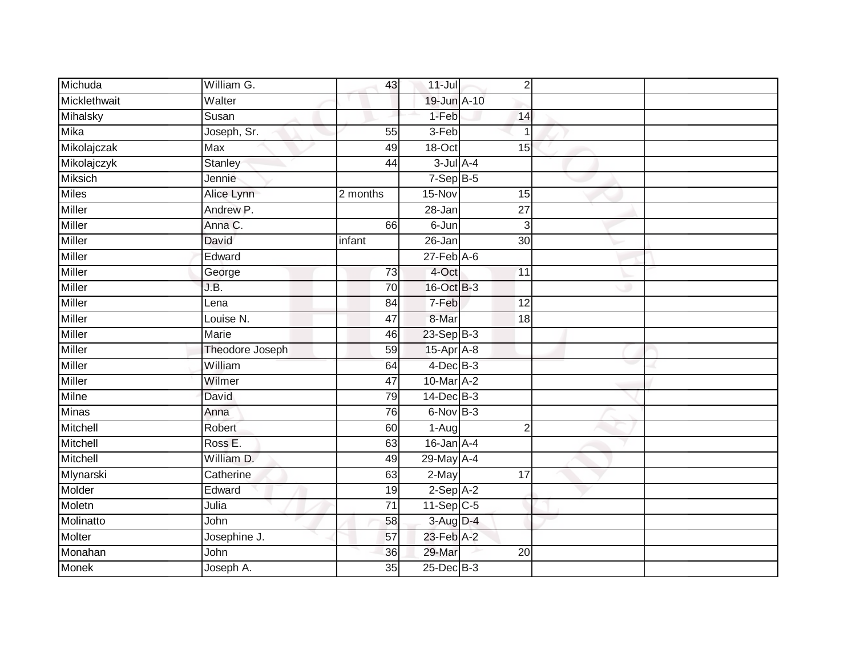| Michuda        | William G.             | 43       | $11 -$ Jul          | $\sqrt{2}$      |  |
|----------------|------------------------|----------|---------------------|-----------------|--|
| Micklethwait   | Walter                 |          | 19-Jun A-10         |                 |  |
| Mihalsky       | Susan                  |          | $1-Feb$             | 14              |  |
| Mika           | Joseph, Sr.            | 55       | 3-Feb               |                 |  |
| Mikolajczak    | <b>Max</b>             | 49       | $18 - Oct$          | 15              |  |
| Mikolajczyk    | <b>Stanley</b>         | 44       | $3$ -Jul $A-4$      |                 |  |
| <b>Miksich</b> | Jennie                 |          | $7-SepB-5$          |                 |  |
| <b>Miles</b>   | Alice Lynn             | 2 months | 15-Nov              | 15              |  |
| Miller         | Andrew P.              |          | 28-Jan              | 27              |  |
| Miller         | Anna C.                | 66       | 6-Jun               | 3               |  |
| Miller         | David                  | infant   | 26-Jan              | $\overline{30}$ |  |
| Miller         | Edward                 |          | $27$ -Feb $A$ -6    |                 |  |
| Miller         | George                 | 73       | 4-Oct               | 11              |  |
| <b>Miller</b>  | J.B.                   | 70       | 16-Oct B-3          |                 |  |
| <b>Miller</b>  | Lena                   | 84       | 7-Feb               | $\overline{12}$ |  |
| <b>Miller</b>  | Louise N.              | 47       | 8-Mar               | 18              |  |
| <b>Miller</b>  | <b>Marie</b>           | 46       | $23-Sep$ B-3        |                 |  |
| Miller         | <b>Theodore Joseph</b> | 59       | 15-Apr A-8          |                 |  |
| Miller         | William                | 64       | 4-Dec B-3           |                 |  |
| <b>Miller</b>  | Wilmer                 | 47       | 10-Mar A-2          |                 |  |
| Milne          | David                  | 79       | $14$ -Dec $B-3$     |                 |  |
| Minas          | Anna                   | 76       | $6-NovB-3$          |                 |  |
| Mitchell       | Robert                 | 60       | 1-Aug               | $\overline{2}$  |  |
| Mitchell       | Ross E.                | 63       | $16$ -Jan $A-4$     |                 |  |
| Mitchell       | William D.             | 49       | 29-May A-4          |                 |  |
| Mlynarski      | Catherine              | 63       | 2-May               | 17              |  |
| Molder         | Edward                 | 19       | $2-Sep$ $A-2$       |                 |  |
| Moletn         | Julia                  | 71       | $11-\text{Sep }C-5$ |                 |  |
| Molinatto      | John                   | 58       | 3-Aug D-4           |                 |  |
| Molter         | Josephine J.           | 57       | 23-Feb A-2          |                 |  |
| Monahan        | John                   | 36       | 29-Mar              | 20              |  |
| <b>Monek</b>   | Joseph A.              | 35       | 25-Dec B-3          |                 |  |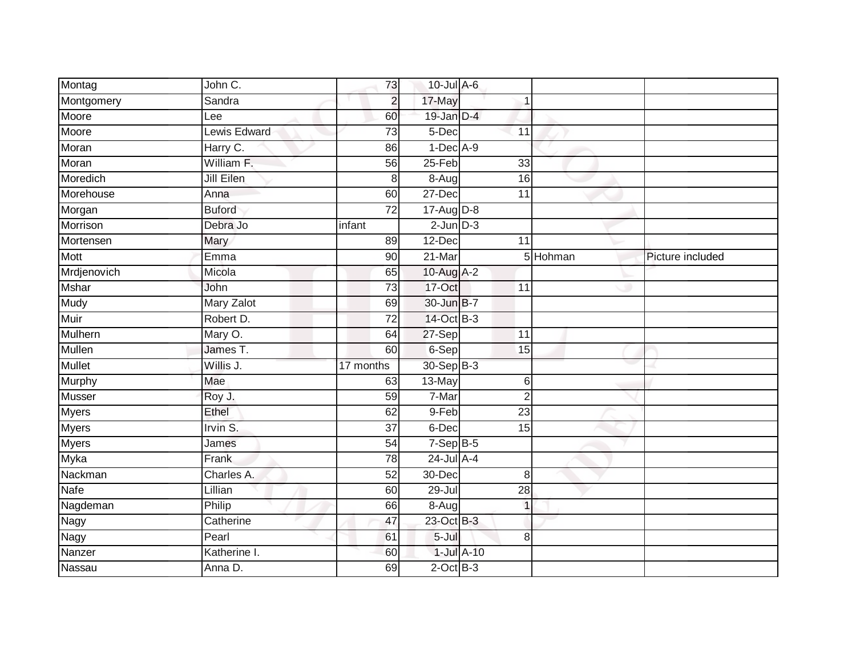| Montag        | John C.       | 73              | 10-Jul A-6            |                 |                |                  |
|---------------|---------------|-----------------|-----------------------|-----------------|----------------|------------------|
| Montgomery    | Sandra        | $\overline{2}$  | 17-May                |                 |                |                  |
| Moore         | Lee           | 60              | 19-Jan D-4            |                 |                |                  |
| Moore         | Lewis Edward  | 73              | 5-Dec                 | 11              |                |                  |
| Moran         | Harry C.      | 86              | $1-Dec$ A-9           |                 |                |                  |
| Moran         | William F.    | 56              | $25-Feb$              | 33              |                |                  |
| Moredich      | Jill Eilen    | 8               | $8 - \overline{A}$ ug | 16              |                |                  |
| Morehouse     | Anna          | 60              | 27-Dec                | 11              |                |                  |
| Morgan        | <b>Buford</b> | 72              | $17-Aug$ D-8          |                 |                |                  |
| Morrison      | Debra Jo      | infant          | $2$ -Jun $D-3$        |                 |                |                  |
| Mortensen     | Mary          | 89              | 12-Dec                | 11              |                |                  |
| Mott          | Emma          | 90              | $21-Mar$              |                 | 5 Hohman       | Picture included |
| Mrdjenovich   | Micola        | 65              | 10-Aug A-2            |                 |                |                  |
| <b>Mshar</b>  | John          | 73              | 17-Oct                | 11              |                |                  |
| <b>Mudy</b>   | Mary Zalot    | 69              | 30-Jun B-7            |                 |                |                  |
| <b>Muir</b>   | Robert D.     | 72              | 14-Oct B-3            |                 |                |                  |
| Mulhern       | Mary O.       | 64              | 27-Sep                | 11              |                |                  |
| Mullen        | James T.      | 60              | 6-Sep                 | 15              |                |                  |
| <b>Mullet</b> | Willis J.     | 17 months       | 30-Sep B-3            |                 |                |                  |
| Murphy        | Mae           | 63              | 13-May                |                 | 6              |                  |
| <b>Musser</b> | Roy J.        | 59              | 7-Mar                 |                 | $\overline{2}$ |                  |
| <b>Myers</b>  | Ethel         | 62              | 9-Feb                 | $\overline{23}$ |                |                  |
| <b>Myers</b>  | Irvin S.      | 37              | 6-Dec                 | 15              |                |                  |
| <b>Myers</b>  | James         | $\overline{54}$ | $7-SepB-5$            |                 |                |                  |
| Myka          | Frank         | 78              | $24$ -Jul A-4         |                 |                |                  |
| Nackman       | Charles A.    | 52              | 30-Dec                |                 | 8              |                  |
| Nafe          | Lillian       | 60              | $29 -$ Jul            | $\overline{28}$ |                |                  |
| Nagdeman      | Philip        | 66              | $8-Aug$               |                 | $\mathbf{1}$   |                  |
| Nagy          | Catherine     | 47              | 23-Oct B-3            |                 |                |                  |
| Nagy          | Pearl         | 61              | $5 -$ Jul             |                 | 8              |                  |
| Nanzer        | Katherine I.  | 60              |                       | $1$ -Jul $A-10$ |                |                  |
| Nassau        | Anna D.       | 69              | $2$ -Oct $B-3$        |                 |                |                  |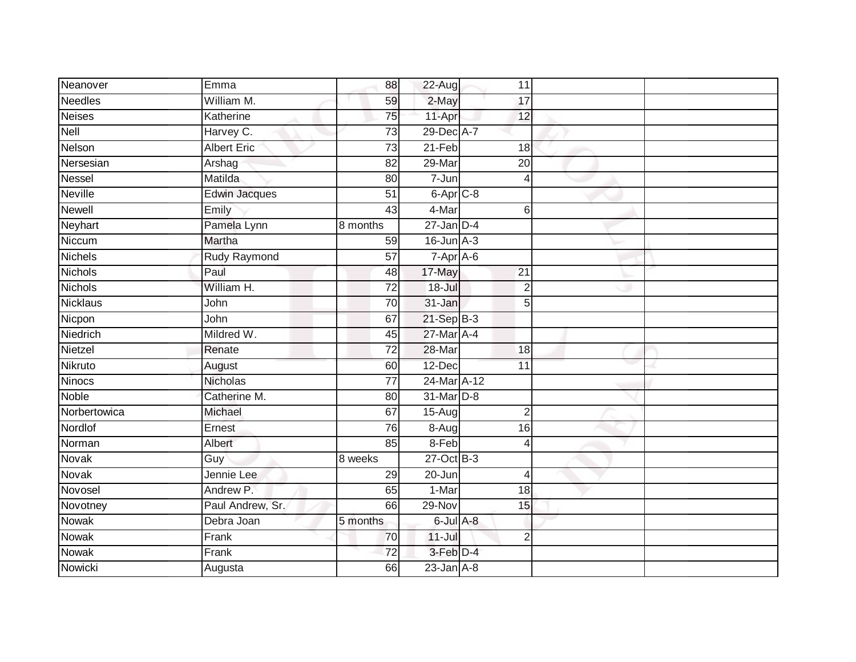| Neanover        | Emma                 | 88              | 22-Aug           | 11              |                |  |
|-----------------|----------------------|-----------------|------------------|-----------------|----------------|--|
| <b>Needles</b>  | William M.           |                 |                  |                 |                |  |
|                 |                      | 59              | 2-May            | 17              |                |  |
| <b>Neises</b>   | Katherine            | 75              | 11-Apr           | 12              |                |  |
| Nell            | Harvey C.            | 73              | 29-Dec A-7       |                 |                |  |
| Nelson          | <b>Albert Eric</b>   | 73              | $21-Feb$         | 18              |                |  |
| Nersesian       | Arshag               | 82              | 29-Mar           | $\overline{20}$ |                |  |
| <b>Nessel</b>   | Matilda              | 80              | 7-Jun            |                 | 4              |  |
| <b>Neville</b>  | <b>Edwin Jacques</b> | 51              | $6$ -Apr $C$ -8  |                 |                |  |
| <b>Newell</b>   | Emily                | 43              | 4-Mar            |                 | 6              |  |
| Neyhart         | Pamela Lynn          | 8 months        | $27 - Jan$ $D-4$ |                 |                |  |
| Niccum          | Martha               | 59              | $16$ -Jun $A-3$  |                 |                |  |
| <b>Nichels</b>  | Rudy Raymond         | 57              | 7-Apr A-6        |                 |                |  |
| <b>Nichols</b>  | Paul                 | 48              | 17-May           | $\overline{21}$ |                |  |
| <b>Nichols</b>  | William H.           | 72              | 18-Jul           |                 | $\overline{2}$ |  |
| <b>Nicklaus</b> | John                 | 70              | 31-Jan           |                 | 5              |  |
| Nicpon          | John                 | 67              | $21-Sep$ $B-3$   |                 |                |  |
| Niedrich        | Mildred W.           | 45              | 27-Mar A-4       |                 |                |  |
| Nietzel         | Renate               | 72              | 28-Mar           | 18              |                |  |
| Nikruto         | August               | 60              | 12-Dec           | 11              |                |  |
| Ninocs          | <b>Nicholas</b>      | $\overline{77}$ | 24-Mar A-12      |                 |                |  |
| Noble           | Catherine M.         | 80              | 31-Mar D-8       |                 |                |  |
| Norbertowica    | Michael              | 67              | $15-Aug$         |                 | $\overline{2}$ |  |
| Nordlof         | Ernest               | 76              | $8-Aug$          | 16              |                |  |
| Norman          | Albert               | 85              | 8-Feb            |                 | 4              |  |
| <b>Novak</b>    | Guy                  | 8 weeks         | $27$ -Oct B-3    |                 |                |  |
| Novak           | Jennie Lee           | 29              | 20-Jun           |                 | $\overline{4}$ |  |
| Novosel         | Andrew P.            | 65              | 1-Mar            | $\overline{18}$ |                |  |
| Novotney        | Paul Andrew, Sr.     | 66              | 29-Nov           | 15              |                |  |
| <b>Nowak</b>    | Debra Joan           | 5 months        | 6-Jul A-8        |                 |                |  |
| Nowak           | Frank                | 70              | $11$ -Jul        |                 | $\overline{2}$ |  |
| Nowak           | Frank                | 72              | $3$ -Feb $D-4$   |                 |                |  |
| Nowicki         | Augusta              | 66              | $23$ -Jan $A-8$  |                 |                |  |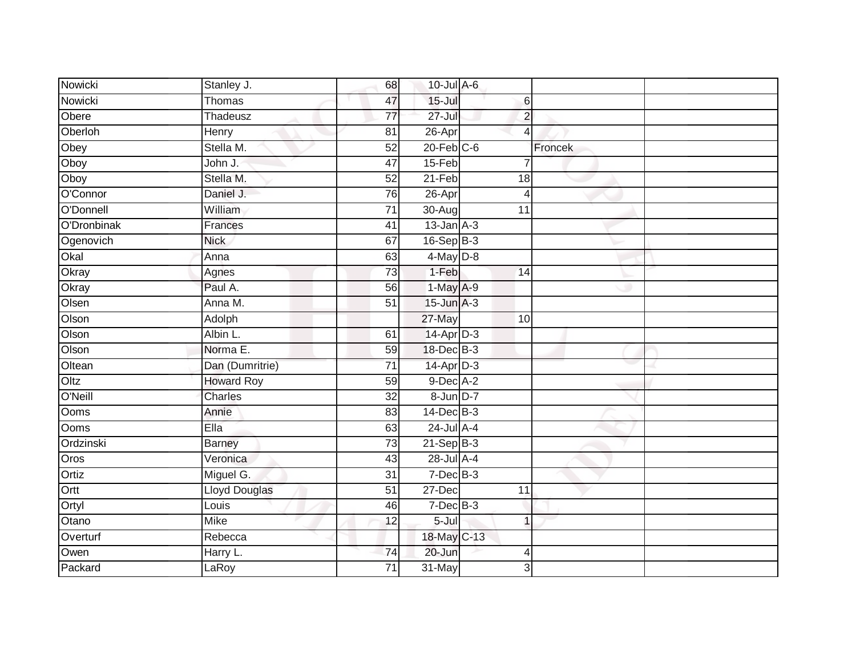| Nowicki           | Stanley J.           | 68              | 10-Jul A-6       |                 |                |  |
|-------------------|----------------------|-----------------|------------------|-----------------|----------------|--|
| Nowicki           | Thomas               | 47              | $15 -$ Jul       |                 | 6              |  |
| Obere             | Thadeusz             | $\overline{77}$ | $27 -$ Jul       |                 | $\overline{2}$ |  |
| Oberloh           | Henry                | 81              | 26-Apr           |                 | 4              |  |
| Obey              | Stella M.            | 52              | $20$ -Feb $C$ -6 |                 | Froncek        |  |
| Oboy              | John J.              | $\overline{47}$ | 15-Feb           |                 |                |  |
| Oboy              | Stella M.            | 52              | 21-Feb           | 18              |                |  |
| O'Connor          | Daniel J.            | 76              | 26-Apr           |                 | $\overline{4}$ |  |
| O'Donnell         | William              | $\overline{71}$ | 30-Aug           | 11              |                |  |
| O'Dronbinak       | Frances              | 41              | $13$ -Jan $A-3$  |                 |                |  |
| Ogenovich         | <b>Nick</b>          | 67              | $16-Sep$ B-3     |                 |                |  |
| Okal              | Anna                 | 63              | $4$ -May $D-8$   |                 |                |  |
| Okray             | Agnes                | 73              | $1-Feb$          | 14              |                |  |
| Okray             | Paul A.              | 56              | $1-May$ A-9      |                 |                |  |
| Olsen             | Anna M.              | $\overline{51}$ | $15$ -Jun $A-3$  |                 |                |  |
| Olson             | Adolph               |                 | 27-May           | $\overline{10}$ |                |  |
| Olson             | Albin L.             | 61              | 14-Apr D-3       |                 |                |  |
| Olson             | Norma E.             | 59              | 18-Dec B-3       |                 |                |  |
| Oltean            | Dan (Dumritrie)      | $\overline{71}$ | $14$ -Apr $D-3$  |                 |                |  |
| Oltz              | <b>Howard Roy</b>    | 59              | 9-Dec A-2        |                 |                |  |
| O'Neill           | Charles              | $\overline{32}$ | 8-Jun D-7        |                 |                |  |
| Ooms              | Annie                | 83              | $14$ -Dec $B-3$  |                 |                |  |
| <b>Ooms</b>       | Ella                 | 63              | $24$ -Jul $A-4$  |                 |                |  |
| Ordzinski         | <b>Barney</b>        | $\overline{73}$ | $21-Sep$ B-3     |                 |                |  |
| $\overline{Oros}$ | Veronica             | 43              | 28-Jul A-4       |                 |                |  |
| Ortiz             | Miguel G.            | $\overline{31}$ | $7 - Dec$ B-3    |                 |                |  |
| Ortt              | <b>Lloyd Douglas</b> | $\overline{51}$ | 27-Dec           | $\overline{11}$ |                |  |
| Ortyl             | Louis                | 46              | $7$ -Dec $B$ -3  |                 |                |  |
| Otano             | <b>Mike</b>          | 12              | $5 -$ Jul        |                 | 1              |  |
| Overturf          | Rebecca              |                 | 18-May C-13      |                 |                |  |
| Owen              | Harry L.             | 74              | 20-Jun           |                 | 4              |  |
| Packard           | LaRoy                | $\overline{71}$ | $31$ -May        |                 | 3              |  |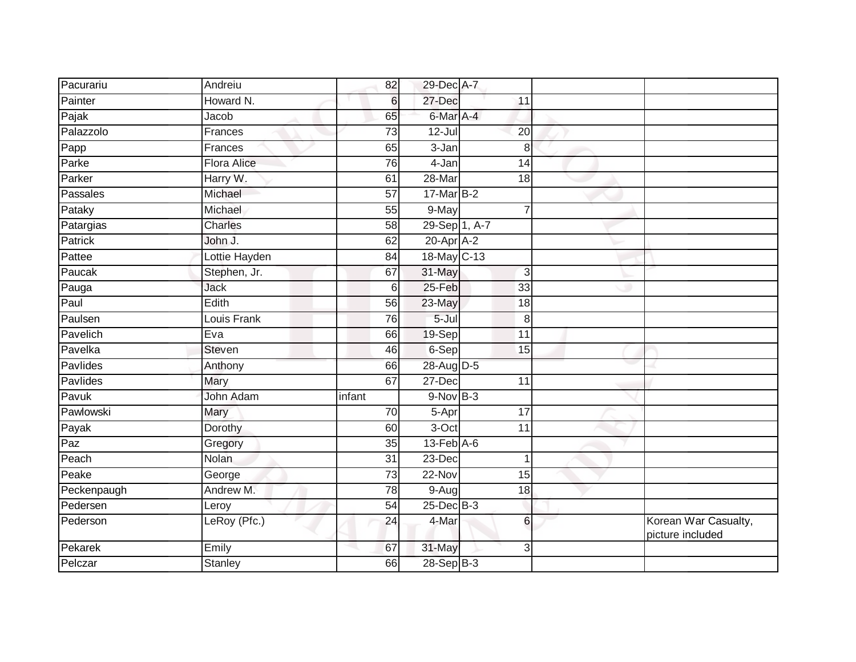| Pacurariu                   | Andreiu            | 82              | 29-Dec A-7       |                 |                |                                          |
|-----------------------------|--------------------|-----------------|------------------|-----------------|----------------|------------------------------------------|
| Painter                     | Howard N.          | 6               | 27-Dec           | 11              |                |                                          |
| Pajak                       | Jacob              | 65              | 6-Mar A-4        |                 |                |                                          |
| Palazzolo                   | Frances            | 73              | $12 -$ Jul       | 20              |                |                                          |
| $\overline{\mathsf{P}}$ app | Frances            | 65              | $3 - Jan$        |                 | 8              |                                          |
| Parke                       | <b>Flora Alice</b> | 76              | $4-Jan$          | 14              |                |                                          |
| Parker                      | Harry W.           | 61              | 28-Mar           | 18              |                |                                          |
| Passales                    | Michael            | 57              | 17-Mar B-2       |                 |                |                                          |
| Pataky                      | Michael            | 55              | 9-May            |                 | $\overline{7}$ |                                          |
| Patargias                   | <b>Charles</b>     | $\overline{58}$ | 29-Sep 1, A-7    |                 |                |                                          |
| Patrick                     | John J.            | 62              | $20$ -Apr $A-2$  |                 |                |                                          |
| Pattee                      | Lottie Hayden      | 84              | 18-May C-13      |                 |                |                                          |
| Paucak                      | Stephen, Jr.       | 67              | 31-May           |                 | 3              |                                          |
| Pauga                       | Jack               | 6               | 25-Feb           | 33              |                |                                          |
| Paul                        | Edith              | $\overline{56}$ | 23-May           | $\overline{18}$ |                |                                          |
| Paulsen                     | Louis Frank        | 76              | $5 -$ Jul        |                 | 8              |                                          |
| Pavelich                    | Eva                | 66              | 19-Sep           | $\overline{11}$ |                |                                          |
| Pavelka                     | <b>Steven</b>      | 46              | 6-Sep            | 15              |                |                                          |
| Pavlides                    | Anthony            | 66              | 28-Aug D-5       |                 |                |                                          |
| Pavlides                    | Mary               | 67              | $27 - Dec$       | $\overline{11}$ |                |                                          |
| Pavuk                       | John Adam          | infant          | $9-Nov$ B-3      |                 |                |                                          |
| Pawlowski                   | Mary               | $\overline{70}$ | 5-Apr            | $\overline{17}$ |                |                                          |
| Payak                       | Dorothy            | 60              | 3-Oct            | 11              |                |                                          |
| Paz                         | Gregory            | 35              | $13$ -Feb $A$ -6 |                 |                |                                          |
| Peach                       | Nolan              | 31              | 23-Dec           |                 | $\mathbf 1$    |                                          |
| Peake                       | George             | 73              | 22-Nov           | 15              |                |                                          |
| Peckenpaugh                 | Andrew M.          | $\overline{78}$ | 9-Aug            | $\overline{18}$ |                |                                          |
| Pedersen                    | Leroy              | 54              | $25$ -Dec $B-3$  |                 |                |                                          |
| Pederson                    | LeRoy (Pfc.)       | 24              | 4-Mar            |                 | 6              | Korean War Casualty,<br>picture included |
| Pekarek                     | Emily              | 67              | 31-May           |                 | 3              |                                          |
| Pelczar                     | <b>Stanley</b>     | 66              | 28-Sep B-3       |                 |                |                                          |
|                             |                    |                 |                  |                 |                |                                          |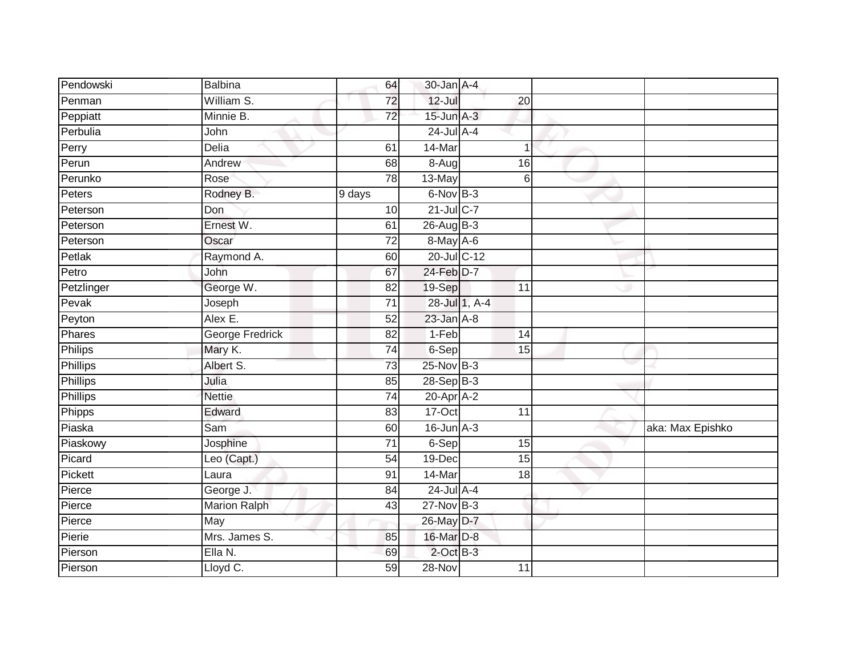| Pendowski       | <b>Balbina</b>            | 64              | 30-Jan A-4      |               |                 |                  |
|-----------------|---------------------------|-----------------|-----------------|---------------|-----------------|------------------|
| Penman          | William S.                | 72              | $12 -$ Jul      |               | 20              |                  |
| Peppiatt        | Minnie B.                 | $\overline{72}$ | $15$ -Jun $A-3$ |               |                 |                  |
| Perbulia        | John                      |                 | $24$ -Jul A-4   |               |                 |                  |
| Perry           | <b>Delia</b>              | 61              | 14-Mar          |               | 1               |                  |
| Perun           | Andrew                    | 68              | 8-Aug           |               | 16              |                  |
| Perunko         | Rose                      | $\overline{78}$ | 13-May          |               | 6               |                  |
| Peters          | Rodney B.                 | 9 days          | 6-Nov B-3       |               |                 |                  |
| Peterson        | Don                       | 10              | 21-Jul C-7      |               |                 |                  |
| Peterson        | Ernest W.                 | 61              | 26-Aug B-3      |               |                 |                  |
| Peterson        | Oscar                     | 72              | $8$ -May $A$ -6 |               |                 |                  |
| Petlak          | Raymond A.                | 60              | 20-Jul C-12     |               |                 |                  |
| Petro           | John                      | 67              | 24-Feb D-7      |               |                 |                  |
| Petzlinger      | George W.                 | 82              | 19-Sep          |               | 11              |                  |
| Pevak           | Joseph                    | $\overline{71}$ |                 | 28-Jul 1, A-4 |                 |                  |
| Peyton          | Alex E.                   | 52              | $23$ -Jan $A-8$ |               |                 |                  |
| Phares          | <b>George Fredrick</b>    | $\overline{82}$ | $1-Feb$         |               | $\overline{14}$ |                  |
| Philips         | Mary K.                   | 74              | 6-Sep           |               | 15              |                  |
| <b>Phillips</b> | Albert S.                 | 73              | 25-Nov B-3      |               |                 |                  |
| <b>Phillips</b> | Julia                     | 85              | $28-Sep$ B-3    |               |                 |                  |
| Phillips        | <b>Nettie</b>             | $\overline{74}$ | 20-Apr A-2      |               |                 |                  |
| Phipps          | Edward                    | 83              | 17-Oct          |               | 11              |                  |
| Piaska          | Sam                       | 60              | $16$ -Jun $A-3$ |               |                 | aka: Max Epishko |
| Piaskowy        | Josphine                  | 71              | 6-Sep           |               | 15              |                  |
| Picard          | Leo (Capt.)               | 54              | 19-Dec          |               | 15              |                  |
| Pickett         | Laura                     | 91              | 14-Mar          |               | 18              |                  |
| Pierce          | George J.                 | 84              | $24$ -Jul A-4   |               |                 |                  |
| Pierce          | Marion Ralph              | 43              | 27-Nov B-3      |               |                 |                  |
| Pierce          | $\overline{\mathsf{May}}$ |                 | 26-May D-7      |               |                 |                  |
| Pierie          | Mrs. James S.             | 85              | 16-Mar D-8      |               |                 |                  |
| Pierson         | Ella N.                   | 69              | $2$ -Oct $B-3$  |               |                 |                  |
| Pierson         | Lloyd C.                  | 59              | $28 - Nov$      |               | 11              |                  |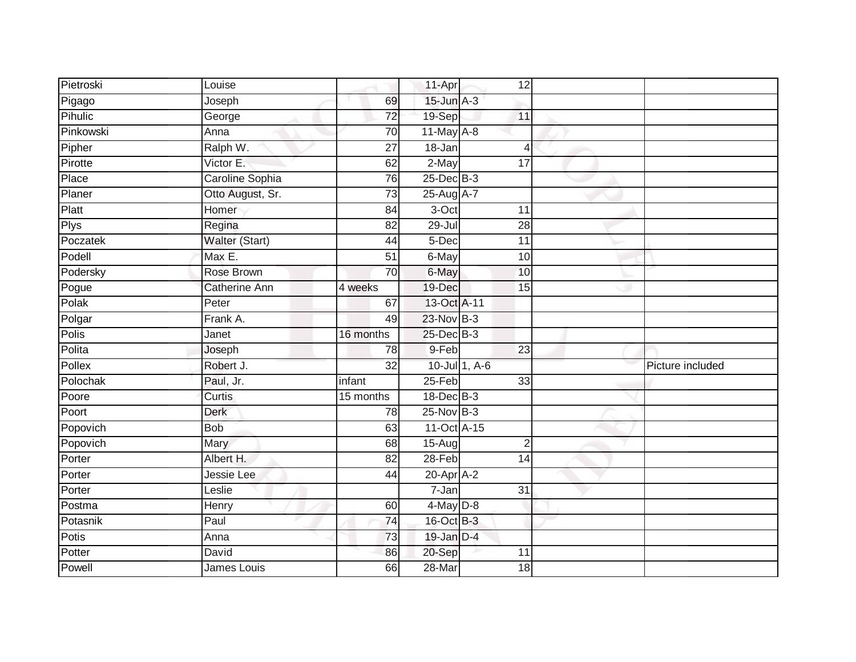| Pietroski    | Louise               |                 | 11-Apr          |                 | 12              |                  |
|--------------|----------------------|-----------------|-----------------|-----------------|-----------------|------------------|
| Pigago       | Joseph               | 69              | $15$ -Jun $A-3$ |                 |                 |                  |
| Pihulic      | George               | $\overline{72}$ | 19-Sep          | 11              |                 |                  |
| Pinkowski    | Anna                 | 70              | 11-May A-8      |                 |                 |                  |
| Pipher       | Ralph W.             | $\overline{27}$ | $18 - Jan$      |                 | $\overline{4}$  |                  |
| Pirotte      | Victor E.            | 62              | 2-May           | 17              |                 |                  |
| Place        | Caroline Sophia      | 76              | 25-Dec B-3      |                 |                 |                  |
| Planer       | Otto August, Sr.     | 73              | 25-Aug A-7      |                 |                 |                  |
| Platt        | Homer                | 84              | 3-Oct           | 11              |                 |                  |
| <b>Plys</b>  | Regina               | $\overline{82}$ | $29 -$ Jul      | $\overline{28}$ |                 |                  |
| Poczatek     | Walter (Start)       | 44              | 5-Dec           | $\overline{11}$ |                 |                  |
| Podell       | $Max E$ .            | $\overline{51}$ | 6-May           |                 | 10              |                  |
| Podersky     | Rose Brown           | 70              | 6-May           |                 | 10              |                  |
| Pogue        | <b>Catherine Ann</b> | 4 weeks         | 19-Dec          |                 | 15              |                  |
| Polak        | Peter                | 67              | 13-Oct A-11     |                 |                 |                  |
| Polgar       | Frank A.             | 49              | 23-Nov B-3      |                 |                 |                  |
| <b>Polis</b> | Janet                | 16 months       | 25-Dec B-3      |                 |                 |                  |
| Polita       | Joseph               | 78              | 9-Feb           | $\overline{23}$ |                 |                  |
| Pollex       | Robert J.            | 32              |                 | 10-Jul 1, A-6   |                 | Picture included |
| Polochak     | Paul, Jr.            | infant          | $25-Feb$        |                 | $\overline{33}$ |                  |
| Poore        | Curtis               | 15 months       | 18-Dec B-3      |                 |                 |                  |
| Poort        | Derk                 | 78              | $25$ -Nov $B-3$ |                 |                 |                  |
| Popovich     | <b>Bob</b>           | 63              | 11-Oct A-15     |                 |                 |                  |
| Popovich     | Mary                 | 68              | 15-Aug          |                 | $\overline{2}$  |                  |
| Porter       | Albert H.            | $\overline{82}$ | 28-Feb          |                 | 14              |                  |
| Porter       | Jessie Lee           | 44              | $20$ -Apr $A-2$ |                 |                 |                  |
| Porter       | Leslie               |                 | $7 - Jan$       | $\overline{31}$ |                 |                  |
| Postma       | Henry                | 60              | $4$ -May $D-8$  |                 |                 |                  |
| Potasnik     | Paul                 | 74              | 16-Oct B-3      |                 |                 |                  |
| Potis        | Anna                 | 73              | 19-Jan D-4      |                 |                 |                  |
| Potter       | David                | 86              | 20-Sep          | 11              |                 |                  |
| Powell       | James Louis          | 66              | 28-Mar          |                 | $\overline{18}$ |                  |
|              |                      |                 |                 |                 |                 |                  |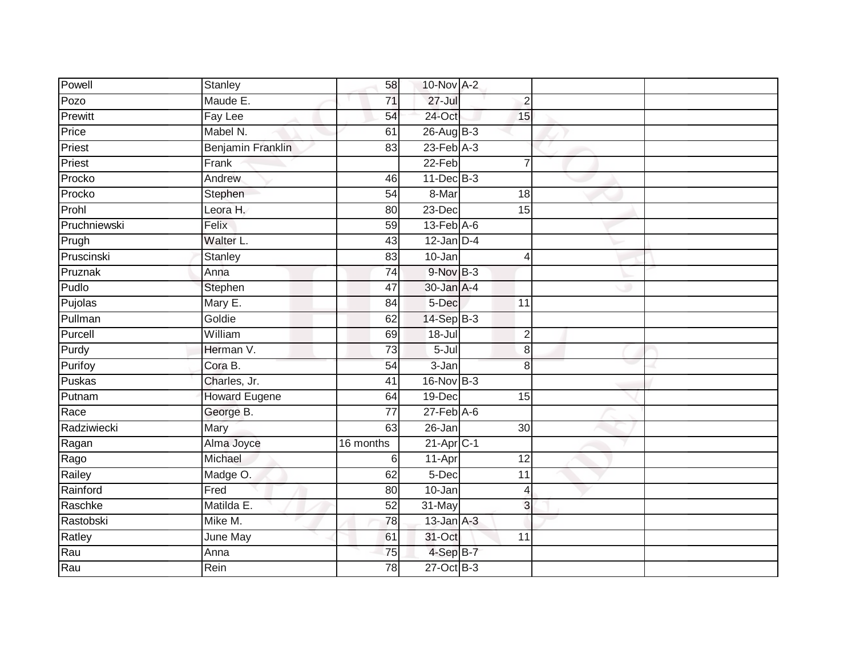| Powell       | Stanley              | 58              | 10-Nov A-2                  |                 |  |
|--------------|----------------------|-----------------|-----------------------------|-----------------|--|
| Pozo         | Maude E.             | 71              | $27 -$ Jul                  | $\overline{c}$  |  |
| Prewitt      | Fay Lee              | 54              | 24-Oct                      | 15              |  |
| Price        | Mabel N.             | 61              | 26-Aug B-3                  |                 |  |
| Priest       | Benjamin Franklin    | 83              | $23$ -Feb $A-3$             |                 |  |
| Priest       | Frank                |                 | $22-Feb$                    | $\overline{7}$  |  |
| Procko       | Andrew               | 46              | $11$ -Dec $B-3$             |                 |  |
| Procko       | Stephen              | 54              | 8-Mar                       | 18              |  |
| Prohl        | Leora H.             | 80              | 23-Dec                      | $\overline{15}$ |  |
| Pruchniewski | Felix                | 59              | $13$ -Feb $\overline{A}$ -6 |                 |  |
| Prugh        | Walter L.            | 43              | $12$ -Jan $D-4$             |                 |  |
| Pruscinski   | Stanley              | 83              | $10 - Jan$                  | $\overline{4}$  |  |
| Pruznak      | Anna                 | 74              | $9-Nov$ $B-3$               |                 |  |
| Pudlo        | Stephen              | $\overline{47}$ | 30-Jan A-4                  |                 |  |
| Pujolas      | Mary E.              | $\overline{84}$ | 5-Dec                       | $\overline{11}$ |  |
| Pullman      | Goldie               | 62              | 14-Sep B-3                  |                 |  |
| Purcell      | William              | 69              | $18 -$ Jul                  | $\overline{2}$  |  |
| Purdy        | Herman V.            | 73              | 5-Jul                       | 8               |  |
| Purifoy      | Cora B.              | 54              | 3-Jan                       | 8               |  |
| Puskas       | Charles, Jr.         | 41              | 16-Nov B-3                  |                 |  |
| Putnam       | <b>Howard Eugene</b> | 64              | 19-Dec                      | 15              |  |
| Race         | George B.            | $\overline{77}$ | $27$ -Feb $A$ -6            |                 |  |
| Radziwiecki  | Mary                 | 63              | 26-Jan                      | 30              |  |
| Ragan        | Alma Joyce           | 16 months       | $21$ -Apr $C-1$             |                 |  |
| Rago         | Michael              | 6               | 11-Apr                      | $\overline{12}$ |  |
| Railey       | Madge O.             | 62              | 5-Dec                       | $\overline{11}$ |  |
| Rainford     | Fred                 | 80              | $10 - Jan$                  | 4               |  |
| Raschke      | Matilda E.           | 52              | 31-May                      | 3               |  |
| Rastobski    | Mike M.              | 78              | $13$ -Jan $A-3$             |                 |  |
| Ratley       | June May             | 61              | 31-Oct                      | 11              |  |
| Rau          | Anna                 | 75              | 4-Sep B-7                   |                 |  |
| Rau          | Rein                 | 78              | 27-Oct B-3                  |                 |  |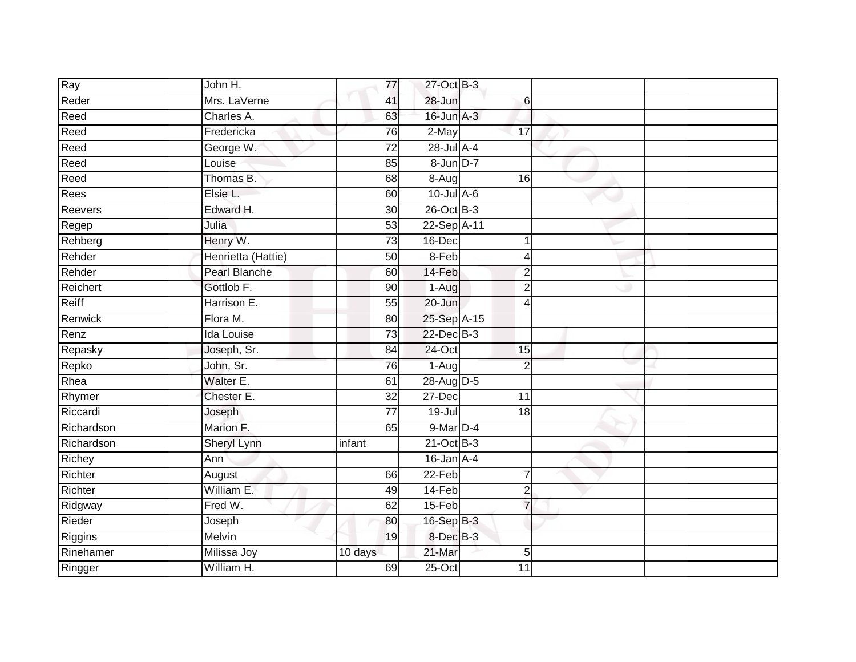| Ray        | John H.              | 77              | 27-Oct B-3      |                 |  |
|------------|----------------------|-----------------|-----------------|-----------------|--|
| Reder      | Mrs. LaVerne         | 41              | 28-Jun          | 6               |  |
| Reed       | Charles A.           | 63              | 16-Jun A-3      |                 |  |
| Reed       | Fredericka           | 76              | 2-May           | 17              |  |
| Reed       | George W.            | $\overline{72}$ | 28-Jul A-4      |                 |  |
| Reed       | Louise               | 85              | 8-Jun D-7       |                 |  |
| Reed       | Thomas B.            | 68              | $8-Aug$         | 16              |  |
| Rees       | Elsie L.             | 60              | $10$ -Jul $A-6$ |                 |  |
| Reevers    | Edward H.            | 30              | 26-Oct B-3      |                 |  |
| Regep      | Julia                | 53              | 22-Sep A-11     |                 |  |
| Rehberg    | Henry W.             | 73              | 16-Dec          | 1               |  |
| Rehder     | Henrietta (Hattie)   | 50              | 8-Feb           | 4               |  |
| Rehder     | <b>Pearl Blanche</b> | 60              | 14-Feb          | $\overline{2}$  |  |
| Reichert   | Gottlob F.           | 90              | 1-Aug           | $\overline{2}$  |  |
| Reiff      | Harrison E.          | $\overline{55}$ | 20-Jun          | $\overline{4}$  |  |
| Renwick    | Flora M.             | 80              | 25-Sep A-15     |                 |  |
| Renz       | <b>Ida Louise</b>    | $\overline{73}$ | 22-Dec B-3      |                 |  |
| Repasky    | Joseph, Sr.          | 84              | $24$ -Oct       | 15              |  |
| Repko      | John, Sr.            | 76              | $1-Aug$         | $\overline{2}$  |  |
| Rhea       | Walter E.            | 61              | 28-Aug D-5      |                 |  |
| Rhymer     | Chester E.           | $\overline{32}$ | $27 - Dec$      | $\overline{11}$ |  |
| Riccardi   | Joseph               | $\overline{77}$ | $19 -$ Jul      | 18              |  |
| Richardson | Marion F.            | 65              | 9-Mar D-4       |                 |  |
| Richardson | Sheryl Lynn          | infant          | $21$ -Oct B-3   |                 |  |
| Richey     | Ann                  |                 | $16$ -Jan $A-4$ |                 |  |
| Richter    | August               | 66              | $22-Feb$        | $\overline{7}$  |  |
| Richter    | William E.           | 49              | 14-Feb          | $\overline{2}$  |  |
| Ridgway    | Fred W.              | 62              | 15-Feb          | $\overline{7}$  |  |
| Rieder     | Joseph               | 80              | 16-Sep B-3      |                 |  |
| Riggins    | Melvin               | 19              | 8-Dec B-3       |                 |  |
| Rinehamer  | Milissa Joy          | 10 days         | $21$ -Mar       | 5               |  |
| Ringger    | William H.           | 69              | $25$ -Oct       | $\overline{11}$ |  |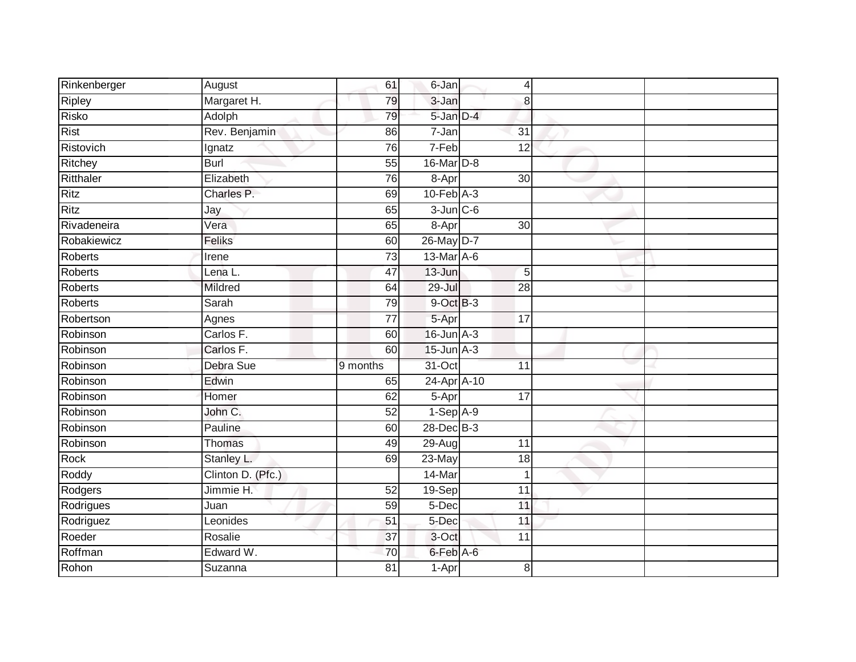| Rinkenberger   | August            | 61              | 6-Jan           |    | 4               |  |
|----------------|-------------------|-----------------|-----------------|----|-----------------|--|
| Ripley         | Margaret H.       | 79              | 3-Jan           |    | 8               |  |
| <b>Risko</b>   | Adolph            | 79              | 5-Jan D-4       |    |                 |  |
| <b>Rist</b>    | Rev. Benjamin     | 86              | 7-Jan           | 31 |                 |  |
| Ristovich      | Ignatz            | $\overline{76}$ | $7-Feb$         |    | 12              |  |
| Ritchey        | Burl              | 55              | $16$ -Mar $D-8$ |    |                 |  |
| Ritthaler      | Elizabeth         | $\overline{76}$ | 8-Apr           |    | 30              |  |
| <b>Ritz</b>    | Charles P.        | 69              | $10$ -Feb $A-3$ |    |                 |  |
| Ritz           | Jay               | 65              | $3$ -Jun $C$ -6 |    |                 |  |
| Rivadeneira    | Vera              | 65              | 8-Apr           |    | 30              |  |
| Robakiewicz    | Feliks            | 60              | 26-May D-7      |    |                 |  |
| <b>Roberts</b> | Irene             | $\overline{73}$ | 13-Mar A-6      |    |                 |  |
| <b>Roberts</b> | Lena L.           | 47              | 13-Jun          |    | 5               |  |
| <b>Roberts</b> | Mildred           | 64              | 29-Jul          |    | 28              |  |
| <b>Roberts</b> | Sarah             | 79              | 9-Oct B-3       |    |                 |  |
| Robertson      | Agnes             | 77              | 5-Apr           | 17 |                 |  |
| Robinson       | Carlos F.         | 60              | $16$ -Jun $A-3$ |    |                 |  |
| Robinson       | Carlos F.         | 60              | $15$ -Jun $A-3$ |    |                 |  |
| Robinson       | Debra Sue         | 9 months        | 31-Oct          |    | 11              |  |
| Robinson       | Edwin             | 65              | 24-Apr A-10     |    |                 |  |
| Robinson       | Homer             | 62              | 5-Apr           |    | 17              |  |
| Robinson       | John C.           | 52              | $1-Sep$ $A-9$   |    |                 |  |
| Robinson       | Pauline           | 60              | 28-Dec B-3      |    |                 |  |
| Robinson       | Thomas            | 49              | 29-Aug          |    | $\overline{11}$ |  |
| Rock           | Stanley L.        | 69              | 23-May          |    | 18              |  |
| Roddy          | Clinton D. (Pfc.) |                 | 14-Mar          |    | $\mathbf 1$     |  |
| Rodgers        | Jimmie H.         | 52              | 19-Sep          |    | $\overline{11}$ |  |
| Rodrigues      | Juan              | 59              | 5-Dec           |    | 11              |  |
| Rodriguez      | Leonides          | 51              | $5-Dec$         |    | 11              |  |
| Roeder         | Rosalie           | 37              | 3-Oct           |    | 11              |  |
| Roffman        | Edward W.         | 70              | 6-Feb A-6       |    |                 |  |
| Rohon          | Suzanna           | $\overline{81}$ | 1-Apr           |    | 8               |  |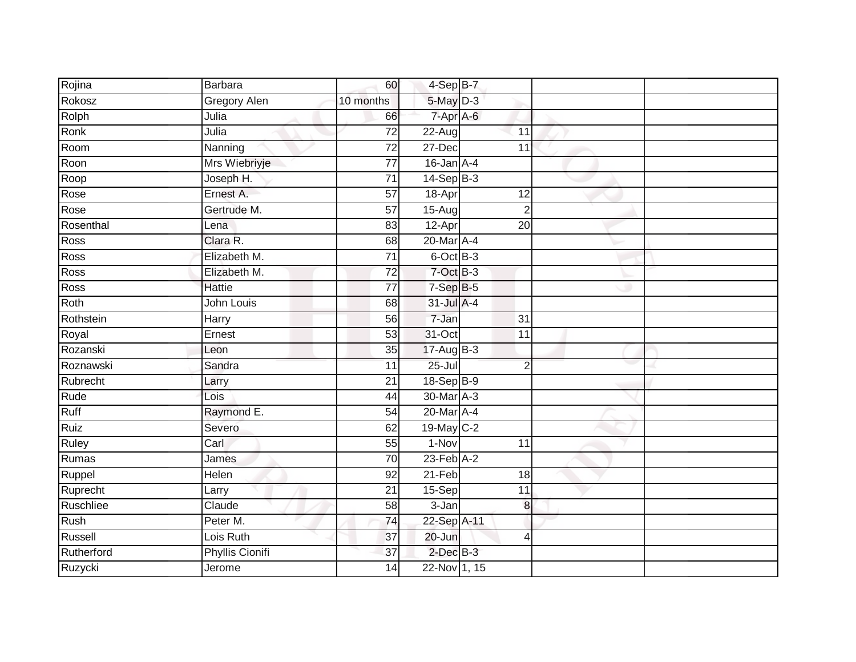| Rojina     | <b>Barbara</b>         | 60              | 4-Sep B-7       |                 |  |
|------------|------------------------|-----------------|-----------------|-----------------|--|
| Rokosz     | Gregory Alen           | 10 months       | 5-May D-3       |                 |  |
| Rolph      | Julia                  | 66              | 7-Apr A-6       |                 |  |
| Ronk       | Julia                  | 72              | $22$ -Aug       | 11              |  |
| Room       | Nanning                | $\overline{72}$ | 27-Dec          | 11              |  |
| Roon       | Mrs Wiebriyje          | $\overline{77}$ | $16$ -Jan $A-4$ |                 |  |
| Roop       | Joseph H.              | $\overline{71}$ | $14-Sep$ B-3    |                 |  |
| Rose       | Ernest A.              | 57              | 18-Apr          | 12              |  |
| Rose       | Gertrude M.            | $\overline{57}$ | 15-Aug          | $\overline{2}$  |  |
| Rosenthal  | Lena                   | 83              | 12-Apr          | 20              |  |
| Ross       | Clara R.               | 68              | 20-Mar A-4      |                 |  |
| Ross       | Elizabeth M.           | 71              | 6-Oct B-3       |                 |  |
| Ross       | Elizabeth M.           | 72              | 7-Oct B-3       |                 |  |
| Ross       | <b>Hattie</b>          | 77              | $7-SepB-5$      |                 |  |
| Roth       | John Louis             | 68              | 31-Jul A-4      |                 |  |
| Rothstein  | Harry                  | 56              | 7-Jan           | 31              |  |
| Royal      | Ernest                 | $\overline{53}$ | 31-Oct          | $\overline{11}$ |  |
| Rozanski   | Leon                   | 35              | $17-AugB-3$     |                 |  |
| Roznawski  | Sandra                 | 11              | $25 -$ Jul      | $\overline{2}$  |  |
| Rubrecht   | Larry                  | $\overline{21}$ | 18-Sep B-9      |                 |  |
| Rude       | Lois                   | 44              | 30-Mar A-3      |                 |  |
| Ruff       | Raymond E.             | 54              | 20-Mar A-4      |                 |  |
| Ruiz       | Severo                 | 62              | 19-May C-2      |                 |  |
| Ruley      | Carl                   | 55              | 1-Nov           | 11              |  |
| Rumas      | James                  | 70              | $23$ -Feb $A-2$ |                 |  |
| Ruppel     | Helen                  | 92              | $21-Feb$        | 18              |  |
| Ruprecht   | Larry                  | $\overline{21}$ | $15-Sep$        | 11              |  |
| Ruschliee  | Claude                 | 58              | $3 - Jan$       | 8               |  |
| Rush       | Peter M.               | 74              | 22-Sep A-11     |                 |  |
| Russell    | Lois Ruth              | $\overline{37}$ | 20-Jun          | $\overline{4}$  |  |
| Rutherford | <b>Phyllis Cionifi</b> | 37              | $2$ -Dec $B-3$  |                 |  |
| Ruzycki    | Jerome                 | $\overline{14}$ | 22-Nov 1, 15    |                 |  |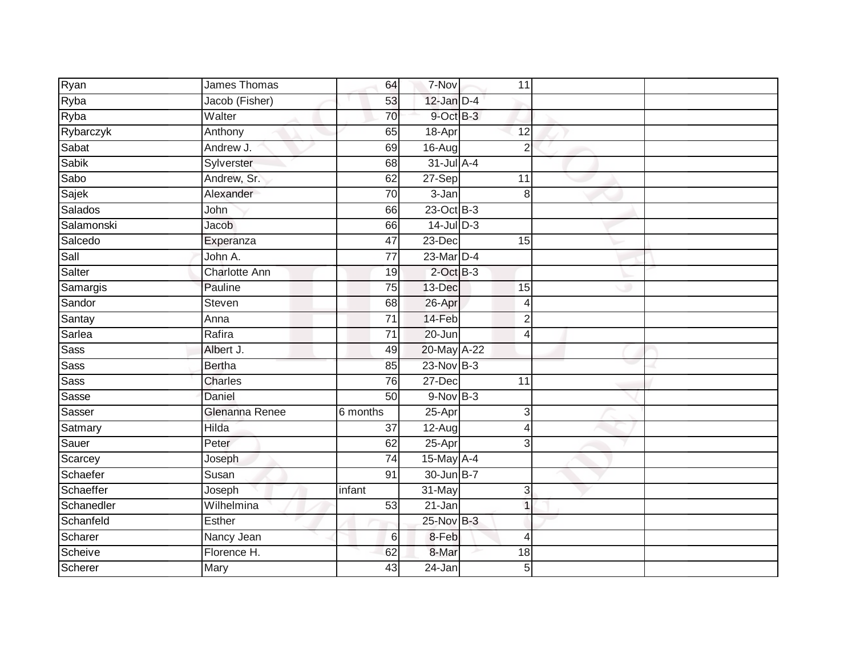| Ryan         | James Thomas         | 64              | 7-Nov           | 11             |  |
|--------------|----------------------|-----------------|-----------------|----------------|--|
| Ryba         | Jacob (Fisher)       | 53              | $12$ -Jan $D-4$ |                |  |
| Ryba         | Walter               | 70              | 9-Oct B-3       |                |  |
| Rybarczyk    | Anthony              | 65              | 18-Apr          | 12             |  |
| Sabat        | Andrew J.            | 69              | 16-Aug          | $\overline{2}$ |  |
| <b>Sabik</b> | Sylverster           | 68              | $31$ -Jul A-4   |                |  |
| Sabo         | Andrew, Sr.          | 62              | $27-$ Sep       | 11             |  |
| Sajek        | Alexander            | 70              | 3-Jan           | 8              |  |
| Salados      | John                 | 66              | 23-Oct B-3      |                |  |
| Salamonski   | Jacob                | 66              | $14$ -Jul $D-3$ |                |  |
| Salcedo      | Experanza            | 47              | 23-Dec          | 15             |  |
| Sall         | John A.              | $\overline{77}$ | 23-Mar D-4      |                |  |
| Salter       | <b>Charlotte Ann</b> | 19              | $2$ -Oct $B-3$  |                |  |
| Samargis     | Pauline              | 75              | 13-Dec          | 15             |  |
| Sandor       | Steven               | 68              | 26-Apr          | $\overline{4}$ |  |
| Santay       | Anna                 | $\overline{71}$ | 14-Feb          | $\overline{2}$ |  |
| Sarlea       | Rafira               | $\overline{71}$ | $20 - Jun$      | $\overline{4}$ |  |
| <b>Sass</b>  | Albert J.            | 49              | 20-May A-22     |                |  |
| <b>Sass</b>  | <b>Bertha</b>        | 85              | 23-Nov B-3      |                |  |
| <b>Sass</b>  | <b>Charles</b>       | 76              | $27 - Dec$      | 11             |  |
| Sasse        | Daniel               | 50              | $9-Nov$ B-3     |                |  |
| Sasser       | Glenanna Renee       | 6 months        | $25 -$ Apr      | 3              |  |
| Satmary      | Hilda                | 37              | $12-Aug$        | $\overline{4}$ |  |
| Sauer        | Peter                | 62              | $25-Apr$        | 3              |  |
| Scarcey      | Joseph               | $\overline{74}$ | 15-May A-4      |                |  |
| Schaefer     | Susan                | 91              | 30-Jun B-7      |                |  |
| Schaeffer    | Joseph               | infant          | 31-May          | 3              |  |
| Schanedler   | Wilhelmina           | 53              | 21-Jan          | $\overline{1}$ |  |
| Schanfeld    | Esther               |                 | 25-Nov B-3      |                |  |
| Scharer      | Nancy Jean           | $6\,$           | 8-Feb           | 4              |  |
| Scheive      | Florence H.          | 62              | 8-Mar           | 18             |  |
| Scherer      | Mary                 | 43              | $24$ -Jan       | 5              |  |
|              |                      |                 |                 |                |  |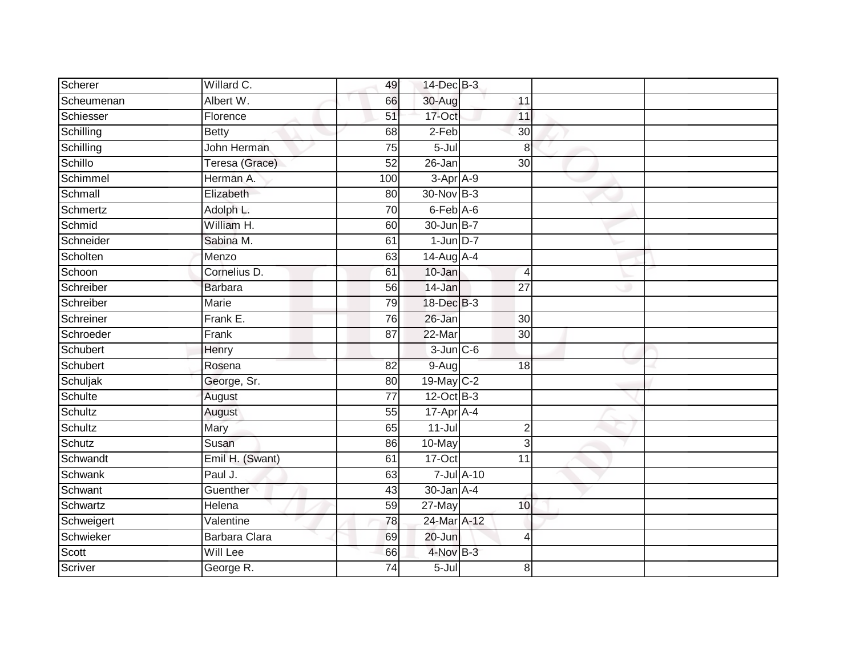| Scherer    | Willard C.      | 49              | 14-Dec B-3      |                 |  |
|------------|-----------------|-----------------|-----------------|-----------------|--|
| Scheumenan | Albert W.       | 66              | 30-Aug          | 11              |  |
| Schiesser  | Florence        | 51              | 17-Oct          | 11              |  |
| Schilling  | <b>Betty</b>    | 68              | $2-Feb$         | 30              |  |
| Schilling  | John Herman     | $\overline{75}$ | $5 -$ Jul       | 8               |  |
| Schillo    | Teresa (Grace)  | 52              | 26-Jan          | 30              |  |
| Schimmel   | Herman A.       | 100             | 3-Apr A-9       |                 |  |
| Schmall    | Elizabeth       | 80              | 30-Nov B-3      |                 |  |
| Schmertz   | Adolph L.       | 70              | 6-Feb A-6       |                 |  |
| Schmid     | William H.      | 60              | 30-Jun B-7      |                 |  |
| Schneider  | Sabina M.       | 61              | $1$ -Jun $D-7$  |                 |  |
| Scholten   | Menzo           | 63              | 14-Aug A-4      |                 |  |
| Schoon     | Cornelius D.    | 61              | $10 - Jan$      | 4               |  |
| Schreiber  | <b>Barbara</b>  | 56              | 14-Jan          | $\overline{27}$ |  |
| Schreiber  | Marie           | 79              | 18-Dec B-3      |                 |  |
| Schreiner  | Frank E.        | 76              | 26-Jan          | 30              |  |
| Schroeder  | Frank           | $\overline{87}$ | 22-Mar          | $\overline{30}$ |  |
| Schubert   | Henry           |                 | $3$ -Jun $C$ -6 |                 |  |
| Schubert   | Rosena          | 82              | $9-Aug$         | 18              |  |
| Schuljak   | George, Sr.     | 80              | 19-May C-2      |                 |  |
| Schulte    | August          | 77              | 12-Oct B-3      |                 |  |
| Schultz    | August          | $\overline{55}$ | 17-Apr A-4      |                 |  |
| Schultz    | Mary            | 65              | $11 -$ Jul      | $\overline{c}$  |  |
| Schutz     | Susan           | 86              | 10-May          | 3               |  |
| Schwandt   | Emil H. (Swant) | 61              | 17-Oct          | 11              |  |
| Schwank    | Paul J.         | 63              |                 | 7-Jul A-10      |  |
| Schwant    | Guenther        | 43              | $30 - Jan$ A-4  |                 |  |
| Schwartz   | Helena          | 59              | 27-May          | 10 <sup>1</sup> |  |
| Schweigert | Valentine       | 78              | 24-Mar A-12     |                 |  |
| Schwieker  | Barbara Clara   | 69              | 20-Jun          | $\overline{4}$  |  |
| Scott      | Will Lee        | 66              | 4-Nov B-3       |                 |  |
| Scriver    | George R.       | $\overline{74}$ | $5 -$ Jul       | 8               |  |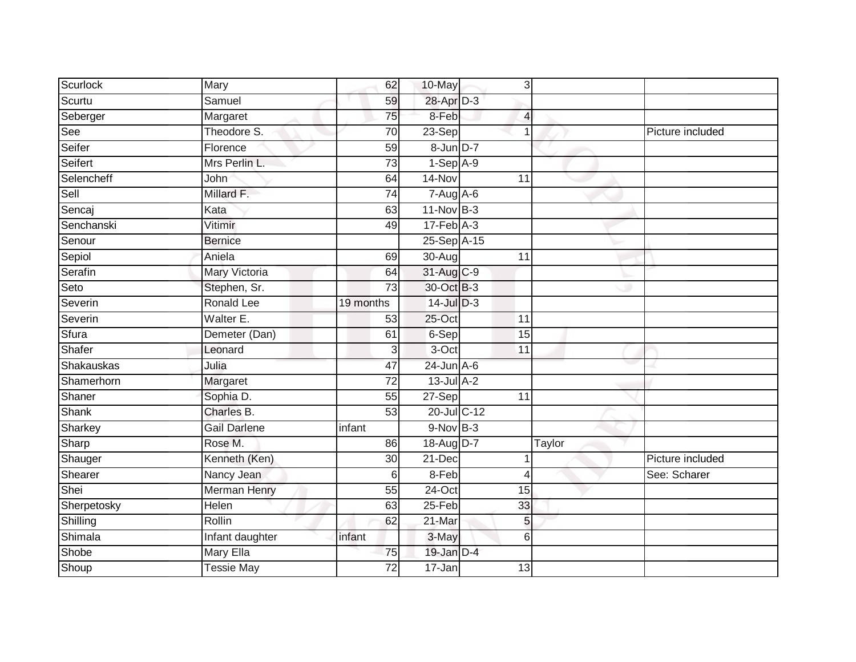| <b>Scurlock</b> | Mary                | 62              | 10-May           | 3               |        |                  |
|-----------------|---------------------|-----------------|------------------|-----------------|--------|------------------|
| Scurtu          | Samuel              | 59              | 28-Apr D-3       |                 |        |                  |
| Seberger        | Margaret            | $\overline{75}$ | 8-Feb            | 4               |        |                  |
| See             | Theodore S.         | 70              | 23-Sep           |                 |        | Picture included |
| Seifer          | Florence            | 59              | 8-Jun D-7        |                 |        |                  |
| Seifert         | Mrs Perlin L.       | 73              | $1-Sep$ $A-9$    |                 |        |                  |
| Selencheff      | John                | 64              | 14-Nov           | 11              |        |                  |
| Sell            | Millard F.          | $\overline{74}$ | $7-Aug$ A-6      |                 |        |                  |
| Sencaj          | Kata                | 63              | 11-Nov B-3       |                 |        |                  |
| Senchanski      | Vitimir             | 49              | $17$ -Feb $A-3$  |                 |        |                  |
| Senour          | <b>Bernice</b>      |                 | 25-Sep A-15      |                 |        |                  |
| Sepiol          | Aniela              | 69              | 30-Aug           | $\overline{11}$ |        |                  |
| Serafin         | Mary Victoria       | 64              | 31-Aug C-9       |                 |        |                  |
| Seto            | Stephen, Sr.        | 73              | 30-Oct B-3       |                 |        |                  |
| Severin         | Ronald Lee          | 19 months       | 14-Jul D-3       |                 |        |                  |
| Severin         | Walter E.           | 53              | $25$ -Oct        | 11              |        |                  |
| Sfura           | Demeter (Dan)       | 61              | 6-Sep            | 15              |        |                  |
| Shafer          | Leonard             | 3               | $3-Oct$          | 11              |        |                  |
| Shakauskas      | Julia               | 47              | $24$ -Jun $A$ -6 |                 |        |                  |
| Shamerhorn      | Margaret            | $\overline{72}$ | $13$ -Jul $A-2$  |                 |        |                  |
| Shaner          | Sophia D.           | 55              | 27-Sep           | 11              |        |                  |
| <b>Shank</b>    | Charles B.          | 53              | 20-Jul C-12      |                 |        |                  |
| Sharkey         | <b>Gail Darlene</b> | infant          | $9-Nov$ B-3      |                 |        |                  |
| Sharp           | Rose M.             | 86              | 18-Aug D-7       |                 | Taylor |                  |
| Shauger         | Kenneth (Ken)       | 30              | 21-Dec           |                 |        | Picture included |
| Shearer         | Nancy Jean          | 6               | 8-Feb            | 4               |        | See: Scharer     |
| Shei            | <b>Merman Henry</b> | 55              | $24$ -Oct        | 15              |        |                  |
| Sherpetosky     | Helen               | 63              | $25-Feb$         | 33              |        |                  |
| Shilling        | Rollin              | 62              | 21-Mar           | 5               |        |                  |
| Shimala         | Infant daughter     | infant          | 3-May            | 6               |        |                  |
| Shobe           | Mary Ella           | 75              | 19-Jan D-4       |                 |        |                  |
| Shoup           | <b>Tessie May</b>   | $\overline{72}$ | $17 - Jan$       | 13              |        |                  |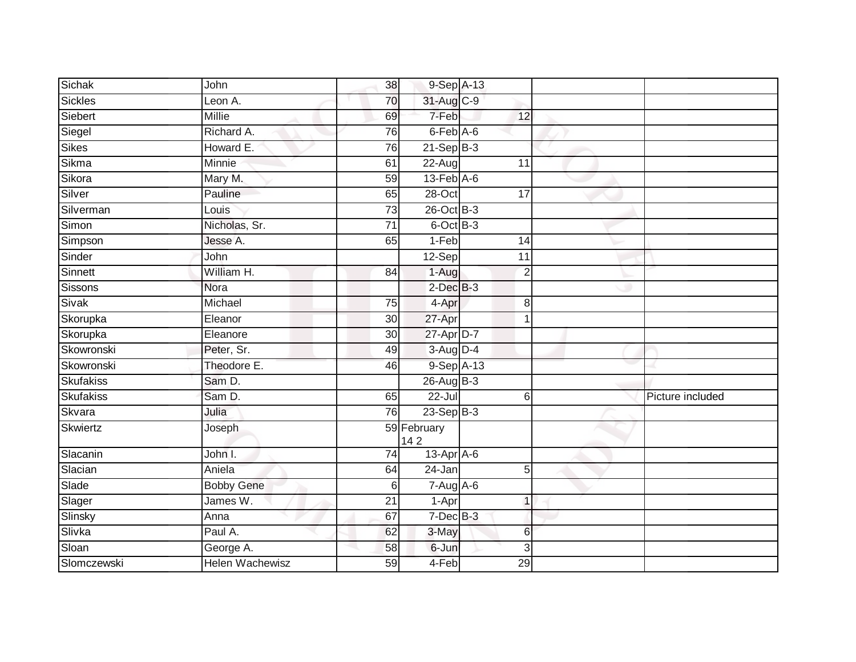| Sichak         | John              | 38              | 9-Sep A-13                            |                |                  |
|----------------|-------------------|-----------------|---------------------------------------|----------------|------------------|
| <b>Sickles</b> | Leon A.           | 70              | 31-Aug C-9                            |                |                  |
| Siebert        | <b>Millie</b>     | 69              | 7-Feb                                 | 12             |                  |
| Siegel         | Richard A.        | 76              | $6$ -Feb $A$ -6                       |                |                  |
| Sikes          | Howard E.         | 76              | $21-SepB-3$                           |                |                  |
| Sikma          | Minnie            | 61              | 22-Aug                                | 11             |                  |
| Sikora         | Mary M.           | 59              | $13$ -Feb $A$ -6                      |                |                  |
| Silver         | Pauline           | 65              | $28 - Oct$                            | 17             |                  |
| Silverman      | Louis             | 73              | $26$ -Oct $B-3$                       |                |                  |
| Simon          | Nicholas, Sr.     | $\overline{71}$ | 6-Oct B-3                             |                |                  |
| Simpson        | Jesse A.          | 65              | $1-Feb$                               | 14             |                  |
| Sinder         | John              |                 | 12-Sep                                | 11             |                  |
| Sinnett        | William H.        | 84              | $1-Aug$                               | $\overline{2}$ |                  |
| <b>Sissons</b> | Nora              |                 | $2$ -Dec $B-3$                        |                |                  |
| Sivak          | Michael           | 75              | 4-Apr                                 | 8              |                  |
| Skorupka       | Eleanor           | 30              | 27-Apr                                | 1              |                  |
| Skorupka       | Eleanore          | $\overline{30}$ | 27-Apr D-7                            |                |                  |
| Skowronski     | Peter, Sr.        | 49              | 3-Aug D-4                             |                |                  |
| Skowronski     | Theodore E.       | 46              | 9-Sep A-13                            |                |                  |
| Skufakiss      | Sam D.            |                 | $26$ -Aug B-3                         |                |                  |
| Skufakiss      | Sam D.            | 65              | $22 -$ Jul                            | 6              | Picture included |
| Skvara         | Julia             | 76              | $23$ -Sep B-3                         |                |                  |
| Skwiertz       | Joseph            |                 | 59 February<br>142                    |                |                  |
| Slacanin       | John I.           | 74              | $13$ -Apr $A$ -6                      |                |                  |
| Slacian        | Aniela            | 64              | $24 - Jan$                            | 5              |                  |
| Slade          | <b>Bobby Gene</b> | 6               | $7 - \overline{Aug} \overline{A - 6}$ |                |                  |
| Slager         | James W.          | $\overline{21}$ | $1-Apr$                               | $\mathbf{1}$   |                  |
| Slinsky        | Anna              | 67              | 7-Dec B-3                             |                |                  |
| Slivka         | Paul A.           | 62              | 3-May                                 | 6              |                  |
| Sloan          | George A.         | 58              | 6-Jun                                 | 3              |                  |
| Slomczewski    | Helen Wachewisz   | 59              | 4-Feb                                 | 29             |                  |
|                |                   |                 |                                       |                |                  |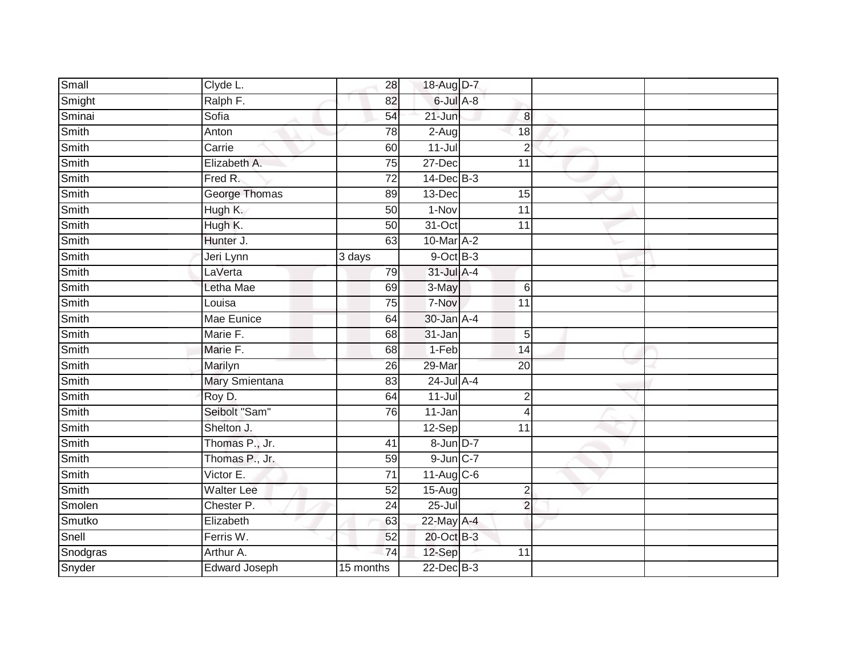| Small    | Clyde L.              | 28              | 18-Aug D-7      |                 |                  |  |
|----------|-----------------------|-----------------|-----------------|-----------------|------------------|--|
| Smight   | Ralph F.              | 82              | 6-Jul A-8       |                 |                  |  |
| Sminai   | Sofia                 | 54              | $21 - Jun$      |                 | $\boldsymbol{8}$ |  |
| Smith    | Anton                 | 78              | $2-Aug$         | 18              |                  |  |
| Smith    | Carrie                | 60              | $11 -$ Jul      |                 | $\overline{2}$   |  |
| Smith    | Elizabeth A.          | 75              | 27-Dec          | 11              |                  |  |
| Smith    | Fred R.               | $\overline{72}$ | $14$ -Dec $B-3$ |                 |                  |  |
| Smith    | <b>George Thomas</b>  | 89              | $13$ -Dec       | 15              |                  |  |
| Smith    | Hugh K.               | 50              | 1-Nov           | $\overline{11}$ |                  |  |
| Smith    | Hugh K.               | 50              | 31-Oct          | 11              |                  |  |
| Smith    | Hunter J.             | 63              | 10-Mar A-2      |                 |                  |  |
| Smith    | Jeri Lynn             | 3 days          | $9$ -Oct $B$ -3 |                 |                  |  |
| Smith    | LaVerta               | 79              | 31-Jul A-4      |                 |                  |  |
| Smith    | Letha Mae             | 69              | 3-May           |                 | $6\phantom{1}6$  |  |
| Smith    | Louisa                | 75              | 7-Nov           | 11              |                  |  |
| Smith    | Mae Eunice            | 64              | 30-Jan A-4      |                 |                  |  |
| Smith    | Marie F.              | 68              | 31-Jan          |                 | $\overline{5}$   |  |
| Smith    | Marie F.              | 68              | $1-Feb$         | 14              |                  |  |
| Smith    | Marilyn               | 26              | 29-Mar          | 20              |                  |  |
| Smith    | <b>Mary Smientana</b> | $\overline{83}$ | 24-Jul A-4      |                 |                  |  |
| Smith    | Roy D.                | 64              | $11 -$ Jul      |                 | $\overline{2}$   |  |
| Smith    | Seibolt "Sam"         | 76              | $11 - Jan$      |                 | $\overline{4}$   |  |
| Smith    | Shelton J.            |                 | 12-Sep          | 11              |                  |  |
| Smith    | Thomas P., Jr.        | 41              | 8-Jun D-7       |                 |                  |  |
| Smith    | Thomas P., Jr.        | 59              | $9$ -Jun $C-7$  |                 |                  |  |
| Smith    | Victor E.             | 71              | 11-Aug C-6      |                 |                  |  |
| Smith    | <b>Walter Lee</b>     | 52              | $15-Aug$        |                 | $\mathbf 2$      |  |
| Smolen   | Chester P.            | 24              | 25-Jul          |                 | $\overline{2}$   |  |
| Smutko   | Elizabeth             | 63              | 22-May A-4      |                 |                  |  |
| Snell    | Ferris W.             | 52              | 20-Oct B-3      |                 |                  |  |
| Snodgras | Arthur A.             | $\overline{74}$ | 12-Sep          | 11              |                  |  |
| Snyder   | <b>Edward Joseph</b>  | 15 months       | 22-Dec B-3      |                 |                  |  |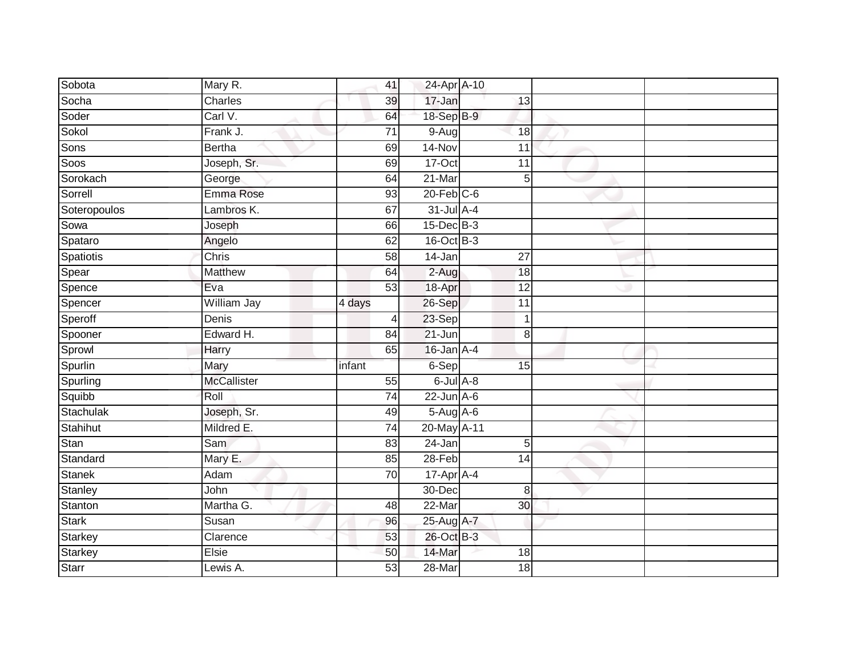| Sobota         | Mary R.            | 41              | 24-Apr A-10      |                 |  |
|----------------|--------------------|-----------------|------------------|-----------------|--|
| Socha          | Charles            | 39              | 17-Jan           | 13              |  |
| Soder          | Carl V.            | 64              | 18-Sep B-9       |                 |  |
| Sokol          | Frank J.           | 71              | $9-Aug$          | 18              |  |
| Sons           | <b>Bertha</b>      | 69              | $14-Nov$         | $\overline{11}$ |  |
| Soos           | Joseph, Sr.        | 69              | 17-Oct           | 11              |  |
| Sorokach       | George             | 64              | 21-Mar           | 5               |  |
| Sorrell        | Emma Rose          | 93              | $20$ -Feb $C$ -6 |                 |  |
| Soteropoulos   | Lambros K.         | 67              | $31$ -Jul A-4    |                 |  |
| Sowa           | Joseph             | 66              | $15$ -Dec $B$ -3 |                 |  |
| Spataro        | Angelo             | 62              | 16-Oct B-3       |                 |  |
| Spatiotis      | Chris              | 58              | 14-Jan           | 27              |  |
| Spear          | Matthew            | 64              | $2-Aug$          | 18              |  |
| Spence         | Eva                | 53              | 18-Apr           | 12              |  |
| Spencer        | William Jay        | 4 days          | 26-Sep           | 11              |  |
| Speroff        | Denis              | 4               | 23-Sep           | $\mathbf 1$     |  |
| Spooner        | Edward H.          | $\overline{84}$ | $21 - Jun$       | $\,8\,$         |  |
| Sprowl         | Harry              | 65              | $16$ -Jan $A-4$  |                 |  |
| Spurlin        | Mary               | infant          | 6-Sep            | 15              |  |
| Spurling       | <b>McCallister</b> | 55              | 6-Jul A-8        |                 |  |
| Squibb         | Roll               | $\overline{74}$ | $22$ -Jun $A-6$  |                 |  |
| Stachulak      | Joseph, Sr.        | 49              | 5-Aug A-6        |                 |  |
| Stahihut       | Mildred E.         | 74              | 20-May A-11      |                 |  |
| Stan           | Sam                | 83              | 24-Jan           | $5\overline{)}$ |  |
| Standard       | Mary E.            | 85              | 28-Feb           | 14              |  |
| <b>Stanek</b>  | Adam               | 70              | 17-Apr A-4       |                 |  |
| <b>Stanley</b> | John               |                 | 30-Dec           | 8               |  |
| Stanton        | Martha G.          | 48              | 22-Mar           | 30              |  |
| <b>Stark</b>   | Susan              | 96              | 25-Aug A-7       |                 |  |
| Starkey        | Clarence           | 53              | 26-Oct B-3       |                 |  |
| Starkey        | Elsie              | 50              | 14-Mar           | 18              |  |
| Starr          | Lewis A.           | $\overline{53}$ | 28-Mar           | $\overline{18}$ |  |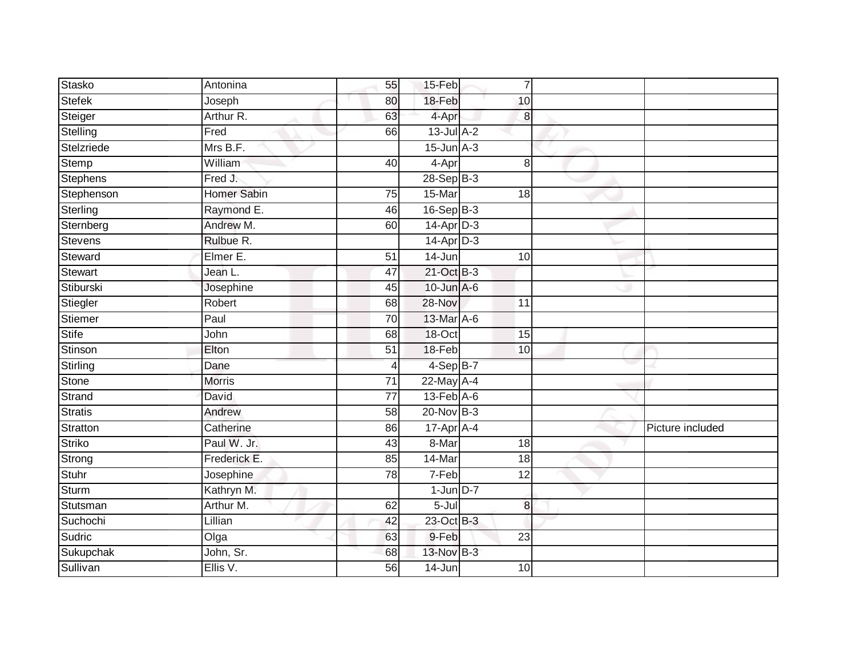| Stasko          | Antonina           | 55              | 15-Feb                      | $\overline{7}$  |                  |
|-----------------|--------------------|-----------------|-----------------------------|-----------------|------------------|
| <b>Stefek</b>   | Joseph             | 80              | 18-Feb                      | 10              |                  |
| Steiger         | Arthur R.          | 63              | 4-Apr                       | $\bf{8}$        |                  |
| Stelling        | Fred               | 66              | $13$ -Jul $A-2$             |                 |                  |
| Stelzriede      | Mrs B.F.           |                 | $15$ -Jun $A-3$             |                 |                  |
| Stemp           | William            | 40              | 4-Apr                       | 8               |                  |
| <b>Stephens</b> | Fred J.            |                 | 28-Sep B-3                  |                 |                  |
| Stephenson      | <b>Homer Sabin</b> | 75              | 15-Mar                      | 18              |                  |
| Sterling        | Raymond E.         | 46              | $16-SepB-3$                 |                 |                  |
| Sternberg       | Andrew M.          | 60              | $14$ -Apr $D-3$             |                 |                  |
| Stevens         | Rulbue R.          |                 | $14$ -Apr $D-3$             |                 |                  |
| Steward         | Elmer E.           | 51              | 14-Jun                      | 10              |                  |
| Stewart         | Jean L.            | 47              | 21-Oct B-3                  |                 |                  |
| Stiburski       | Josephine          | 45              | $10$ -Jun $A-6$             |                 |                  |
| Stiegler        | Robert             | $\overline{68}$ | 28-Nov                      | $\overline{11}$ |                  |
| Stiemer         | Paul               | 70              | 13-Mar A-6                  |                 |                  |
| <b>Stife</b>    | John               | 68              | 18-Oct                      | 15              |                  |
| Stinson         | Elton              | 51              | 18-Feb                      | 10              |                  |
| <b>Stirling</b> | Dane               | 4               | 4-Sep B-7                   |                 |                  |
| <b>Stone</b>    | <b>Morris</b>      | 71              | $22$ -May $A-4$             |                 |                  |
| Strand          | David              | $\overline{77}$ | $13$ -Feb $\overline{A}$ -6 |                 |                  |
| Stratis         | Andrew             | $\overline{58}$ | $20$ -Nov $B-3$             |                 |                  |
| Stratton        | Catherine          | 86              | $17-Apr$ A-4                |                 | Picture included |
| <b>Striko</b>   | Paul W. Jr.        | 43              | 8-Mar                       | 18              |                  |
| Strong          | Frederick E.       | 85              | 14-Mar                      | 18              |                  |
| Stuhr           | Josephine          | 78              | 7-Feb                       | 12              |                  |
| Sturm           | Kathryn M.         |                 | $1$ -Jun $D-7$              |                 |                  |
| Stutsman        | Arthur M.          | 62              | 5-Jul                       | $\bf{8}$        |                  |
| Suchochi        | Lillian            | 42              | 23-Oct B-3                  |                 |                  |
| Sudric          | Olga               | 63              | 9-Feb                       | $\overline{23}$ |                  |
| Sukupchak       | John, Sr.          | 68              | 13-Nov B-3                  |                 |                  |
| Sullivan        | Ellis V.           | 56              | 14-Jun                      | 10              |                  |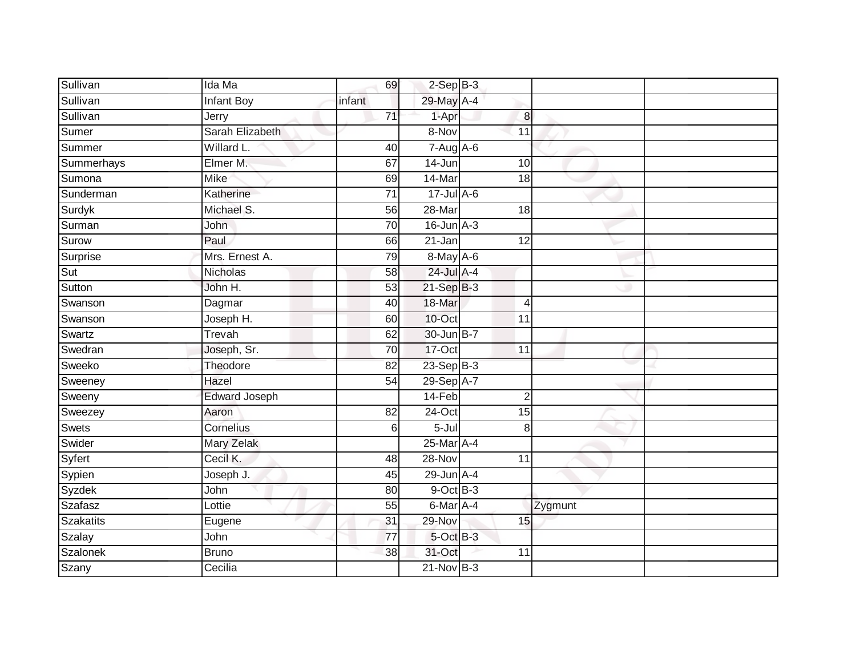| Sullivan         | Ida Ma               | 69              | $2-SepB-3$          |                 |         |  |
|------------------|----------------------|-----------------|---------------------|-----------------|---------|--|
| Sullivan         | <b>Infant Boy</b>    | infant          | 29-May A-4          |                 |         |  |
| Sullivan         | Jerry                | $\overline{71}$ | 1-Apr               | $\bf{8}$        |         |  |
| Sumer            | Sarah Elizabeth      |                 | 8-Nov               | 11              |         |  |
| Summer           | Willard L.           | 40              | $7-Aug$ A-6         |                 |         |  |
| Summerhays       | Elmer M.             | 67              | 14-Jun              | 10              |         |  |
| Sumona           | <b>Mike</b>          | 69              | 14-Mar              | 18              |         |  |
| Sunderman        | Katherine            | 71              | 17-Jul A-6          |                 |         |  |
| Surdyk           | Michael S.           | 56              | 28-Mar              | 18              |         |  |
| Surman           | John                 | 70              | $16$ -Jun $A-3$     |                 |         |  |
| Surow            | Paul                 | 66              | $21 - Jan$          | 12              |         |  |
| Surprise         | Mrs. Ernest A.       | 79              | $8$ -May $A$ -6     |                 |         |  |
| Sut              | <b>Nicholas</b>      | 58              | 24-Jul A-4          |                 |         |  |
| Sutton           | John H.              | 53              | $21-SepB-3$         |                 |         |  |
| Swanson          | Dagmar               | 40              | 18-Mar              | $\overline{4}$  |         |  |
| Swanson          | Joseph H.            | 60              | 10-Oct              | 11              |         |  |
| Swartz           | Trevah               | 62              | 30-Jun B-7          |                 |         |  |
| Swedran          | Joseph, Sr.          | 70              | 17-Oct              | $\overline{11}$ |         |  |
| Sweeko           | Theodore             | 82              | 23-Sep B-3          |                 |         |  |
| Sweeney          | Hazel                | $\overline{54}$ | 29-Sep A-7          |                 |         |  |
| Sweeny           | <b>Edward Joseph</b> |                 | $14-Feb$            | $\overline{2}$  |         |  |
| Sweezey          | Aaron                | 82              | 24-Oct              | 15              |         |  |
| Swets            | Cornelius            | 6               | $\overline{5}$ -Jul | 8               |         |  |
| Swider           | Mary Zelak           |                 | 25-Mar A-4          |                 |         |  |
| Syfert           | Cecil K.             | 48              | 28-Nov              | 11              |         |  |
| Sypien           | Joseph J.            | 45              | $29$ -Jun $A-4$     |                 |         |  |
| Syzdek           | John                 | 80              | $9$ -Oct $B$ -3     |                 |         |  |
| Szafasz          | Lottie               | 55              | $6$ -Mar A-4        |                 | Zygmunt |  |
| <b>Szakatits</b> | Eugene               | 31              | 29-Nov              | 15              |         |  |
| Szalay           | John                 | $\overline{77}$ | 5-Oct B-3           |                 |         |  |
| Szalonek         | <b>Bruno</b>         | 38              | 31-Oct              | 11              |         |  |
| Szany            | Cecilia              |                 | $21$ -Nov $B-3$     |                 |         |  |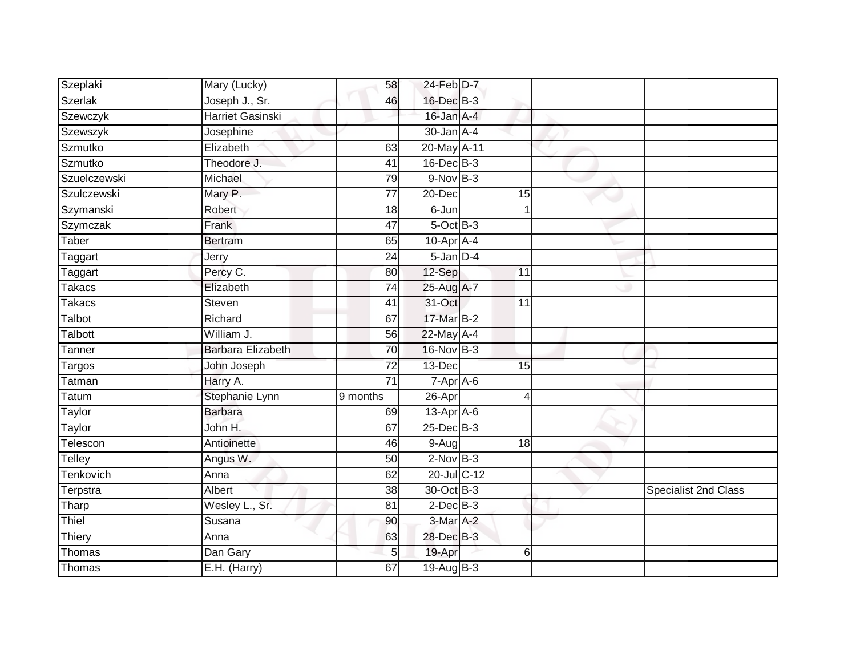| Szeplaki       | Mary (Lucky)             | 58              | 24-Feb D-7        |    |                             |
|----------------|--------------------------|-----------------|-------------------|----|-----------------------------|
| <b>Szerlak</b> | Joseph J., Sr.           | 46              | 16-Dec B-3        |    |                             |
| Szewczyk       | <b>Harriet Gasinski</b>  |                 | 16-Jan A-4        |    |                             |
| Szewszyk       | Josephine                |                 | $30 - Jan$ A-4    |    |                             |
| Szmutko        | Elizabeth                | 63              | 20-May A-11       |    |                             |
| Szmutko        | Theodore J.              | 41              | $16$ -Dec $B-3$   |    |                             |
| Szuelczewski   | Michael                  | 79              | $9-Nov$ B-3       |    |                             |
| Szulczewski    | Mary P.                  | $\overline{77}$ | 20-Dec            | 15 |                             |
| Szymanski      | Robert                   | 18              | 6-Jun             |    |                             |
| Szymczak       | Frank                    | $\overline{47}$ | $5$ -Oct $B$ -3   |    |                             |
| Taber          | <b>Bertram</b>           | 65              | $10$ -Apr $A$ -4  |    |                             |
| Taggart        | Jerry                    | 24              | $5$ -Jan $D-4$    |    |                             |
| Taggart        | Percy C.                 | 80              | 12-Sep            | 11 |                             |
| Takacs         | Elizabeth                | 74              | 25-Aug A-7        |    |                             |
| <b>Takacs</b>  | Steven                   | 41              | 31-Oct            | 11 |                             |
| Talbot         | Richard                  | 67              | 17-Mar B-2        |    |                             |
| Talbott        | William J.               | 56              | 22-May A-4        |    |                             |
| Tanner         | <b>Barbara Elizabeth</b> | 70              | 16-Nov B-3        |    |                             |
| Targos         | John Joseph              | $\overline{72}$ | 13-Dec            | 15 |                             |
| Tatman         | Harry A.                 | $\overline{71}$ | $7 - Apr$ $A - 6$ |    |                             |
| Tatum          | Stephanie Lynn           | 9 months        | 26-Apr            | Δ  |                             |
| Taylor         | <b>Barbara</b>           | 69              | $13-Apr$ A-6      |    |                             |
| Taylor         | John H.                  | 67              | $25$ -Dec $B-3$   |    |                             |
| Telescon       | Antioinette              | 46              | 9-Aug             | 18 |                             |
| Telley         | Angus W.                 | 50              | $2-Nov$ B-3       |    |                             |
| Tenkovich      | Anna                     | 62              | 20-Jul C-12       |    |                             |
| Terpstra       | Albert                   | $\overline{38}$ | 30-Oct B-3        |    | <b>Specialist 2nd Class</b> |
| Tharp          | Wesley L., Sr.           | 81              | $2$ -Dec $B-3$    |    |                             |
| Thiel          | Susana                   | 90              | 3-Mar A-2         |    |                             |
| Thiery         | Anna                     | 63              | 28-Dec B-3        |    |                             |
| Thomas         | Dan Gary                 | 5               | 19-Apr            | 6  |                             |
| Thomas         | E.H. (Harry)             | 67              | 19-Aug B-3        |    |                             |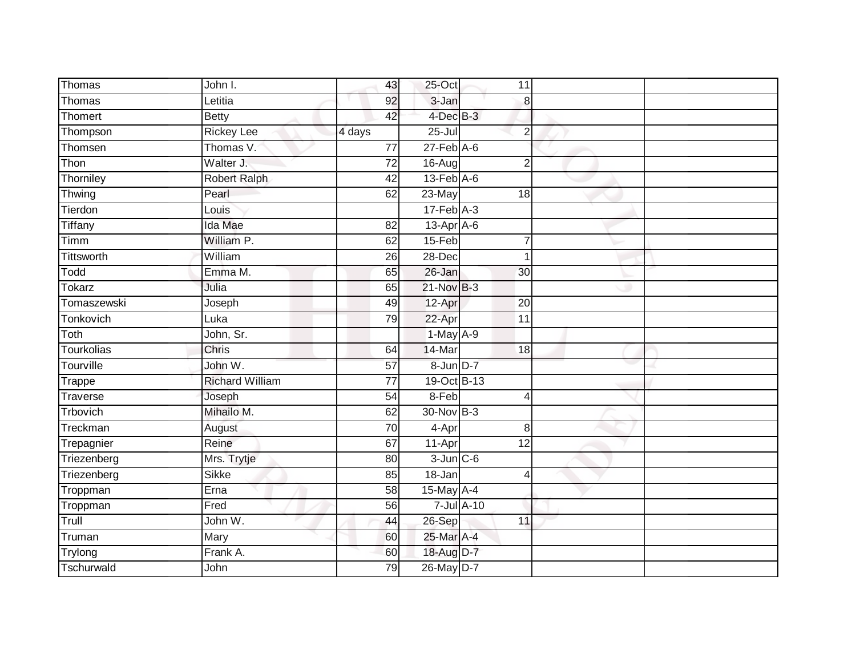| Thomas        | John I.                | 43              | 25-Oct                      | 11               |                |  |
|---------------|------------------------|-----------------|-----------------------------|------------------|----------------|--|
| Thomas        | Letitia                | 92              | 3-Jan                       |                  | 8              |  |
| Thomert       | <b>Betty</b>           | 42              | 4-Dec B-3                   |                  |                |  |
| Thompson      | <b>Rickey Lee</b>      | 4 days          | $25 -$ Jul                  |                  | $\overline{2}$ |  |
| Thomsen       | Thomas V.              | $\overline{77}$ | $27$ -Feb $A$ -6            |                  |                |  |
| Thon          | Walter J.              | 72              | 16-Aug                      |                  | $\overline{2}$ |  |
| Thorniley     | Robert Ralph           | 42              | $13$ -Feb $\overline{A}$ -6 |                  |                |  |
| Thwing        | Pearl                  | 62              | 23-May                      | 18               |                |  |
| Tierdon       | Louis                  |                 | $17-Feb$ A-3                |                  |                |  |
| Tiffany       | Ida Mae                | 82              | $13$ -Apr $A$ -6            |                  |                |  |
| Timm          | William P.             | 62              | $15-Feb$                    | $\overline{7}$   |                |  |
| Tittsworth    | William                | 26              | 28-Dec                      | 1                |                |  |
| Todd          | Emma M.                | 65              | 26-Jan                      | 30               |                |  |
| <b>Tokarz</b> | Julia                  | 65              | 21-Nov B-3                  |                  |                |  |
| Tomaszewski   | Joseph                 | 49              | 12-Apr                      | $\overline{20}$  |                |  |
| Tonkovich     | Luka                   | 79              | 22-Apr                      | 11               |                |  |
| Toth          | John, Sr.              |                 | 1-May A-9                   |                  |                |  |
| Tourkolias    | Chris                  | 64              | 14-Mar                      | $\overline{18}$  |                |  |
| Tourville     | John W.                | 57              | 8-Jun D-7                   |                  |                |  |
| Trappe        | <b>Richard William</b> | 77              | 19-Oct B-13                 |                  |                |  |
| Traverse      | Joseph                 | 54              | 8-Feb                       | 4                |                |  |
| Trbovich      | Mihailo M.             | 62              | 30-Nov B-3                  |                  |                |  |
| Treckman      | August                 | 70              | 4-Apr                       |                  | 8              |  |
| Trepagnier    | Reine                  | 67              | 11-Apr                      | 12               |                |  |
| Triezenberg   | Mrs. Trytje            | 80              | $3$ -Jun $C$ -6             |                  |                |  |
| Triezenberg   | <b>Sikke</b>           | 85              | $18 - Jan$                  | 4                |                |  |
| Troppman      | Erna                   | 58              | 15-May A-4                  |                  |                |  |
| Troppman      | Fred                   | 56              |                             | $7$ -Jul $A$ -10 |                |  |
| Trull         | John W.                | 44              | 26-Sep                      | 11               |                |  |
| Truman        | Mary                   | 60              | 25-Mar A-4                  |                  |                |  |
| Trylong       | Frank A.               | 60              | 18-Aug D-7                  |                  |                |  |
| Tschurwald    | John                   | $\overline{79}$ | 26-May D-7                  |                  |                |  |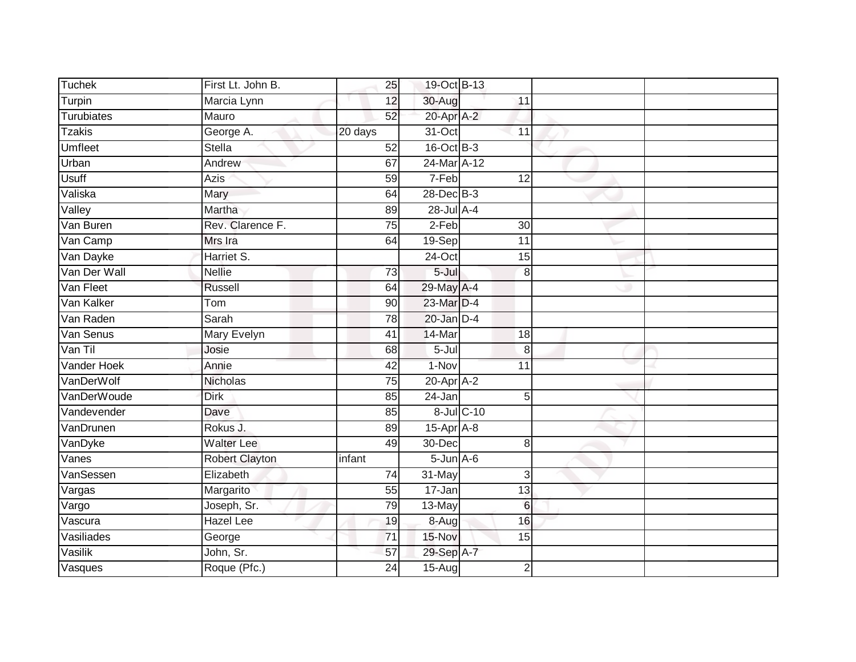| <b>Tuchek</b>  | First Lt. John B. | 25              | 19-Oct B-13      |                 |  |
|----------------|-------------------|-----------------|------------------|-----------------|--|
| Turpin         | Marcia Lynn       | 12              | 30-Aug           | $\overline{11}$ |  |
| Turubiates     | Mauro             | 52              | 20-Apr A-2       |                 |  |
| <b>Tzakis</b>  | George A.         | 20 days         | 31-Oct           | 11              |  |
| <b>Umfleet</b> | <b>Stella</b>     | 52              | 16-Oct B-3       |                 |  |
| Urban          | Andrew            | 67              | 24-Mar A-12      |                 |  |
| <b>Usuff</b>   | Azis              | 59              | 7-Feb            | $\overline{12}$ |  |
| Valiska        | Mary              | 64              | 28-Dec B-3       |                 |  |
| Valley         | Martha            | 89              | 28-Jul A-4       |                 |  |
| Van Buren      | Rev. Clarence F.  | 75              | $2-Feb$          | $\overline{30}$ |  |
| Van Camp       | Mrs Ira           | 64              | 19-Sep           | 11              |  |
| Van Dayke      | Harriet S.        |                 | 24-Oct           | 15              |  |
| Van Der Wall   | <b>Nellie</b>     | 73              | $5 -$ Jul        | 8               |  |
| Van Fleet      | Russell           | 64              | 29-May A-4       |                 |  |
| Van Kalker     | Tom               | $\overline{90}$ | 23-Mar D-4       |                 |  |
| Van Raden      | Sarah             | 78              | $20$ -Jan $D-4$  |                 |  |
| Van Senus      | Mary Evelyn       | $\overline{41}$ | 14-Mar           | 18              |  |
| Van Til        | Josie             | 68              | $5 -$ Jul        | 8               |  |
| Vander Hoek    | Annie             | 42              | 1-Nov            | 11              |  |
| VanDerWolf     | Nicholas          | 75              | $20 - Apr$ $A-2$ |                 |  |
| VanDerWoude    | <b>Dirk</b>       | 85              | 24-Jan           | 5               |  |
| Vandevender    | Dave              | 85              |                  | 8-Jul C-10      |  |
| VanDrunen      | Rokus J.          | 89              | $15$ -Apr $A$ -8 |                 |  |
| VanDyke        | <b>Walter Lee</b> | 49              | 30-Dec           | 8               |  |
| Vanes          | Robert Clayton    | infant          | $5 - Jun A - 6$  |                 |  |
| VanSessen      | Elizabeth         | 74              | 31-May           | 3               |  |
| Vargas         | Margarito         | 55              | $17 - Jan$       | $\overline{13}$ |  |
| Vargo          | Joseph, Sr.       | 79              | 13-May           | $6\phantom{1}6$ |  |
| Vascura        | <b>Hazel</b> Lee  | 19              | 8-Augl           | 16              |  |
| Vasiliades     | George            | $\overline{71}$ | 15-Nov           | 15              |  |
| Vasilik        | John, Sr.         | 57              | 29-Sep A-7       |                 |  |
| Vasques        | Roque (Pfc.)      | 24              | $15-Aug$         | $\overline{2}$  |  |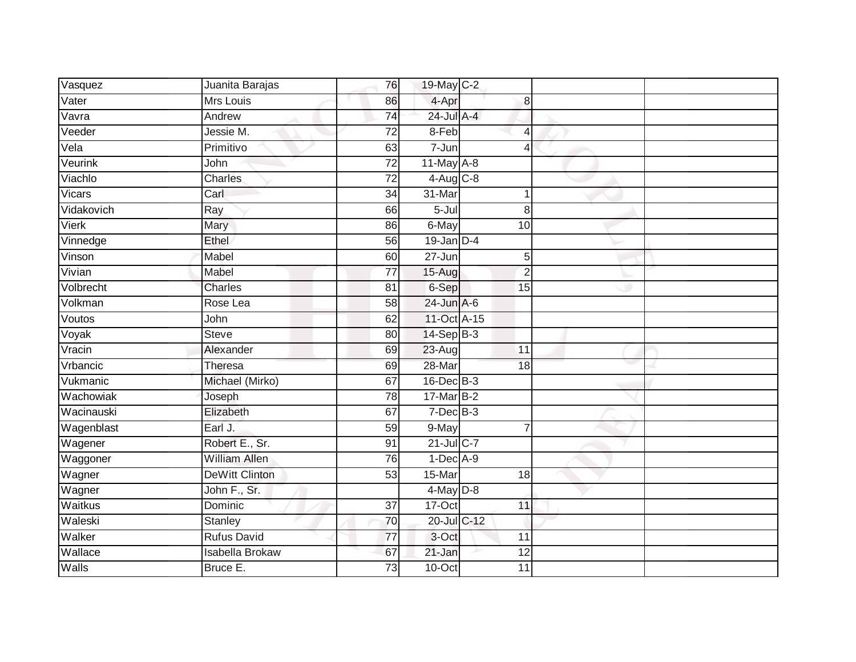| Vasquez       | Juanita Barajas       | 76              | 19-May C-2      |                 |  |
|---------------|-----------------------|-----------------|-----------------|-----------------|--|
| Vater         | Mrs Louis             | 86              | 4-Apr           | 8               |  |
| Vavra         | Andrew                | 74              | $24$ -Jul A-4   |                 |  |
| Veeder        | Jessie M.             | $\overline{72}$ | 8-Feb           | 4               |  |
| Vela          | Primitivo             | 63              | $7 - Jun$       | 4               |  |
| Veurink       | John                  | $\overline{72}$ | $11$ -May $A-8$ |                 |  |
| Viachlo       | Charles               | $\overline{72}$ | $4-Aug$ $C-8$   |                 |  |
| <b>Vicars</b> | Carl                  | $\overline{34}$ | 31-Mar          |                 |  |
| Vidakovich    | Ray                   | 66              | 5-Jul           | 8               |  |
| Vierk         | <b>Mary</b>           | 86              | 6-May           | 10              |  |
| Vinnedge      | Ethel                 | 56              | $19$ -Jan $D-4$ |                 |  |
| Vinson        | Mabel                 | 60              | $27 - Jun$      | 5               |  |
| Vivian        | Mabel                 | 77              | $15-Aug$        | $\overline{2}$  |  |
| Volbrecht     | Charles               | 81              | 6-Sep           | 15              |  |
| Volkman       | Rose Lea              | $\overline{58}$ | $24$ -Jun $A-6$ |                 |  |
| Voutos        | John                  | 62              | 11-Oct A-15     |                 |  |
| Voyak         | <b>Steve</b>          | 80              | $14-Sep$ B-3    |                 |  |
| Vracin        | Alexander             | 69              | $23 - Aug$      | $\overline{11}$ |  |
| Vrbancic      | Theresa               | 69              | 28-Mar          | 18              |  |
| Vukmanic      | Michael (Mirko)       | 67              | $16$ -Dec $B-3$ |                 |  |
| Wachowiak     | Joseph                | 78              | $17$ -Mar $B-2$ |                 |  |
| Wacinauski    | Elizabeth             | 67              | $7-Dec$ B-3     |                 |  |
| Wagenblast    | Earl J.               | 59              | 9-May           | $\overline{7}$  |  |
| Wagener       | Robert E., Sr.        | 91              | 21-Jul C-7      |                 |  |
| Waggoner      | <b>William Allen</b>  | 76              | $1-Dec$ A-9     |                 |  |
| Wagner        | <b>DeWitt Clinton</b> | 53              | 15-Mar          | $\overline{18}$ |  |
| Wagner        | John F., Sr.          |                 | $4$ -May $D-8$  |                 |  |
| Waitkus       | Dominic               | $\overline{37}$ | $17-Oct$        | 11              |  |
| Waleski       | Stanley               | 70              | 20-Jul C-12     |                 |  |
| Walker        | <b>Rufus David</b>    | 77              | 3-Oct           | 11              |  |
| Wallace       | Isabella Brokaw       | 67              | 21-Jan          | 12              |  |
| Walls         | Bruce E.              | 73              | $10$ -Oct       | 11              |  |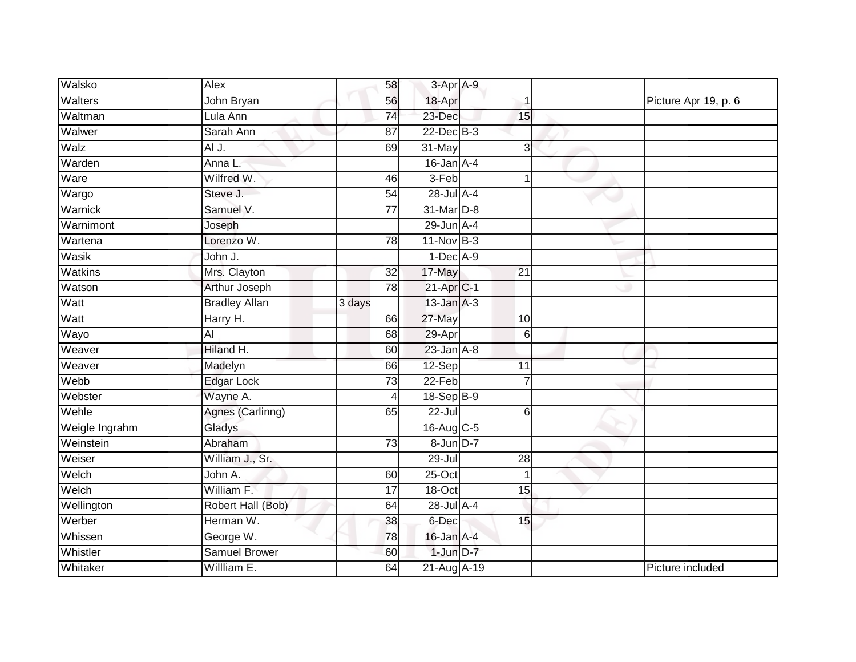| Walsko         | Alex                 | 58              | 3-Apr A-9               |                 |                      |
|----------------|----------------------|-----------------|-------------------------|-----------------|----------------------|
| Walters        | John Bryan           | 56              | 18-Apr                  | 1               | Picture Apr 19, p. 6 |
| Waltman        | Lula Ann             | 74              | 23-Dec                  | 15              |                      |
| Walwer         | Sarah Ann            | 87              | $22$ -Dec $B-3$         |                 |                      |
| Walz           | AI J.                | 69              | 31-May                  | 3               |                      |
| Warden         | Anna L.              |                 | $16$ -Jan $A-4$         |                 |                      |
| Ware           | Wilfred W.           | 46              | 3-Feb                   | -1              |                      |
| Wargo          | Steve J.             | 54              | 28-Jul A-4              |                 |                      |
| Warnick        | Samuel V.            | 77              | 31-Mar D-8              |                 |                      |
| Warnimont      | Joseph               |                 | $29$ -Jun $A-4$         |                 |                      |
| Wartena        | Lorenzo W.           | 78              | $11-Nov$ B-3            |                 |                      |
| Wasik          | John J.              |                 | $1-Dec$ A-9             |                 |                      |
| Watkins        | Mrs. Clayton         | 32              | 17-May                  | 21              |                      |
| Watson         | Arthur Joseph        | 78              | $21-Apr$ <sub>C-1</sub> |                 |                      |
| Watt           | <b>Bradley Allan</b> | 3 days          | $13$ -Jan $A-3$         |                 |                      |
| Watt           | Harry H.             | 66              | 27-May                  | 10              |                      |
| Wayo           | $\overline{AI}$      | 68              | 29-Apr                  | 6               |                      |
| Weaver         | Hiland H.            | 60              | $23$ -Jan $A-8$         |                 |                      |
| Weaver         | Madelyn              | 66              | $12-Sep$                | 11              |                      |
| Webb           | <b>Edgar Lock</b>    | $\overline{73}$ | $22-Feb$                | $\overline{7}$  |                      |
| Webster        | Wayne A.             |                 | 18-Sep B-9              |                 |                      |
| Wehle          | Agnes (Carlinng)     | 65              | $22 -$ Jul              | 6               |                      |
| Weigle Ingrahm | Gladys               |                 | 16-Aug C-5              |                 |                      |
| Weinstein      | Abraham              | 73              | 8-Jun D-7               |                 |                      |
| Weiser         | William J., Sr.      |                 | $29 -$ Jul              | 28              |                      |
| Welch          | John A.              | 60              | $25-Oct$                | $\mathbf{1}$    |                      |
| Welch          | William F.           | 17              | $18-Oct$                | $\overline{15}$ |                      |
| Wellington     | Robert Hall (Bob)    | 64              | 28-Jul A-4              |                 |                      |
| Werber         | Herman W.            | 38              | 6-Dec                   | 15              |                      |
| Whissen        | George W.            | 78              | 16-Jan A-4              |                 |                      |
| Whistler       | <b>Samuel Brower</b> | 60              | $1$ -Jun $D-7$          |                 |                      |
| Whitaker       | Willliam E.          | 64              | 21-Aug A-19             |                 | Picture included     |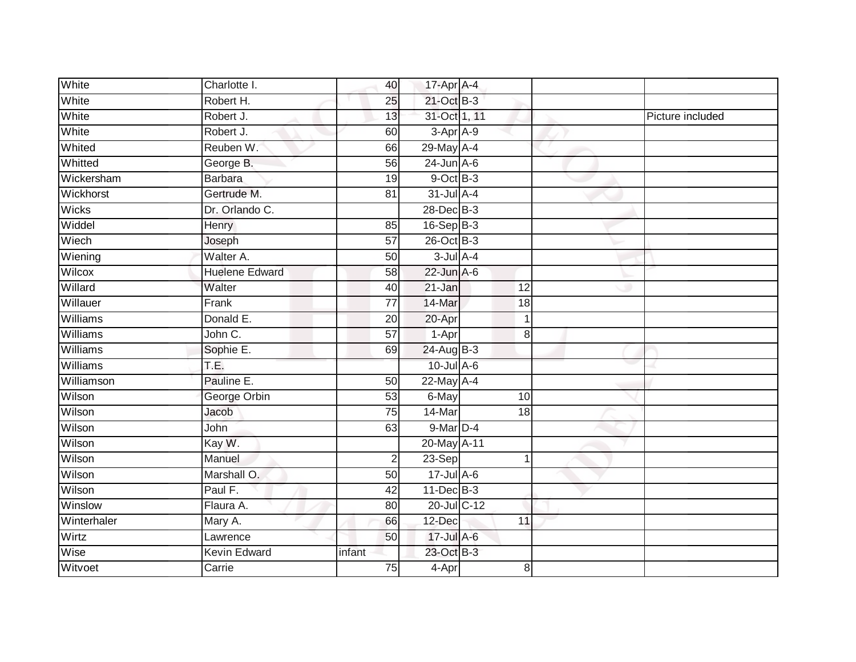| White        | Charlotte I.          | 40              | 17-Apr A-4      |                 |                  |
|--------------|-----------------------|-----------------|-----------------|-----------------|------------------|
| White        | Robert H.             | 25              | 21-Oct B-3      |                 |                  |
| White        | Robert J.             | 13              | 31-Oct 1, 11    |                 | Picture included |
| White        | Robert J.             | 60              | 3-Apr A-9       |                 |                  |
| Whited       | Reuben W.             | 66              | 29-May A-4      |                 |                  |
| Whitted      | George B.             | 56              | $24$ -Jun $A-6$ |                 |                  |
| Wickersham   | <b>Barbara</b>        | 19              | $9$ -Oct $B$ -3 |                 |                  |
| Wickhorst    | Gertrude M.           | 81              | 31-Jul A-4      |                 |                  |
| <b>Wicks</b> | Dr. Orlando C.        |                 | 28-Dec B-3      |                 |                  |
| Widdel       | <b>Henry</b>          | 85              | 16-Sep B-3      |                 |                  |
| Wiech        | Joseph                | $\overline{57}$ | 26-Oct B-3      |                 |                  |
| Wiening      | Walter A.             | 50              | $3$ -Jul $A-4$  |                 |                  |
| Wilcox       | <b>Huelene Edward</b> | 58              | $22$ -Jun $A-6$ |                 |                  |
| Willard      | Walter                | 40              | 21-Jan          | 12              |                  |
| Willauer     | Frank                 | $\overline{77}$ | 14-Mar          | $\overline{18}$ |                  |
| Williams     | Donald E.             | 20              | 20-Apr          | 1               |                  |
| Williams     | John C.               | $\overline{57}$ | 1-Apr           | 8               |                  |
| Williams     | Sophie E.             | 69              | 24-Aug B-3      |                 |                  |
| Williams     | T.E.                  |                 | $10$ -Jul A-6   |                 |                  |
| Williamson   | Pauline E.            | 50              | $22$ -May $A-4$ |                 |                  |
| Wilson       | George Orbin          | 53              | 6-May           | 10              |                  |
| Wilson       | Jacob                 | 75              | 14-Mar          | 18              |                  |
| Wilson       | John                  | 63              | 9-Mar D-4       |                 |                  |
| Wilson       | Kay W.                |                 | 20-May A-11     |                 |                  |
| Wilson       | Manuel                | $\sqrt{2}$      | $23-Sep$        | 1               |                  |
| Wilson       | Marshall O.           | 50              | 17-Jul A-6      |                 |                  |
| Wilson       | Paul F.               | $\overline{42}$ | $11$ -Dec $B-3$ |                 |                  |
| Winslow      | Flaura A.             | 80              | 20-Jul C-12     |                 |                  |
| Winterhaler  | Mary A.               | 66              | 12-Dec          | 11              |                  |
| Wirtz        | Lawrence              | 50              | 17-Jul A-6      |                 |                  |
| Wise         | Kevin Edward          | infant          | 23-Oct B-3      |                 |                  |
| Witvoet      | Carrie                | 75              | 4-Apr           | 8               |                  |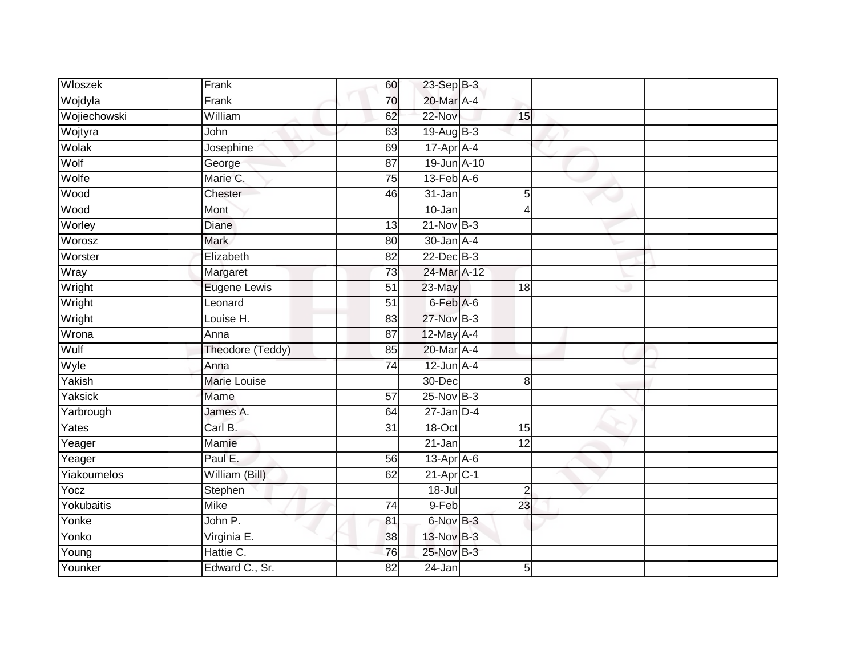| Wloszek      | Frank               | 60              | 23-Sep B-3              |                 |  |
|--------------|---------------------|-----------------|-------------------------|-----------------|--|
| Wojdyla      | Frank               | 70              | 20-Mar A-4              |                 |  |
| Wojiechowski | William             | 62              | 22-Nov                  | 15              |  |
| Wojtyra      | John                | 63              | 19-Aug B-3              |                 |  |
| Wolak        | Josephine           | 69              | $17$ -Apr $A$ -4        |                 |  |
| Wolf         | George              | 87              | 19-Jun A-10             |                 |  |
| Wolfe        | Marie C.            | 75              | $13$ -Feb $A$ -6        |                 |  |
| Wood         | Chester             | 46              | 31-Jan                  | 5               |  |
| Wood         | Mont                |                 | 10-Jan                  | 4               |  |
| Worley       | <b>Diane</b>        | 13              | 21-Nov B-3              |                 |  |
| Worosz       | Mark                | 80              | 30-Jan A-4              |                 |  |
| Worster      | Elizabeth           | $\overline{82}$ | $22$ -Dec $B-3$         |                 |  |
| Wray         | Margaret            | 73              | 24-Mar A-12             |                 |  |
| Wright       | Eugene Lewis        | $\overline{51}$ | $23-May$                | 18              |  |
| Wright       | Leonard             | $\overline{51}$ | 6-Feb A-6               |                 |  |
| Wright       | Louise H.           | 83              | 27-Nov B-3              |                 |  |
| Wrona        | Anna                | $\overline{87}$ | 12-May A-4              |                 |  |
| Wulf         | Theodore (Teddy)    | 85              | 20-Mar A-4              |                 |  |
| Wyle         | Anna                | 74              | $12$ -Jun $A-4$         |                 |  |
| Yakish       | <b>Marie Louise</b> |                 | 30-Dec                  | 8               |  |
| Yaksick      | Mame                | 57              | 25-Nov B-3              |                 |  |
| Yarbrough    | James A.            | 64              | $27$ -Jan D-4           |                 |  |
| Yates        | Carl B.             | 31              | 18-Oct                  | 15              |  |
| Yeager       | Mamie               |                 | 21-Jan                  | $\overline{12}$ |  |
| Yeager       | Paul E.             | 56              | $13$ -Apr $A$ -6        |                 |  |
| Yiakoumelos  | William (Bill)      | 62              | $21-Apr$ <sub>C-1</sub> |                 |  |
| Yocz         | Stephen             |                 | 18-Jul                  | $\overline{2}$  |  |
| Yokubaitis   | <b>Mike</b>         | 74              | 9-Feb                   | 23              |  |
| Yonke        | John P.             | 81              | 6-Nov B-3               |                 |  |
| Yonko        | Virginia E.         | 38              | 13-Nov B-3              |                 |  |
| Young        | Hattie C.           | 76              | 25-Nov B-3              |                 |  |
| Younker      | Edward C., Sr.      | 82              | $24$ -Jan               | 5               |  |